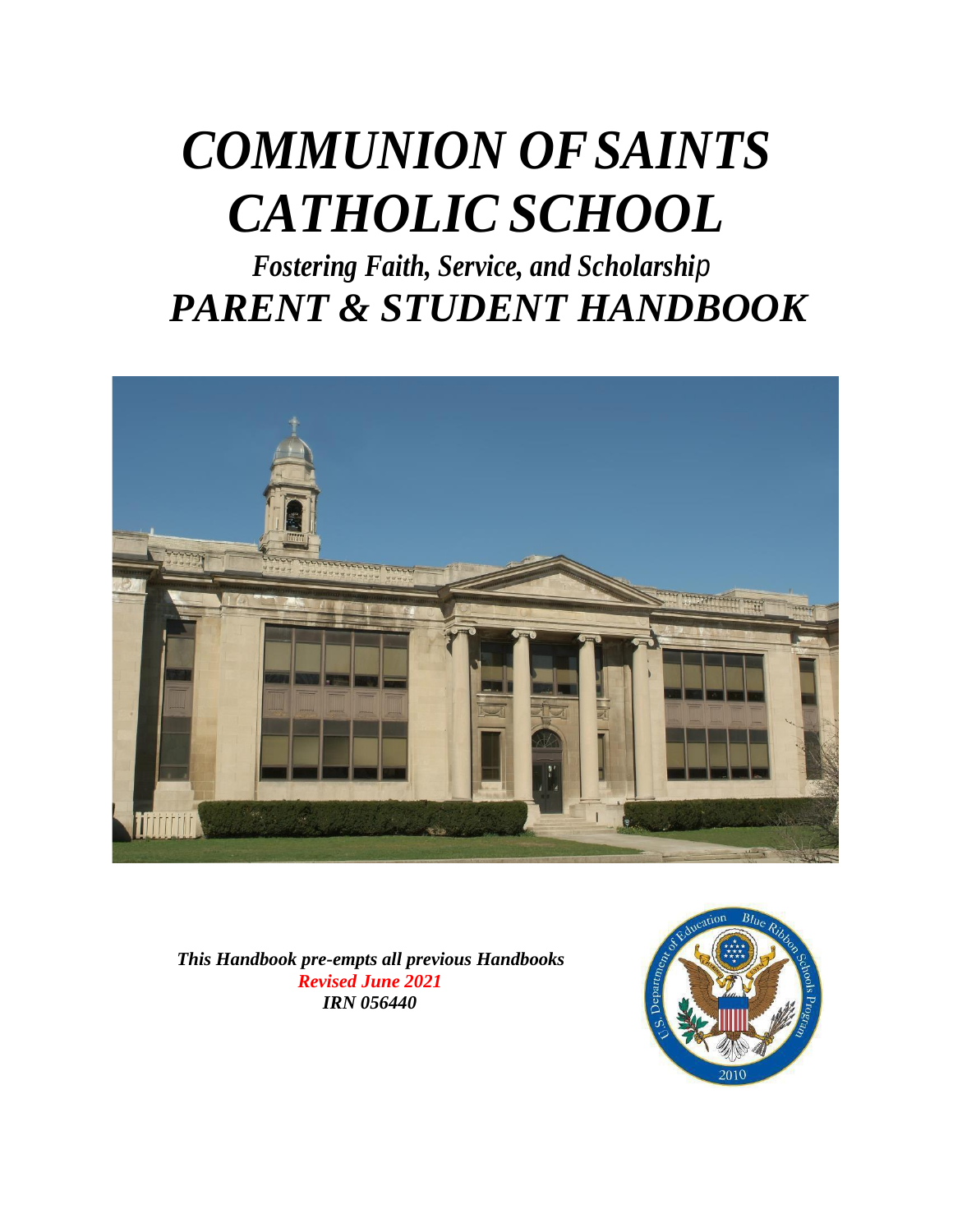# *COMMUNION OFSAINTS CATHOLIC SCHOOL*

# *Fostering Faith, Service, and Scholarship PARENT & STUDENT HANDBOOK*



*This Handbook pre-empts all previous Handbooks Revised June 2021 IRN 056440*

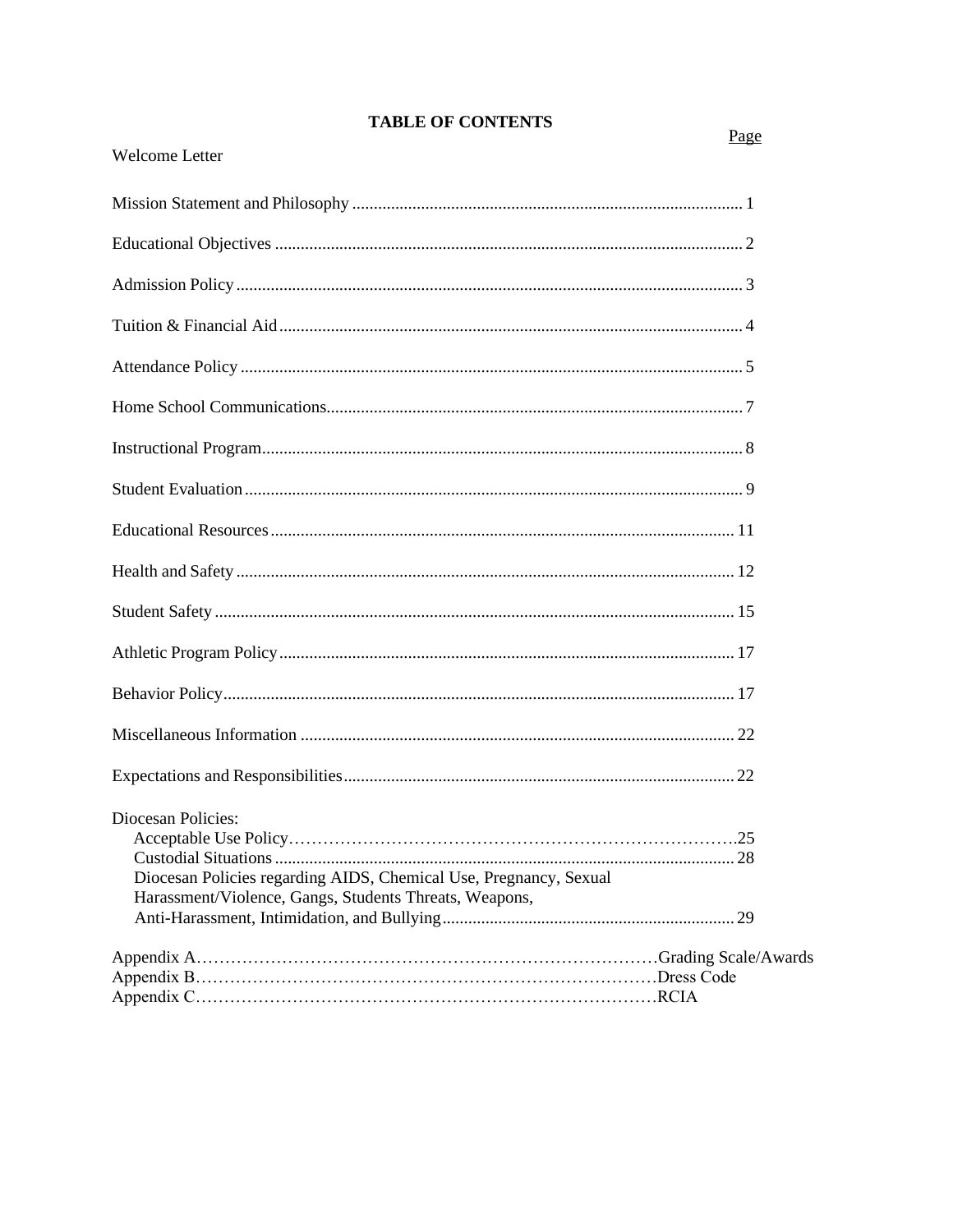# **TABLE OF CONTENTS**

Page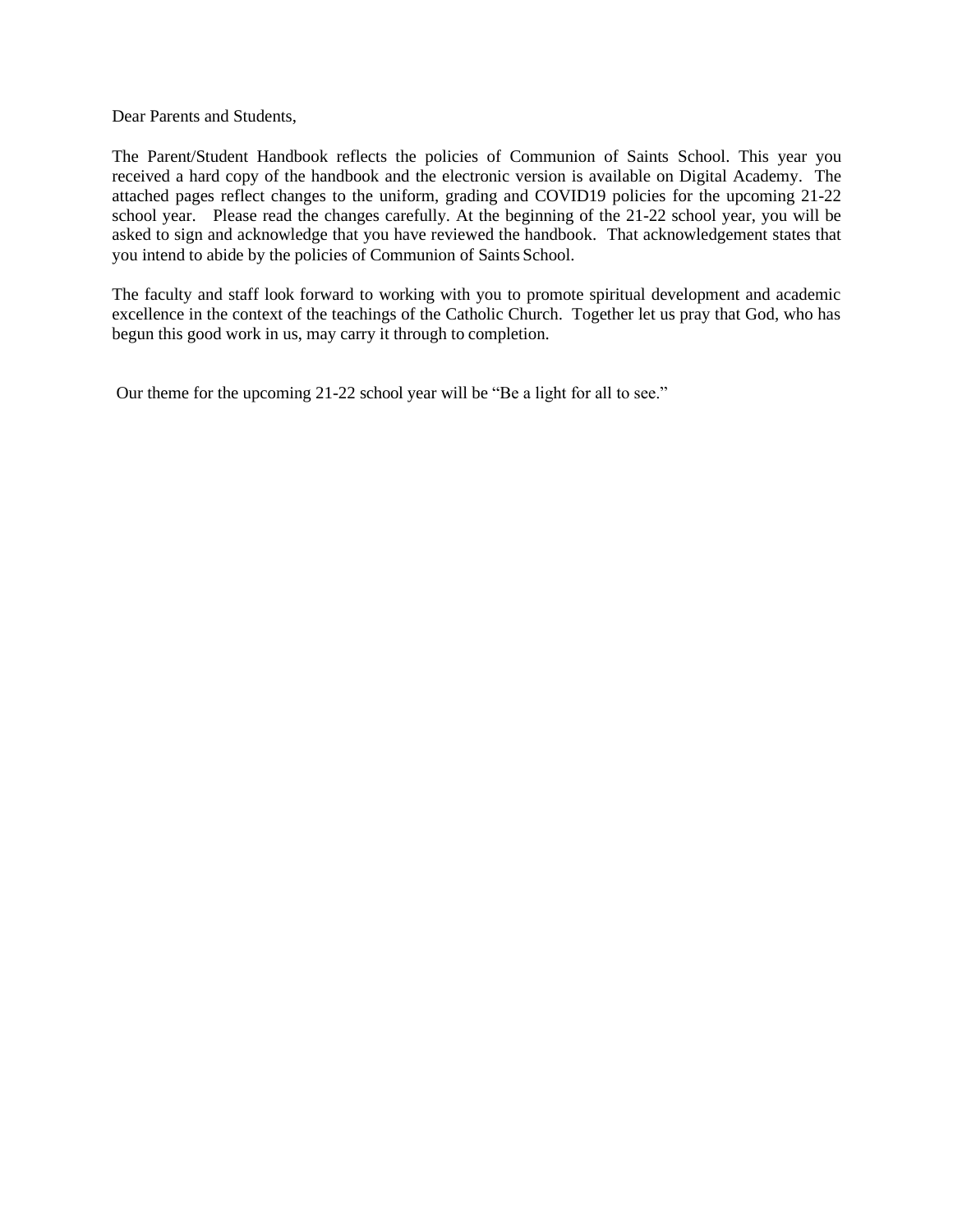Dear Parents and Students,

The Parent/Student Handbook reflects the policies of Communion of Saints School. This year you received a hard copy of the handbook and the electronic version is available on Digital Academy. The attached pages reflect changes to the uniform, grading and COVID19 policies for the upcoming 21-22 school year. Please read the changes carefully. At the beginning of the 21-22 school year, you will be asked to sign and acknowledge that you have reviewed the handbook. That acknowledgement states that you intend to abide by the policies of Communion of Saints School.

The faculty and staff look forward to working with you to promote spiritual development and academic excellence in the context of the teachings of the Catholic Church. Together let us pray that God, who has begun this good work in us, may carry it through to completion.

Our theme for the upcoming 21-22 school year will be "Be a light for all to see."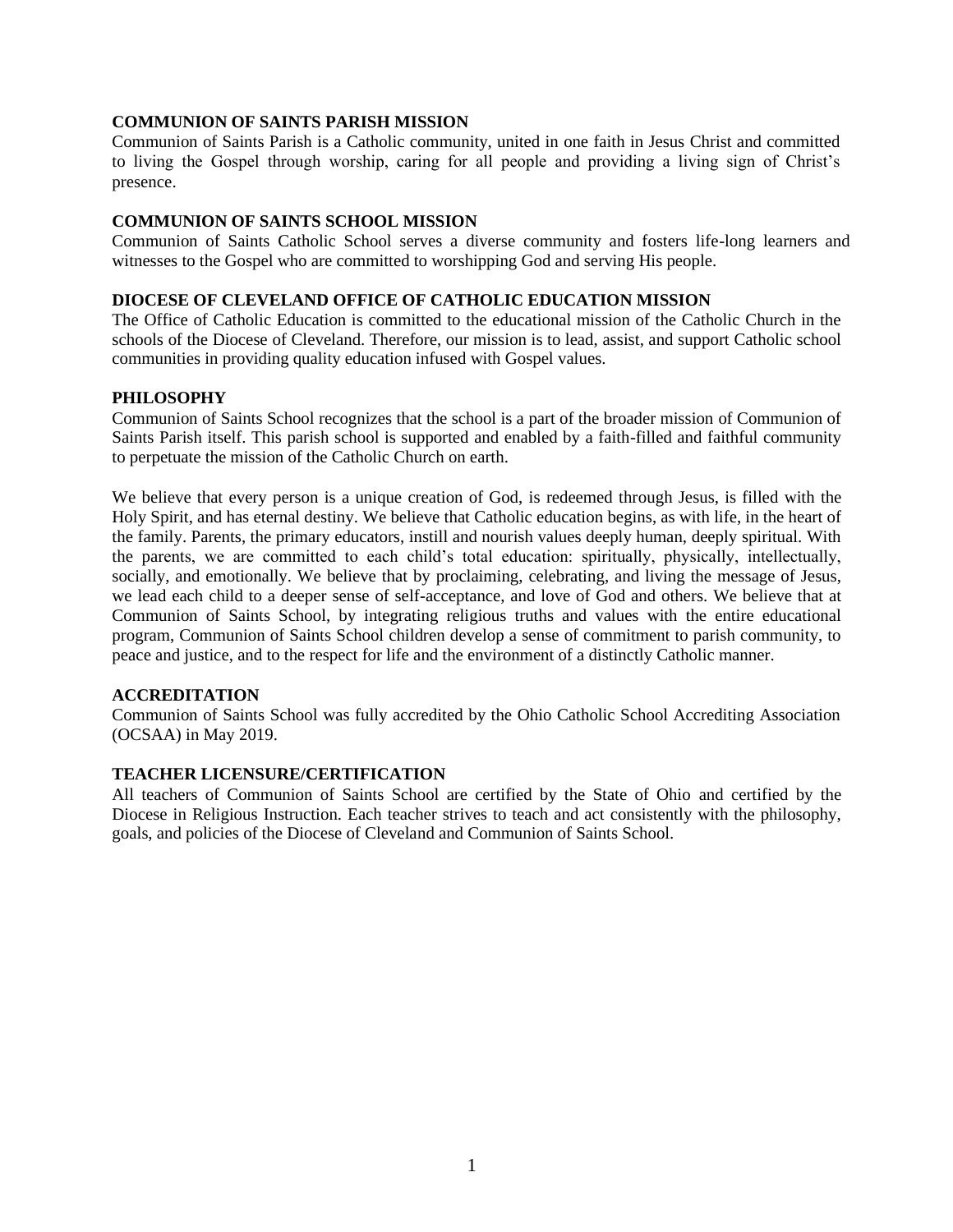# **COMMUNION OF SAINTS PARISH MISSION**

Communion of Saints Parish is a Catholic community, united in one faith in Jesus Christ and committed to living the Gospel through worship, caring for all people and providing a living sign of Christ's presence.

# **COMMUNION OF SAINTS SCHOOL MISSION**

Communion of Saints Catholic School serves a diverse community and fosters life-long learners and witnesses to the Gospel who are committed to worshipping God and serving His people.

# **DIOCESE OF CLEVELAND OFFICE OF CATHOLIC EDUCATION MISSION**

The Office of Catholic Education is committed to the educational mission of the Catholic Church in the schools of the Diocese of Cleveland. Therefore, our mission is to lead, assist, and support Catholic school communities in providing quality education infused with Gospel values.

# **PHILOSOPHY**

Communion of Saints School recognizes that the school is a part of the broader mission of Communion of Saints Parish itself. This parish school is supported and enabled by a faith-filled and faithful community to perpetuate the mission of the Catholic Church on earth.

We believe that every person is a unique creation of God, is redeemed through Jesus, is filled with the Holy Spirit, and has eternal destiny. We believe that Catholic education begins, as with life, in the heart of the family. Parents, the primary educators, instill and nourish values deeply human, deeply spiritual. With the parents, we are committed to each child's total education: spiritually, physically, intellectually, socially, and emotionally. We believe that by proclaiming, celebrating, and living the message of Jesus, we lead each child to a deeper sense of self-acceptance, and love of God and others. We believe that at Communion of Saints School, by integrating religious truths and values with the entire educational program, Communion of Saints School children develop a sense of commitment to parish community, to peace and justice, and to the respect for life and the environment of a distinctly Catholic manner.

#### **ACCREDITATION**

Communion of Saints School was fully accredited by the Ohio Catholic School Accrediting Association (OCSAA) in May 2019.

# **TEACHER LICENSURE/CERTIFICATION**

All teachers of Communion of Saints School are certified by the State of Ohio and certified by the Diocese in Religious Instruction. Each teacher strives to teach and act consistently with the philosophy, goals, and policies of the Diocese of Cleveland and Communion of Saints School.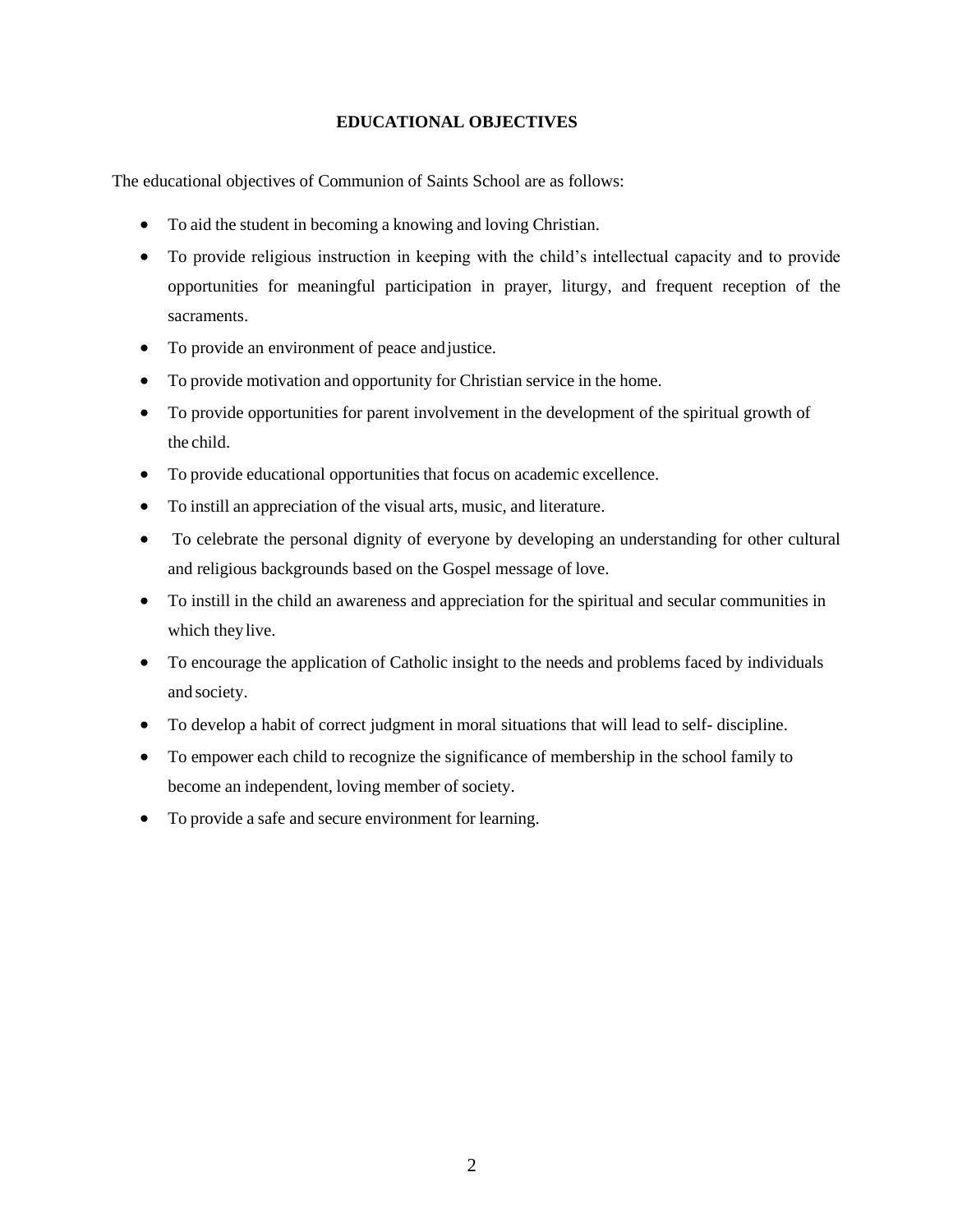# **EDUCATIONAL OBJECTIVES**

<span id="page-4-0"></span>The educational objectives of Communion of Saints School are as follows:

- To aid the student in becoming a knowing and loving Christian.
- To provide religious instruction in keeping with the child's intellectual capacity and to provide opportunities for meaningful participation in prayer, liturgy, and frequent reception of the sacraments.
- To provide an environment of peace and justice.
- To provide motivation and opportunity for Christian service in the home.
- To provide opportunities for parent involvement in the development of the spiritual growth of the child.
- To provide educational opportunities that focus on academic excellence.
- To instill an appreciation of the visual arts, music, and literature.
- To celebrate the personal dignity of everyone by developing an understanding for other cultural and religious backgrounds based on the Gospel message of love.
- To instill in the child an awareness and appreciation for the spiritual and secular communities in which theylive.
- To encourage the application of Catholic insight to the needs and problems faced by individuals and society.
- To develop a habit of correct judgment in moral situations that will lead to self- discipline.
- To empower each child to recognize the significance of membership in the school family to become an independent, loving member of society.
- To provide a safe and secure environment for learning.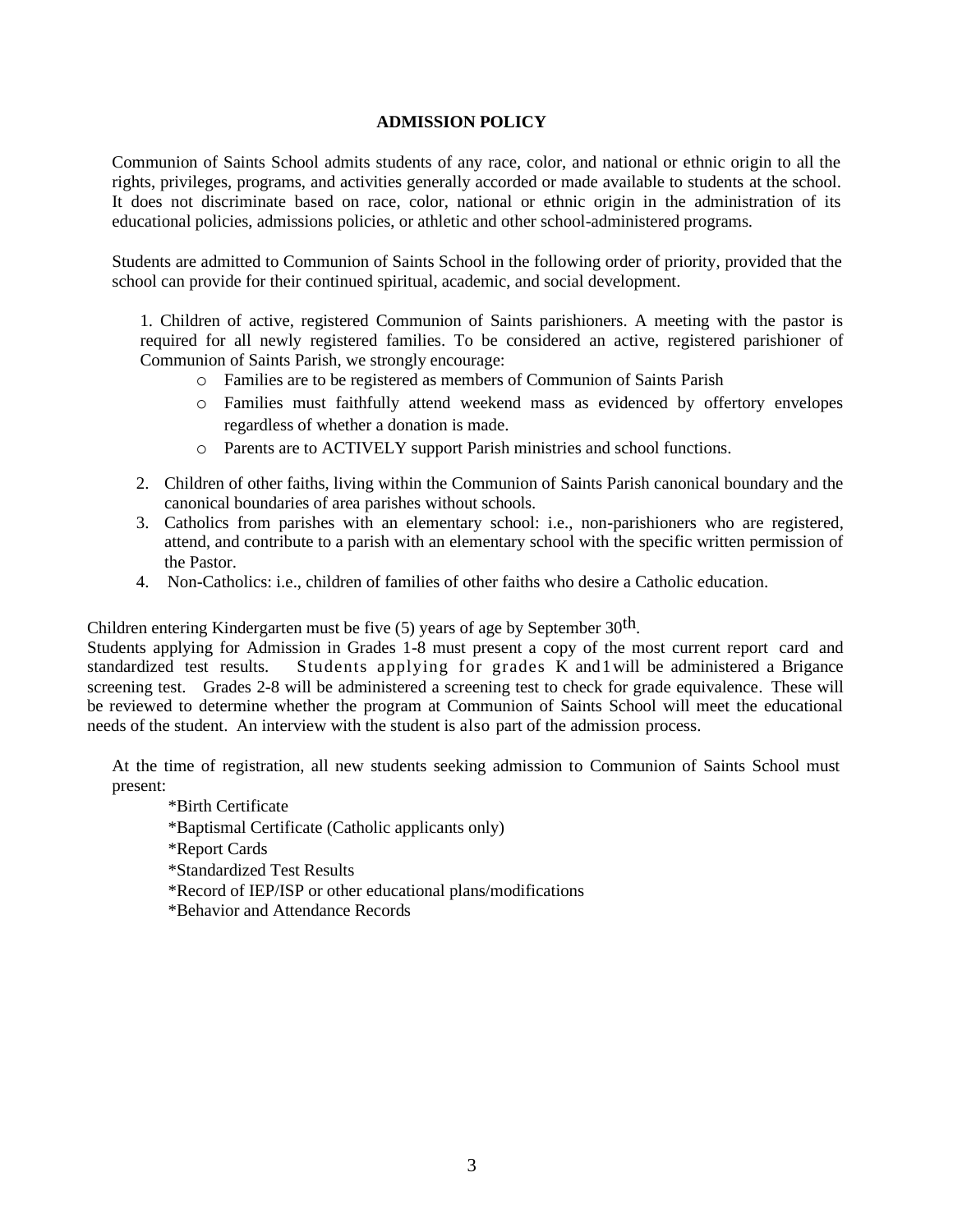# **ADMISSION POLICY**

<span id="page-5-0"></span>Communion of Saints School admits students of any race, color, and national or ethnic origin to all the rights, privileges, programs, and activities generally accorded or made available to students at the school. It does not discriminate based on race, color, national or ethnic origin in the administration of its educational policies, admissions policies, or athletic and other school-administered programs*.*

Students are admitted to Communion of Saints School in the following order of priority, provided that the school can provide for their continued spiritual, academic, and social development.

1. Children of active, registered Communion of Saints parishioners. A meeting with the pastor is required for all newly registered families. To be considered an active, registered parishioner of Communion of Saints Parish, we strongly encourage:

- o Families are to be registered as members of Communion of Saints Parish
- o Families must faithfully attend weekend mass as evidenced by offertory envelopes regardless of whether a donation is made.
- o Parents are to ACTIVELY support Parish ministries and school functions.
- 2. Children of other faiths, living within the Communion of Saints Parish canonical boundary and the canonical boundaries of area parishes without schools.
- 3. Catholics from parishes with an elementary school: i.e., non-parishioners who are registered, attend, and contribute to a parish with an elementary school with the specific written permission of the Pastor.
- 4. Non-Catholics: i.e., children of families of other faiths who desire a Catholic education.

Children entering Kindergarten must be five (5) years of age by September 30<sup>th</sup>.

Students applying for Admission in Grades 1-8 must present a copy of the most current report card and standardized test results. Students applying for grades K and 1 will be administered a Brigance screening test. Grades 2-8 will be administered a screening test to check for grade equivalence. These will be reviewed to determine whether the program at Communion of Saints School will meet the educational needs of the student. An interview with the student is also part of the admission process.

At the time of registration, all new students seeking admission to Communion of Saints School must present:

\*Birth Certificate

\*Baptismal Certificate (Catholic applicants only)

\*Report Cards

\*Standardized Test Results

\*Record of IEP/ISP or other educational plans/modifications

\*Behavior and Attendance Records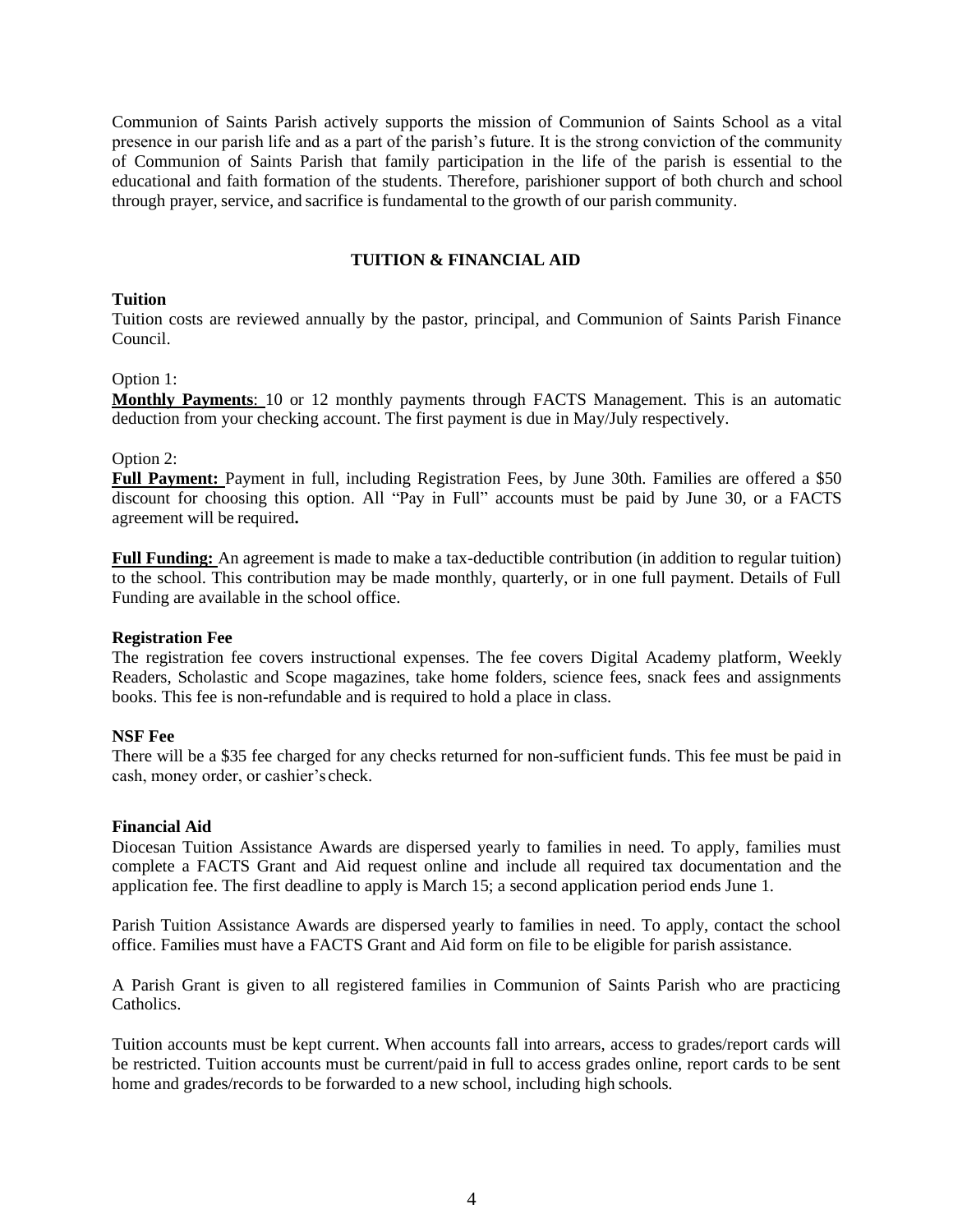Communion of Saints Parish actively supports the mission of Communion of Saints School as a vital presence in our parish life and as a part of the parish's future. It is the strong conviction of the community of Communion of Saints Parish that family participation in the life of the parish is essential to the educational and faith formation of the students. Therefore, parishioner support of both church and school through prayer, service, and sacrifice is fundamental to the growth of our parish community.

# **TUITION & FINANCIAL AID**

#### <span id="page-6-0"></span>**Tuition**

Tuition costs are reviewed annually by the pastor, principal, and Communion of Saints Parish Finance Council.

# Option 1:

**Monthly Payments**: 10 or 12 monthly payments through FACTS Management. This is an automatic deduction from your checking account. The first payment is due in May/July respectively.

# Option 2:

Full Payment: Payment in full, including Registration Fees, by June 30th. Families are offered a \$50 discount for choosing this option. All "Pay in Full" accounts must be paid by June 30, or a FACTS agreement will be required**.**

**Full Funding:** An agreement is made to make a tax-deductible contribution (in addition to regular tuition) to the school. This contribution may be made monthly, quarterly, or in one full payment. Details of Full Funding are available in the school office.

#### **Registration Fee**

The registration fee covers instructional expenses. The fee covers Digital Academy platform, Weekly Readers, Scholastic and Scope magazines, take home folders, science fees, snack fees and assignments books. This fee is non-refundable and is required to hold a place in class.

#### **NSF Fee**

There will be a \$35 fee charged for any checks returned for non-sufficient funds. This fee must be paid in cash, money order, or cashier's check.

#### **Financial Aid**

Diocesan Tuition Assistance Awards are dispersed yearly to families in need. To apply, families must complete a FACTS Grant and Aid request online and include all required tax documentation and the application fee. The first deadline to apply is March 15; a second application period ends June 1.

Parish Tuition Assistance Awards are dispersed yearly to families in need. To apply, contact the school office. Families must have a FACTS Grant and Aid form on file to be eligible for parish assistance.

A Parish Grant is given to all registered families in Communion of Saints Parish who are practicing Catholics.

Tuition accounts must be kept current. When accounts fall into arrears, access to grades/report cards will be restricted. Tuition accounts must be current/paid in full to access grades online, report cards to be sent home and grades/records to be forwarded to a new school, including high schools.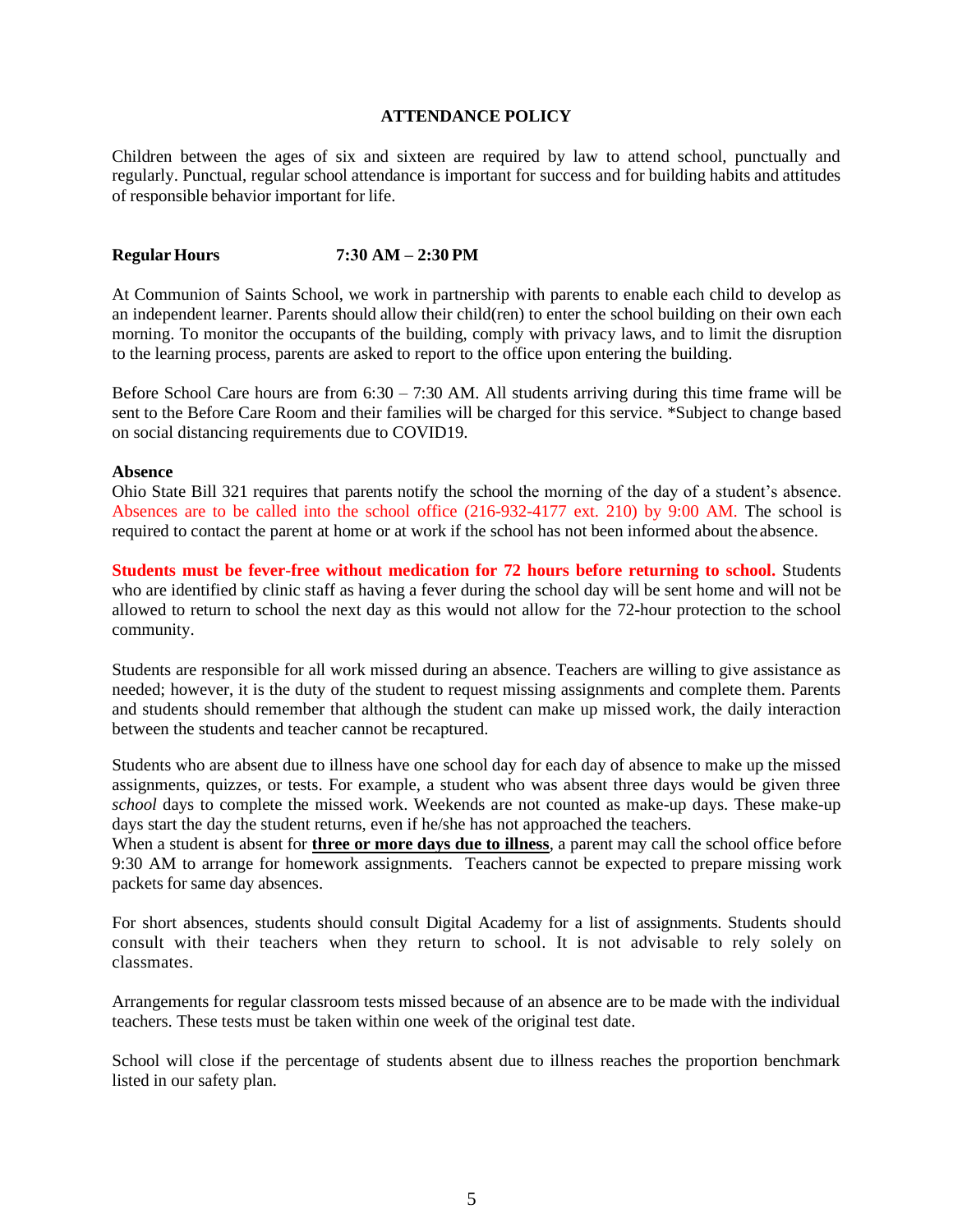# **ATTENDANCE POLICY**

Children between the ages of six and sixteen are required by law to attend school, punctually and regularly. Punctual, regular school attendance is important for success and for building habits and attitudes of responsible behavior important for life.

#### **Regular Hours 7:30 AM – 2:30 PM**

At Communion of Saints School, we work in partnership with parents to enable each child to develop as an independent learner. Parents should allow their child(ren) to enter the school building on their own each morning. To monitor the occupants of the building, comply with privacy laws, and to limit the disruption to the learning process, parents are asked to report to the office upon entering the building.

Before School Care hours are from 6:30 – 7:30 AM. All students arriving during this time frame will be sent to the Before Care Room and their families will be charged for this service. \*Subject to change based on social distancing requirements due to COVID19.

#### **Absence**

Ohio State Bill 321 requires that parents notify the school the morning of the day of a student's absence. Absences are to be called into the school office (216-932-4177 ext. 210) by 9:00 AM. The school is required to contact the parent at home or at work if the school has not been informed about the absence.

**Students must be fever-free without medication for 72 hours before returning to school.** Students who are identified by clinic staff as having a fever during the school day will be sent home and will not be allowed to return to school the next day as this would not allow for the 72-hour protection to the school community.

Students are responsible for all work missed during an absence. Teachers are willing to give assistance as needed; however, it is the duty of the student to request missing assignments and complete them. Parents and students should remember that although the student can make up missed work, the daily interaction between the students and teacher cannot be recaptured.

Students who are absent due to illness have one school day for each day of absence to make up the missed assignments, quizzes, or tests. For example, a student who was absent three days would be given three *school* days to complete the missed work. Weekends are not counted as make-up days. These make-up days start the day the student returns, even if he/she has not approached the teachers.

When a student is absent for **three or more days due to illness**, a parent may call the school office before 9:30 AM to arrange for homework assignments. Teachers cannot be expected to prepare missing work packets for same day absences.

For short absences, students should consult Digital Academy for a list of assignments. Students should consult with their teachers when they return to school. It is not advisable to rely solely on classmates.

Arrangements for regular classroom tests missed because of an absence are to be made with the individual teachers. These tests must be taken within one week of the original test date.

School will close if the percentage of students absent due to illness reaches the proportion benchmark listed in our safety plan.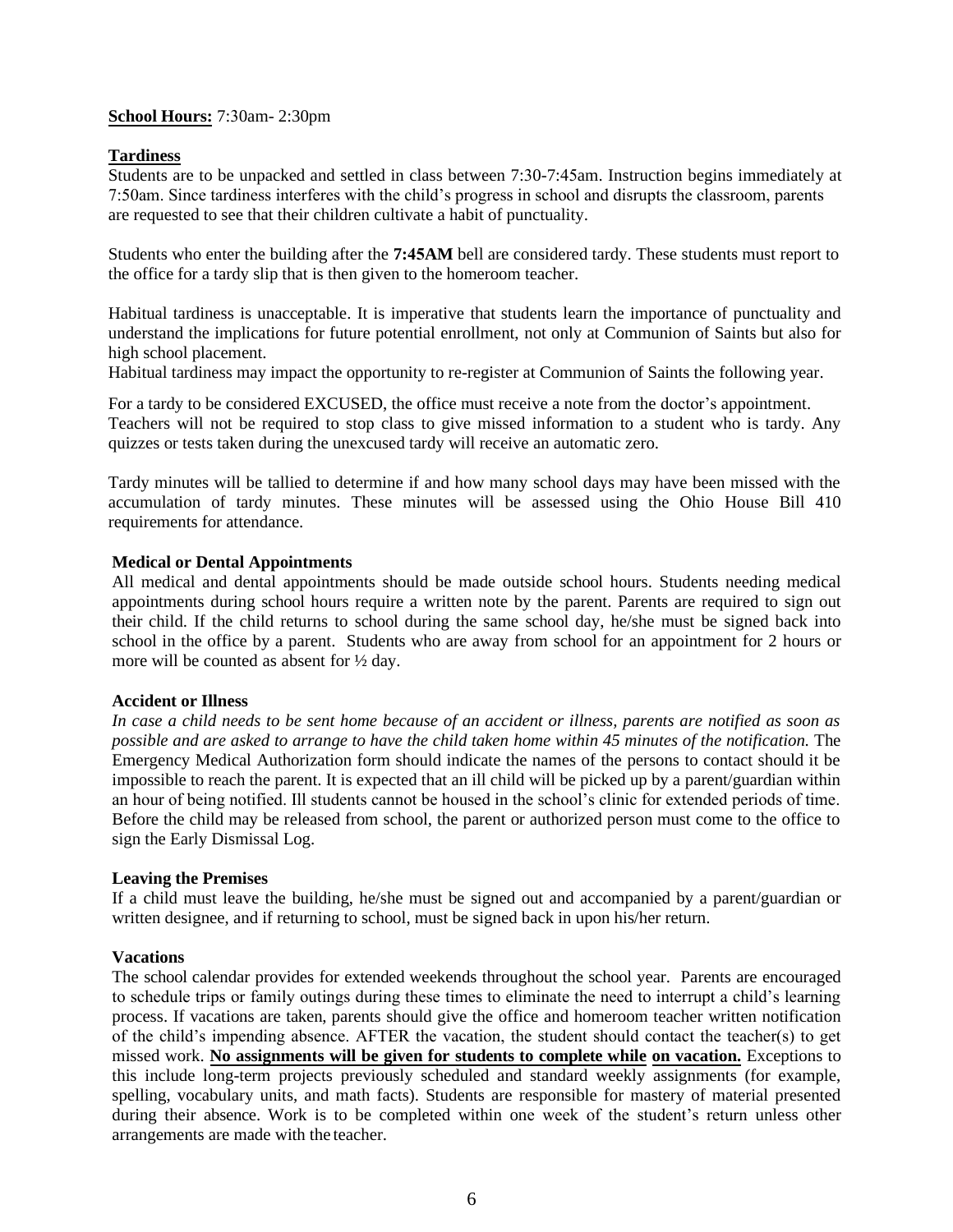# **School Hours:** 7:30am- 2:30pm

# **Tardiness**

Students are to be unpacked and settled in class between 7:30-7:45am. Instruction begins immediately at 7:50am. Since tardiness interferes with the child's progress in school and disrupts the classroom, parents are requested to see that their children cultivate a habit of punctuality.

Students who enter the building after the **7:45AM** bell are considered tardy. These students must report to the office for a tardy slip that is then given to the homeroom teacher.

Habitual tardiness is unacceptable. It is imperative that students learn the importance of punctuality and understand the implications for future potential enrollment, not only at Communion of Saints but also for high school placement.

Habitual tardiness may impact the opportunity to re-register at Communion of Saints the following year.

For a tardy to be considered EXCUSED, the office must receive a note from the doctor's appointment. Teachers will not be required to stop class to give missed information to a student who is tardy. Any quizzes or tests taken during the unexcused tardy will receive an automatic zero.

Tardy minutes will be tallied to determine if and how many school days may have been missed with the accumulation of tardy minutes. These minutes will be assessed using the Ohio House Bill 410 requirements for attendance.

# **Medical or Dental Appointments**

All medical and dental appointments should be made outside school hours. Students needing medical appointments during school hours require a written note by the parent. Parents are required to sign out their child. If the child returns to school during the same school day, he/she must be signed back into school in the office by a parent. Students who are away from school for an appointment for 2 hours or more will be counted as absent for ½ day.

# **Accident or Illness**

*In case a child needs to be sent home because of an accident or illness, parents are notified as soon as possible and are asked to arrange to have the child taken home within 45 minutes of the notification.* The Emergency Medical Authorization form should indicate the names of the persons to contact should it be impossible to reach the parent. It is expected that an ill child will be picked up by a parent/guardian within an hour of being notified. Ill students cannot be housed in the school's clinic for extended periods of time. Before the child may be released from school, the parent or authorized person must come to the office to sign the Early Dismissal Log.

#### **Leaving the Premises**

If a child must leave the building, he/she must be signed out and accompanied by a parent/guardian or written designee, and if returning to school, must be signed back in upon his/her return.

# **Vacations**

The school calendar provides for extended weekends throughout the school year. Parents are encouraged to schedule trips or family outings during these times to eliminate the need to interrupt a child's learning process. If vacations are taken, parents should give the office and homeroom teacher written notification of the child's impending absence. AFTER the vacation, the student should contact the teacher(s) to get missed work. **No assignments will be given for students to complete while on vacation.** Exceptions to this include long-term projects previously scheduled and standard weekly assignments (for example, spelling, vocabulary units, and math facts). Students are responsible for mastery of material presented during their absence. Work is to be completed within one week of the student's return unless other arrangements are made with the teacher.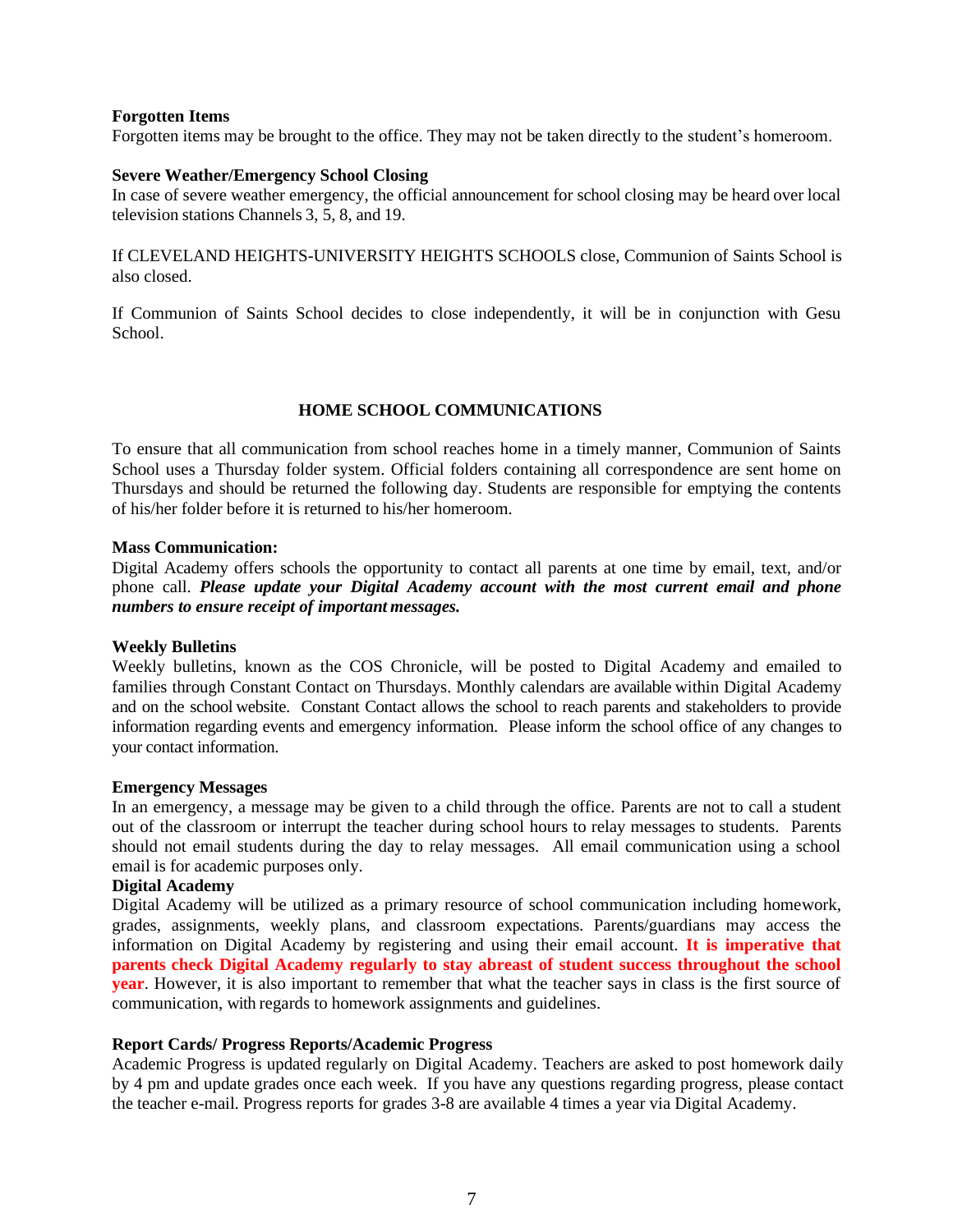# **Forgotten Items**

Forgotten items may be brought to the office. They may not be taken directly to the student's homeroom.

# **Severe Weather/Emergency School Closing**

In case of severe weather emergency, the official announcement for school closing may be heard over local television stations Channels 3, 5, 8, and 19.

If CLEVELAND HEIGHTS-UNIVERSITY HEIGHTS SCHOOLS close, Communion of Saints School is also closed.

If Communion of Saints School decides to close independently, it will be in conjunction with Gesu School.

# **HOME SCHOOL COMMUNICATIONS**

<span id="page-9-0"></span>To ensure that all communication from school reaches home in a timely manner, Communion of Saints School uses a Thursday folder system. Official folders containing all correspondence are sent home on Thursdays and should be returned the following day. Students are responsible for emptying the contents of his/her folder before it is returned to his/her homeroom.

#### **Mass Communication:**

Digital Academy offers schools the opportunity to contact all parents at one time by email, text, and/or phone call. *Please update your Digital Academy account with the most current email and phone numbers to ensure receipt of important messages.*

#### **Weekly Bulletins**

Weekly bulletins, known as the COS Chronicle, will be posted to Digital Academy and emailed to families through Constant Contact on Thursdays. Monthly calendars are available within Digital Academy and on the school website. Constant Contact allows the school to reach parents and stakeholders to provide information regarding events and emergency information. Please inform the school office of any changes to your contact information.

#### **Emergency Messages**

In an emergency, a message may be given to a child through the office. Parents are not to call a student out of the classroom or interrupt the teacher during school hours to relay messages to students. Parents should not email students during the day to relay messages. All email communication using a school email is for academic purposes only.

# **Digital Academy**

Digital Academy will be utilized as a primary resource of school communication including homework, grades, assignments, weekly plans, and classroom expectations. Parents/guardians may access the information on Digital Academy by registering and using their email account. **It is imperative that parents check Digital Academy regularly to stay abreast of student success throughout the school year**. However, it is also important to remember that what the teacher says in class is the first source of communication, with regards to homework assignments and guidelines.

# **Report Cards/ Progress Reports/Academic Progress**

Academic Progress is updated regularly on Digital Academy. Teachers are asked to post homework daily by 4 pm and update grades once each week. If you have any questions regarding progress, please contact the teacher e-mail. Progress reports for grades 3-8 are available 4 times a year via Digital Academy.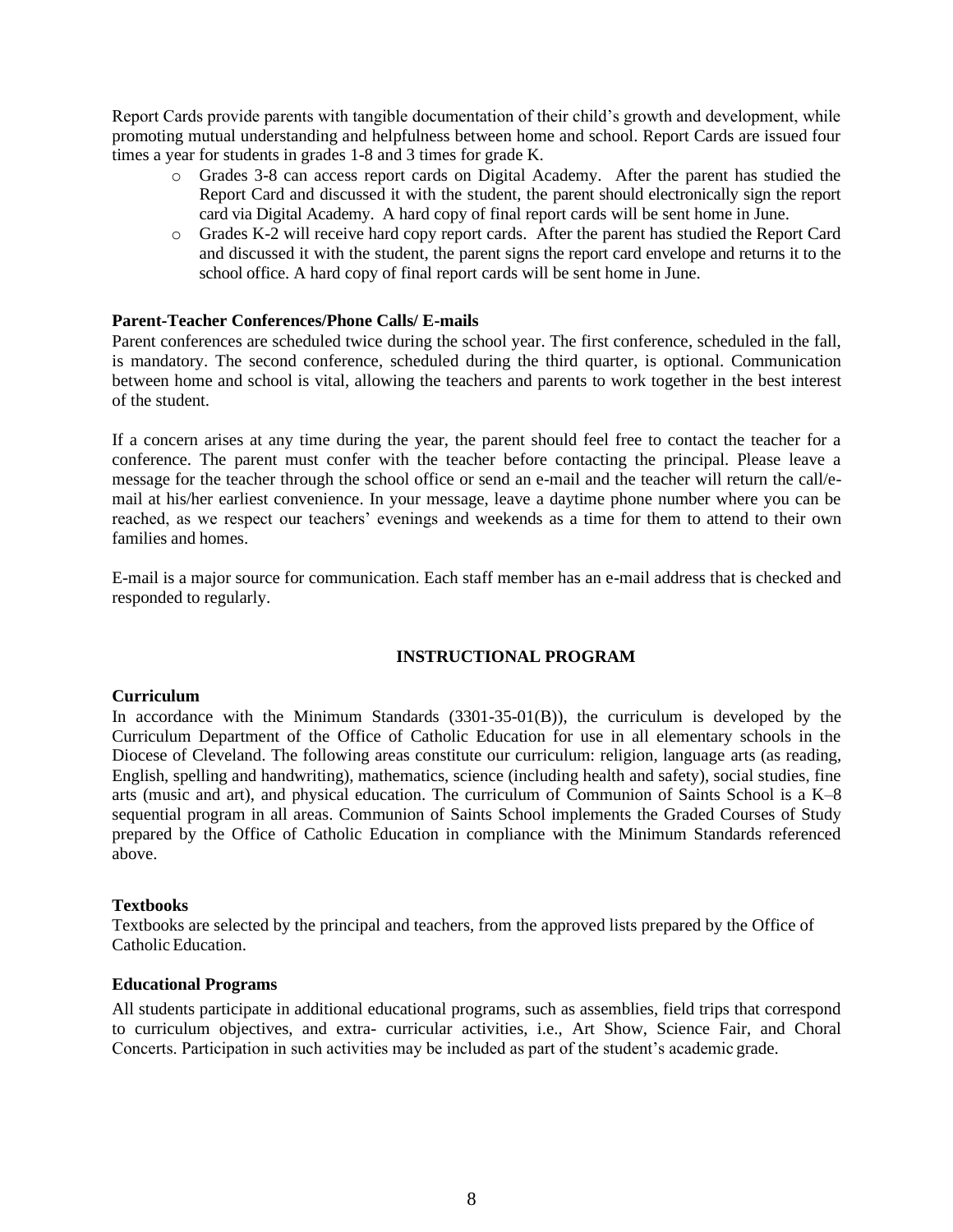Report Cards provide parents with tangible documentation of their child's growth and development, while promoting mutual understanding and helpfulness between home and school. Report Cards are issued four times a year for students in grades 1-8 and 3 times for grade K.

- o Grades 3-8 can access report cards on Digital Academy. After the parent has studied the Report Card and discussed it with the student, the parent should electronically sign the report card via Digital Academy. A hard copy of final report cards will be sent home in June.
- o Grades K-2 will receive hard copy report cards. After the parent has studied the Report Card and discussed it with the student, the parent signs the report card envelope and returns it to the school office. A hard copy of final report cards will be sent home in June.

# **Parent-Teacher Conferences/Phone Calls/ E-mails**

Parent conferences are scheduled twice during the school year. The first conference, scheduled in the fall, is mandatory. The second conference, scheduled during the third quarter, is optional. Communication between home and school is vital, allowing the teachers and parents to work together in the best interest of the student.

If a concern arises at any time during the year, the parent should feel free to contact the teacher for a conference. The parent must confer with the teacher before contacting the principal. Please leave a message for the teacher through the school office or send an e-mail and the teacher will return the call/email at his/her earliest convenience. In your message, leave a daytime phone number where you can be reached, as we respect our teachers' evenings and weekends as a time for them to attend to their own families and homes.

<span id="page-10-0"></span>E-mail is a major source for communication. Each staff member has an e-mail address that is checked and responded to regularly.

# **INSTRUCTIONAL PROGRAM**

# **Curriculum**

In accordance with the Minimum Standards (3301-35-01(B)), the curriculum is developed by the Curriculum Department of the Office of Catholic Education for use in all elementary schools in the Diocese of Cleveland. The following areas constitute our curriculum: religion, language arts (as reading, English, spelling and handwriting), mathematics, science (including health and safety), social studies, fine arts (music and art), and physical education. The curriculum of Communion of Saints School is a K–8 sequential program in all areas. Communion of Saints School implements the Graded Courses of Study prepared by the Office of Catholic Education in compliance with the Minimum Standards referenced above.

# **Textbooks**

Textbooks are selected by the principal and teachers, from the approved lists prepared by the Office of Catholic Education.

#### **Educational Programs**

All students participate in additional educational programs, such as assemblies, field trips that correspond to curriculum objectives, and extra- curricular activities, i.e., Art Show, Science Fair, and Choral Concerts. Participation in such activities may be included as part of the student's academic grade.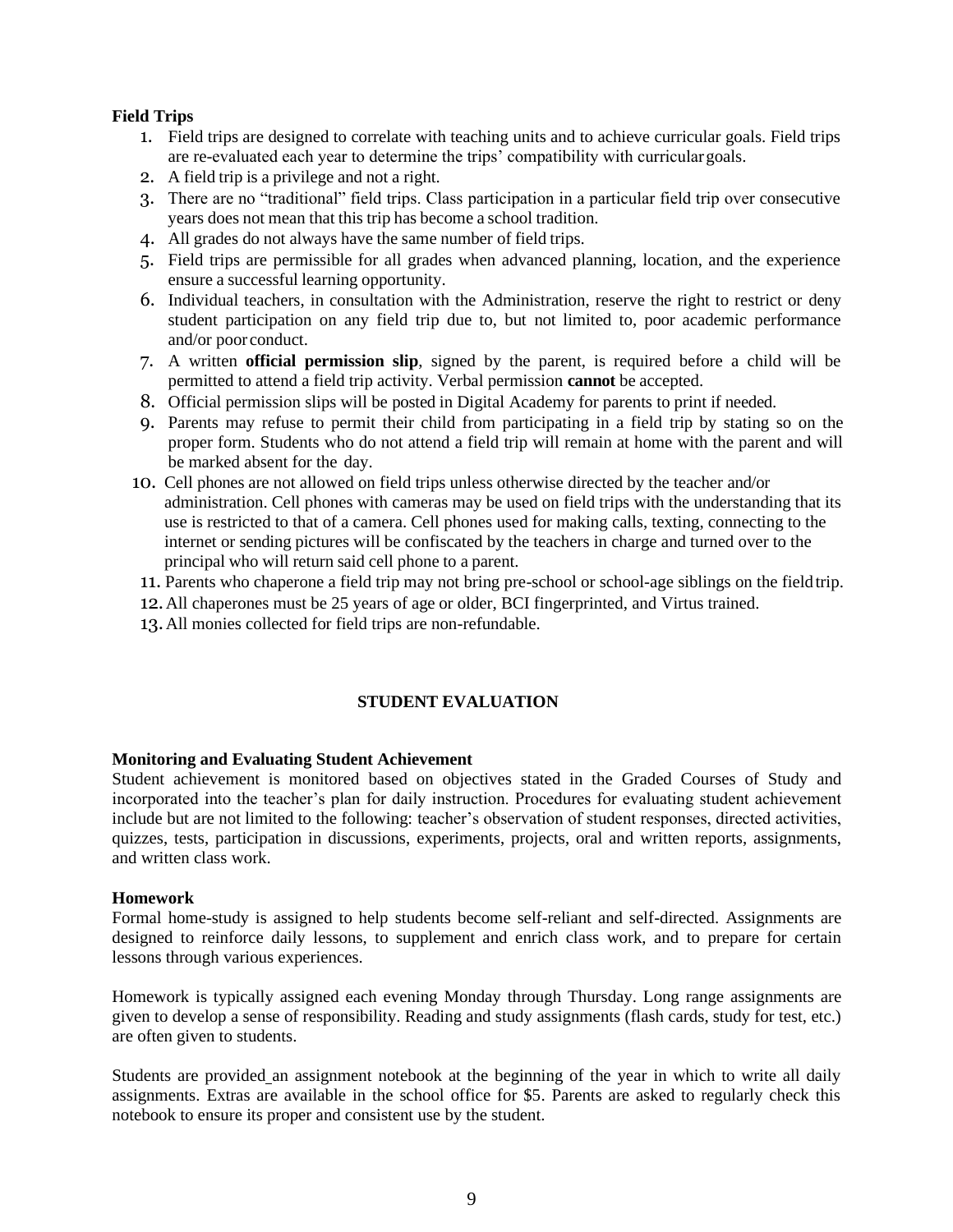# **Field Trips**

- 1. Field trips are designed to correlate with teaching units and to achieve curricular goals. Field trips are re-evaluated each year to determine the trips' compatibility with curriculargoals.
- 2. A field trip is a privilege and not a right.
- 3. There are no "traditional" field trips. Class participation in a particular field trip over consecutive years does not mean that this trip has become a school tradition.
- 4. All grades do not always have the same number of field trips.
- 5. Field trips are permissible for all grades when advanced planning, location, and the experience ensure a successful learning opportunity.
- 6. Individual teachers, in consultation with the Administration, reserve the right to restrict or deny student participation on any field trip due to, but not limited to, poor academic performance and/or poor conduct.
- 7. A written **official permission slip**, signed by the parent, is required before a child will be permitted to attend a field trip activity. Verbal permission **cannot** be accepted.
- 8. Official permission slips will be posted in Digital Academy for parents to print if needed.
- 9. Parents may refuse to permit their child from participating in a field trip by stating so on the proper form. Students who do not attend a field trip will remain at home with the parent and will be marked absent for the day.
- 10. Cell phones are not allowed on field trips unless otherwise directed by the teacher and/or administration. Cell phones with cameras may be used on field trips with the understanding that its use is restricted to that of a camera. Cell phones used for making calls, texting, connecting to the internet or sending pictures will be confiscated by the teachers in charge and turned over to the principal who will return said cell phone to a parent.
- 11. Parents who chaperone a field trip may not bring pre-school or school-age siblings on the fieldtrip.
- 12.All chaperones must be 25 years of age or older, BCI fingerprinted, and Virtus trained.
- <span id="page-11-0"></span>13.All monies collected for field trips are non-refundable.

# **STUDENT EVALUATION**

#### **Monitoring and Evaluating Student Achievement**

Student achievement is monitored based on objectives stated in the Graded Courses of Study and incorporated into the teacher's plan for daily instruction. Procedures for evaluating student achievement include but are not limited to the following: teacher's observation of student responses, directed activities, quizzes, tests, participation in discussions, experiments, projects, oral and written reports, assignments, and written class work.

# **Homework**

Formal home-study is assigned to help students become self-reliant and self-directed. Assignments are designed to reinforce daily lessons, to supplement and enrich class work, and to prepare for certain lessons through various experiences.

Homework is typically assigned each evening Monday through Thursday. Long range assignments are given to develop a sense of responsibility. Reading and study assignments (flash cards, study for test, etc.) are often given to students.

Students are provided an assignment notebook at the beginning of the year in which to write all daily assignments. Extras are available in the school office for \$5. Parents are asked to regularly check this notebook to ensure its proper and consistent use by the student.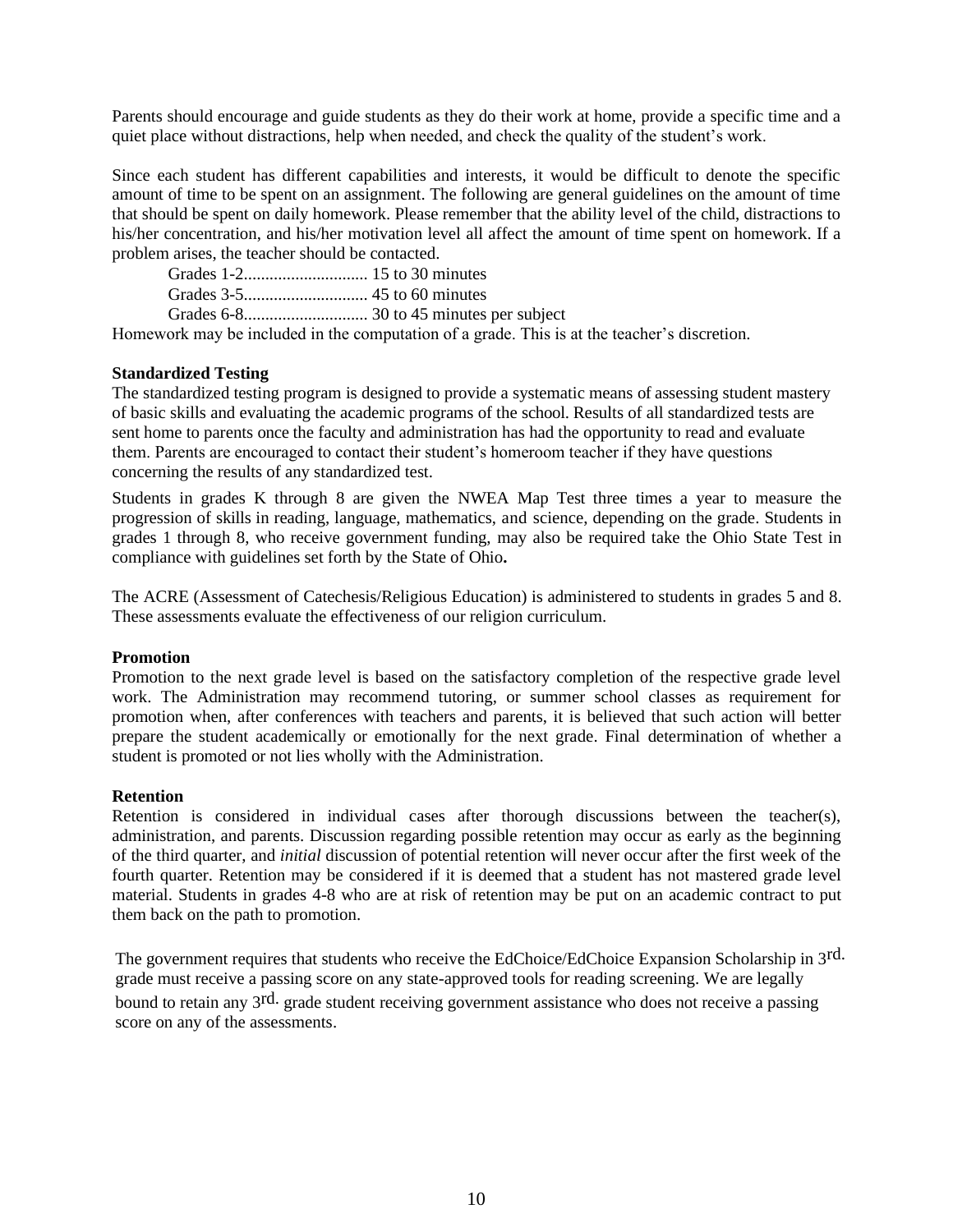Parents should encourage and guide students as they do their work at home, provide a specific time and a quiet place without distractions, help when needed, and check the quality of the student's work.

Since each student has different capabilities and interests, it would be difficult to denote the specific amount of time to be spent on an assignment. The following are general guidelines on the amount of time that should be spent on daily homework. Please remember that the ability level of the child, distractions to his/her concentration, and his/her motivation level all affect the amount of time spent on homework. If a problem arises, the teacher should be contacted.

Grades 1-2............................. 15 to 30 minutes Grades 3-5............................. 45 to 60 minutes Grades 6-8............................. 30 to 45 minutes per subject

Homework may be included in the computation of a grade. This is at the teacher's discretion.

# **Standardized Testing**

The standardized testing program is designed to provide a systematic means of assessing student mastery of basic skills and evaluating the academic programs of the school. Results of all standardized tests are sent home to parents once the faculty and administration has had the opportunity to read and evaluate them. Parents are encouraged to contact their student's homeroom teacher if they have questions concerning the results of any standardized test.

Students in grades K through 8 are given the NWEA Map Test three times a year to measure the progression of skills in reading, language, mathematics, and science, depending on the grade. Students in grades 1 through 8, who receive government funding, may also be required take the Ohio State Test in compliance with guidelines set forth by the State of Ohio**.**

The ACRE (Assessment of Catechesis/Religious Education) is administered to students in grades 5 and 8. These assessments evaluate the effectiveness of our religion curriculum.

# **Promotion**

Promotion to the next grade level is based on the satisfactory completion of the respective grade level work. The Administration may recommend tutoring, or summer school classes as requirement for promotion when, after conferences with teachers and parents, it is believed that such action will better prepare the student academically or emotionally for the next grade. Final determination of whether a student is promoted or not lies wholly with the Administration.

# **Retention**

Retention is considered in individual cases after thorough discussions between the teacher(s), administration, and parents. Discussion regarding possible retention may occur as early as the beginning of the third quarter, and *initial* discussion of potential retention will never occur after the first week of the fourth quarter. Retention may be considered if it is deemed that a student has not mastered grade level material. Students in grades 4-8 who are at risk of retention may be put on an academic contract to put them back on the path to promotion.

The government requires that students who receive the EdChoice/EdChoice Expansion Scholarship in 3<sup>rd.</sup> grade must receive a passing score on any state-approved tools for reading screening. We are legally bound to retain any 3<sup>rd.</sup> grade student receiving government assistance who does not receive a passing score on any of the assessments.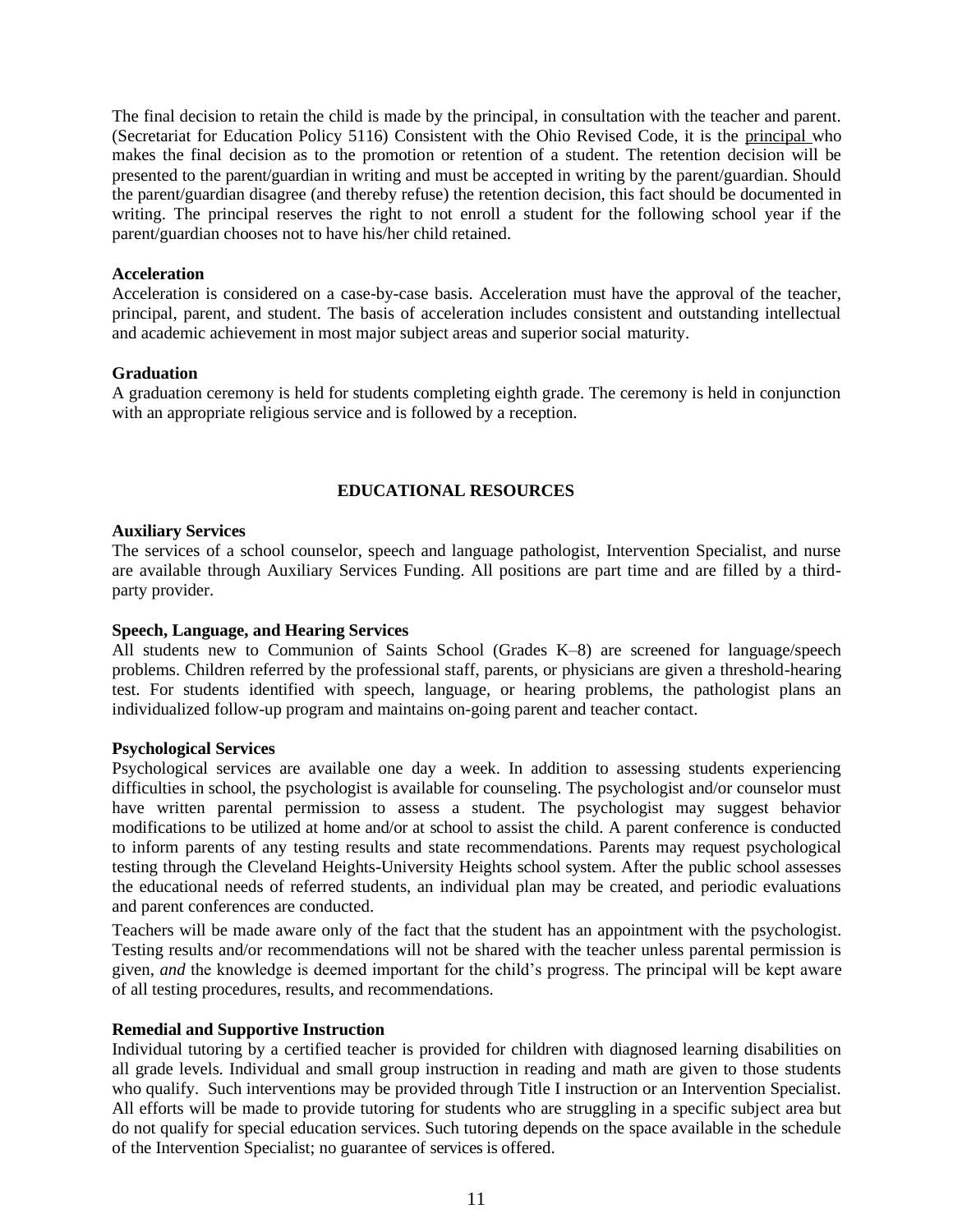The final decision to retain the child is made by the principal, in consultation with the teacher and parent. (Secretariat for Education Policy 5116) Consistent with the Ohio Revised Code, it is the principal who makes the final decision as to the promotion or retention of a student. The retention decision will be presented to the parent/guardian in writing and must be accepted in writing by the parent/guardian. Should the parent/guardian disagree (and thereby refuse) the retention decision, this fact should be documented in writing. The principal reserves the right to not enroll a student for the following school year if the parent/guardian chooses not to have his/her child retained.

# **Acceleration**

Acceleration is considered on a case-by-case basis. Acceleration must have the approval of the teacher, principal, parent, and student. The basis of acceleration includes consistent and outstanding intellectual and academic achievement in most major subject areas and superior social maturity.

# **Graduation**

<span id="page-13-0"></span>A graduation ceremony is held for students completing eighth grade. The ceremony is held in conjunction with an appropriate religious service and is followed by a reception.

# **EDUCATIONAL RESOURCES**

# **Auxiliary Services**

The services of a school counselor, speech and language pathologist, Intervention Specialist, and nurse are available through Auxiliary Services Funding. All positions are part time and are filled by a thirdparty provider.

# **Speech, Language, and Hearing Services**

All students new to Communion of Saints School (Grades K–8) are screened for language/speech problems. Children referred by the professional staff, parents, or physicians are given a threshold-hearing test. For students identified with speech, language, or hearing problems, the pathologist plans an individualized follow-up program and maintains on-going parent and teacher contact.

#### **Psychological Services**

Psychological services are available one day a week. In addition to assessing students experiencing difficulties in school, the psychologist is available for counseling. The psychologist and/or counselor must have written parental permission to assess a student. The psychologist may suggest behavior modifications to be utilized at home and/or at school to assist the child. A parent conference is conducted to inform parents of any testing results and state recommendations. Parents may request psychological testing through the Cleveland Heights-University Heights school system. After the public school assesses the educational needs of referred students, an individual plan may be created, and periodic evaluations and parent conferences are conducted.

Teachers will be made aware only of the fact that the student has an appointment with the psychologist. Testing results and/or recommendations will not be shared with the teacher unless parental permission is given, *and* the knowledge is deemed important for the child's progress. The principal will be kept aware of all testing procedures, results, and recommendations.

#### **Remedial and Supportive Instruction**

Individual tutoring by a certified teacher is provided for children with diagnosed learning disabilities on all grade levels. Individual and small group instruction in reading and math are given to those students who qualify. Such interventions may be provided through Title I instruction or an Intervention Specialist. All efforts will be made to provide tutoring for students who are struggling in a specific subject area but do not qualify for special education services. Such tutoring depends on the space available in the schedule of the Intervention Specialist; no guarantee of services is offered.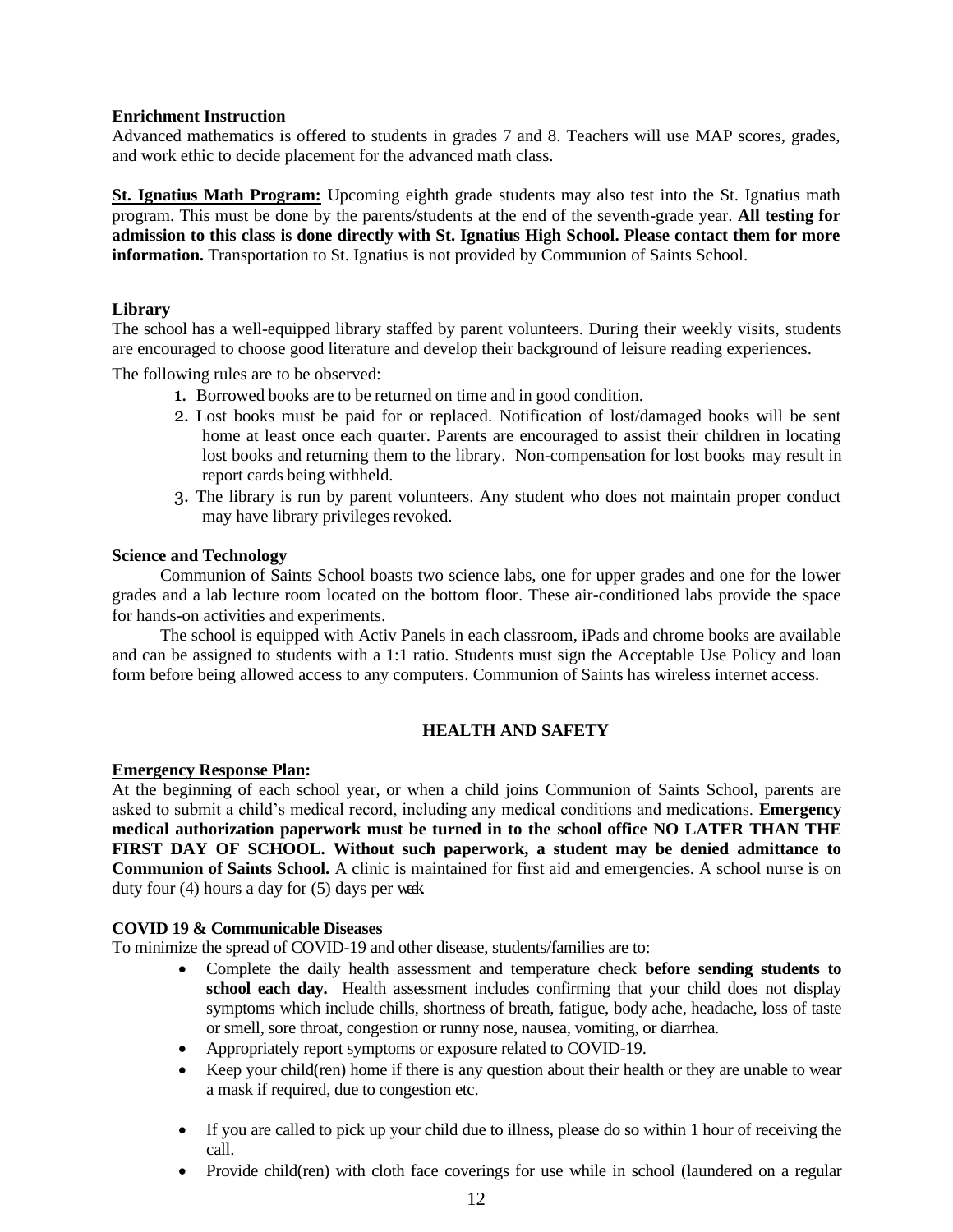# **Enrichment Instruction**

Advanced mathematics is offered to students in grades 7 and 8. Teachers will use MAP scores, grades, and work ethic to decide placement for the advanced math class.

**St. Ignatius Math Program:** Upcoming eighth grade students may also test into the St. Ignatius math program. This must be done by the parents/students at the end of the seventh-grade year. **All testing for admission to this class is done directly with St. Ignatius High School. Please contact them for more information.** Transportation to St. Ignatius is not provided by Communion of Saints School.

# **Library**

The school has a well-equipped library staffed by parent volunteers. During their weekly visits, students are encouraged to choose good literature and develop their background of leisure reading experiences.

The following rules are to be observed:

- 1. Borrowed books are to be returned on time and in good condition.
- 2. Lost books must be paid for or replaced. Notification of lost/damaged books will be sent home at least once each quarter. Parents are encouraged to assist their children in locating lost books and returning them to the library. Non-compensation for lost books may result in report cards being withheld.
- 3. The library is run by parent volunteers. Any student who does not maintain proper conduct may have library privileges revoked.

# **Science and Technology**

Communion of Saints School boasts two science labs, one for upper grades and one for the lower grades and a lab lecture room located on the bottom floor. These air-conditioned labs provide the space for hands-on activities and experiments.

The school is equipped with Activ Panels in each classroom, iPads and chrome books are available and can be assigned to students with a 1:1 ratio. Students must sign the Acceptable Use Policy and loan form before being allowed access to any computers. Communion of Saints has wireless internet access.

# **HEALTH AND SAFETY**

#### <span id="page-14-0"></span>**Emergency Response Plan:**

At the beginning of each school year, or when a child joins Communion of Saints School, parents are asked to submit a child's medical record, including any medical conditions and medications. **Emergency medical authorization paperwork must be turned in to the school office NO LATER THAN THE FIRST DAY OF SCHOOL. Without such paperwork, a student may be denied admittance to Communion of Saints School.** A clinic is maintained for first aid and emergencies. A school nurse is on duty four  $(4)$  hours a day for  $(5)$  days per week.

#### **COVID 19 & Communicable Diseases**

To minimize the spread of COVID-19 and other disease, students/families are to:

- Complete the daily health assessment and temperature check **before sending students to**  school each day. Health assessment includes confirming that your child does not display symptoms which include chills, shortness of breath, fatigue, body ache, headache, loss of taste or smell, sore throat, congestion or runny nose, nausea, vomiting, or diarrhea.
- Appropriately report symptoms or exposure related to COVID-19.
- Keep your child(ren) home if there is any question about their health or they are unable to wear a mask if required, due to congestion etc.
- If you are called to pick up your child due to illness, please do so within 1 hour of receiving the call.
- Provide child(ren) with cloth face coverings for use while in school (laundered on a regular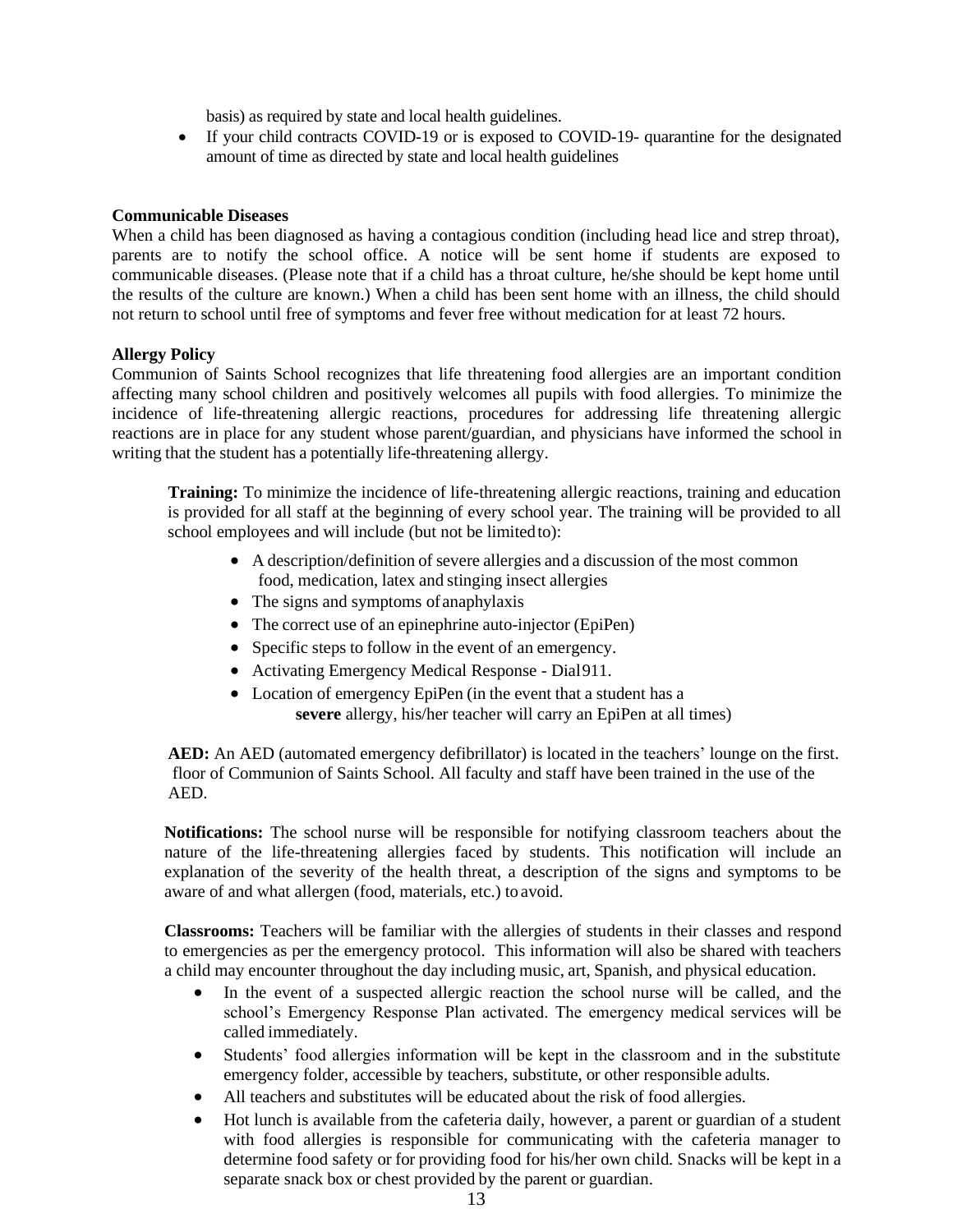basis) as required by state and local health guidelines.

• If your child contracts COVID-19 or is exposed to COVID-19- quarantine for the designated amount of time as directed by state and local health guidelines

# **Communicable Diseases**

When a child has been diagnosed as having a contagious condition (including head lice and strep throat), parents are to notify the school office. A notice will be sent home if students are exposed to communicable diseases. (Please note that if a child has a throat culture, he/she should be kept home until the results of the culture are known.) When a child has been sent home with an illness, the child should not return to school until free of symptoms and fever free without medication for at least 72 hours.

# **Allergy Policy**

Communion of Saints School recognizes that life threatening food allergies are an important condition affecting many school children and positively welcomes all pupils with food allergies. To minimize the incidence of life-threatening allergic reactions, procedures for addressing life threatening allergic reactions are in place for any student whose parent/guardian, and physicians have informed the school in writing that the student has a potentially life-threatening allergy.

**Training:** To minimize the incidence of life-threatening allergic reactions, training and education is provided for all staff at the beginning of every school year. The training will be provided to all school employees and will include (but not be limitedto):

- A description/definition of severe allergies and a discussion of the most common food, medication, latex and stinging insect allergies
- The signs and symptoms of anaphylaxis
- The correct use of an epinephrine auto-injector (EpiPen)
- Specific steps to follow in the event of an emergency.
- Activating Emergency Medical Response Dial911.
- Location of emergency EpiPen (in the event that a student has a **severe** allergy, his/her teacher will carry an EpiPen at all times)

**AED:** An AED (automated emergency defibrillator) is located in the teachers' lounge on the first. floor of Communion of Saints School. All faculty and staff have been trained in the use of the AED.

**Notifications:** The school nurse will be responsible for notifying classroom teachers about the nature of the life-threatening allergies faced by students. This notification will include an explanation of the severity of the health threat, a description of the signs and symptoms to be aware of and what allergen (food, materials, etc.) to avoid.

**Classrooms:** Teachers will be familiar with the allergies of students in their classes and respond to emergencies as per the emergency protocol. This information will also be shared with teachers a child may encounter throughout the day including music, art, Spanish, and physical education.

- In the event of a suspected allergic reaction the school nurse will be called, and the school's Emergency Response Plan activated. The emergency medical services will be called immediately.
- Students' food allergies information will be kept in the classroom and in the substitute emergency folder, accessible by teachers, substitute, or other responsible adults.
- All teachers and substitutes will be educated about the risk of food allergies.
- Hot lunch is available from the cafeteria daily, however, a parent or guardian of a student with food allergies is responsible for communicating with the cafeteria manager to determine food safety or for providing food for his/her own child. Snacks will be kept in a separate snack box or chest provided by the parent or guardian.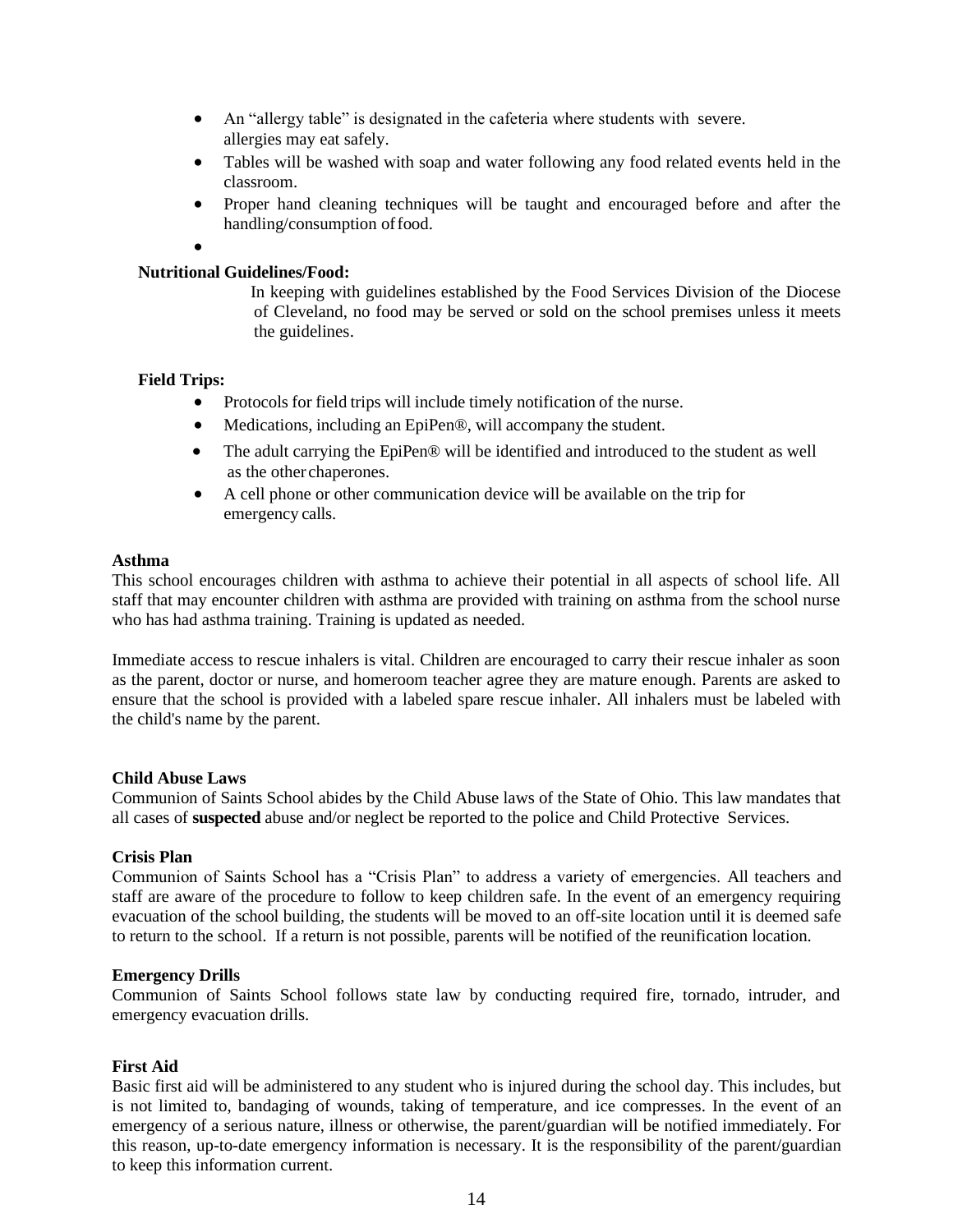- An "allergy table" is designated in the cafeteria where students with severe. allergies may eat safely.
- Tables will be washed with soap and water following any food related events held in the classroom.
- Proper hand cleaning techniques will be taught and encouraged before and after the handling/consumption of food.

•

# **Nutritional Guidelines/Food:**

In keeping with guidelines established by the Food Services Division of the Diocese of Cleveland, no food may be served or sold on the school premises unless it meets the guidelines.

# **Field Trips:**

- Protocols for field trips will include timely notification of the nurse.
- Medications, including an EpiPen®, will accompany the student.
- The adult carrying the EpiPen<sup>®</sup> will be identified and introduced to the student as well as the other chaperones.
- A cell phone or other communication device will be available on the trip for emergency calls.

#### **Asthma**

This school encourages children with asthma to achieve their potential in all aspects of school life. All staff that may encounter children with asthma are provided with training on asthma from the school nurse who has had asthma training. Training is updated as needed.

Immediate access to rescue inhalers is vital. Children are encouraged to carry their rescue inhaler as soon as the parent, doctor or nurse, and homeroom teacher agree they are mature enough. Parents are asked to ensure that the school is provided with a labeled spare rescue inhaler. All inhalers must be labeled with the child's name by the parent.

#### **Child Abuse Laws**

Communion of Saints School abides by the Child Abuse laws of the State of Ohio. This law mandates that all cases of **suspected** abuse and/or neglect be reported to the police and Child Protective Services.

#### **Crisis Plan**

Communion of Saints School has a "Crisis Plan" to address a variety of emergencies. All teachers and staff are aware of the procedure to follow to keep children safe. In the event of an emergency requiring evacuation of the school building, the students will be moved to an off-site location until it is deemed safe to return to the school. If a return is not possible, parents will be notified of the reunification location.

#### **Emergency Drills**

Communion of Saints School follows state law by conducting required fire, tornado, intruder, and emergency evacuation drills.

#### **First Aid**

Basic first aid will be administered to any student who is injured during the school day. This includes, but is not limited to, bandaging of wounds, taking of temperature, and ice compresses. In the event of an emergency of a serious nature, illness or otherwise, the parent/guardian will be notified immediately. For this reason, up-to-date emergency information is necessary. It is the responsibility of the parent/guardian to keep this information current.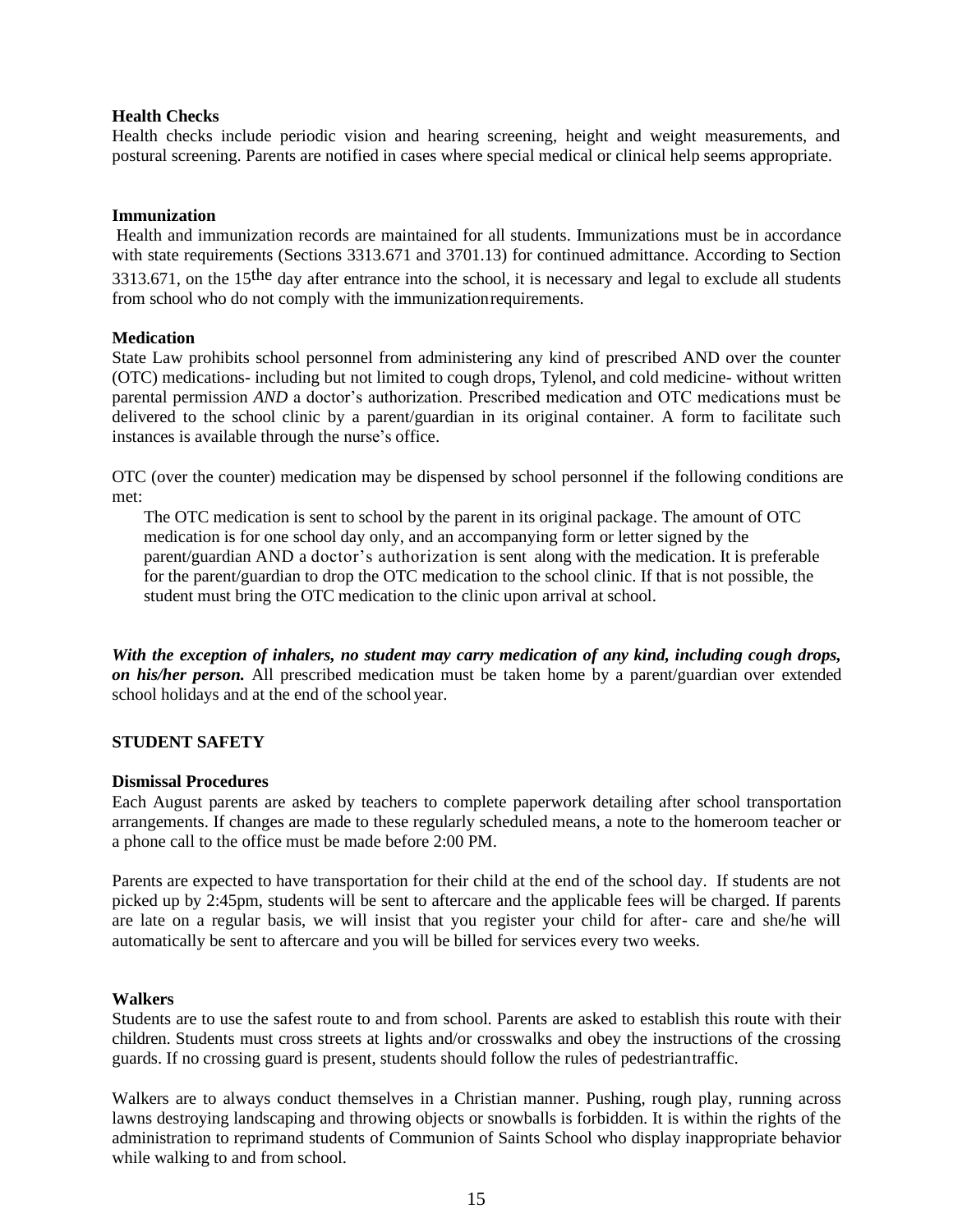# **Health Checks**

Health checks include periodic vision and hearing screening, height and weight measurements, and postural screening. Parents are notified in cases where special medical or clinical help seems appropriate.

# **Immunization**

Health and immunization records are maintained for all students. Immunizations must be in accordance with state requirements (Sections 3313.671 and 3701.13) for continued admittance. According to Section 3313.671, on the 15<sup>the</sup> day after entrance into the school, it is necessary and legal to exclude all students from school who do not comply with the immunizationrequirements.

# **Medication**

State Law prohibits school personnel from administering any kind of prescribed AND over the counter (OTC) medications- including but not limited to cough drops, Tylenol, and cold medicine- without written parental permission *AND* a doctor's authorization. Prescribed medication and OTC medications must be delivered to the school clinic by a parent/guardian in its original container. A form to facilitate such instances is available through the nurse's office.

OTC (over the counter) medication may be dispensed by school personnel if the following conditions are met:

The OTC medication is sent to school by the parent in its original package. The amount of OTC medication is for one school day only, and an accompanying form or letter signed by the parent/guardian AND a doctor's authorization is sent along with the medication. It is preferable for the parent/guardian to drop the OTC medication to the school clinic. If that is not possible, the student must bring the OTC medication to the clinic upon arrival at school.

*With the exception of inhalers, no student may carry medication of any kind, including cough drops, on his/her person.* All prescribed medication must be taken home by a parent/guardian over extended school holidays and at the end of the schoolyear.

# <span id="page-17-0"></span>**STUDENT SAFETY**

#### **Dismissal Procedures**

Each August parents are asked by teachers to complete paperwork detailing after school transportation arrangements. If changes are made to these regularly scheduled means, a note to the homeroom teacher or a phone call to the office must be made before 2:00 PM.

Parents are expected to have transportation for their child at the end of the school day. If students are not picked up by 2:45pm, students will be sent to aftercare and the applicable fees will be charged. If parents are late on a regular basis, we will insist that you register your child for after- care and she/he will automatically be sent to aftercare and you will be billed for services every two weeks.

# **Walkers**

Students are to use the safest route to and from school. Parents are asked to establish this route with their children. Students must cross streets at lights and/or crosswalks and obey the instructions of the crossing guards. If no crossing guard is present, students should follow the rules of pedestriantraffic.

Walkers are to always conduct themselves in a Christian manner. Pushing, rough play, running across lawns destroying landscaping and throwing objects or snowballs is forbidden. It is within the rights of the administration to reprimand students of Communion of Saints School who display inappropriate behavior while walking to and from school.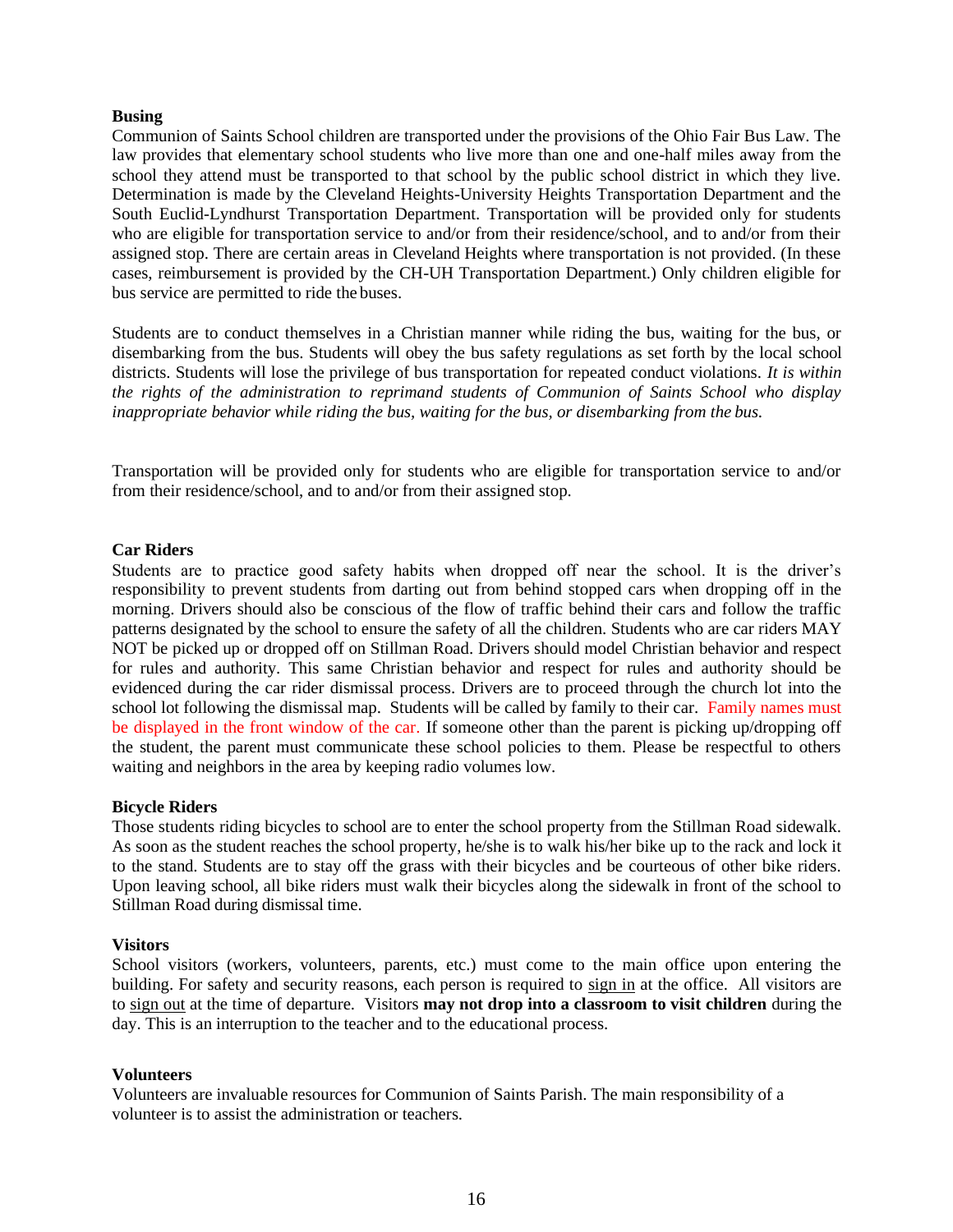# **Busing**

Communion of Saints School children are transported under the provisions of the Ohio Fair Bus Law. The law provides that elementary school students who live more than one and one-half miles away from the school they attend must be transported to that school by the public school district in which they live. Determination is made by the Cleveland Heights-University Heights Transportation Department and the South Euclid-Lyndhurst Transportation Department. Transportation will be provided only for students who are eligible for transportation service to and/or from their residence/school, and to and/or from their assigned stop. There are certain areas in Cleveland Heights where transportation is not provided. (In these cases, reimbursement is provided by the CH-UH Transportation Department.) Only children eligible for bus service are permitted to ride the buses.

Students are to conduct themselves in a Christian manner while riding the bus, waiting for the bus, or disembarking from the bus. Students will obey the bus safety regulations as set forth by the local school districts. Students will lose the privilege of bus transportation for repeated conduct violations. *It is within the rights of the administration to reprimand students of Communion of Saints School who display inappropriate behavior while riding the bus, waiting for the bus, or disembarking from the bus.* 

Transportation will be provided only for students who are eligible for transportation service to and/or from their residence/school, and to and/or from their assigned stop.

#### **Car Riders**

Students are to practice good safety habits when dropped off near the school. It is the driver's responsibility to prevent students from darting out from behind stopped cars when dropping off in the morning. Drivers should also be conscious of the flow of traffic behind their cars and follow the traffic patterns designated by the school to ensure the safety of all the children. Students who are car riders MAY NOT be picked up or dropped off on Stillman Road. Drivers should model Christian behavior and respect for rules and authority. This same Christian behavior and respect for rules and authority should be evidenced during the car rider dismissal process. Drivers are to proceed through the church lot into the school lot following the dismissal map. Students will be called by family to their car. Family names must be displayed in the front window of the car. If someone other than the parent is picking up/dropping off the student, the parent must communicate these school policies to them. Please be respectful to others waiting and neighbors in the area by keeping radio volumes low.

#### **Bicycle Riders**

Those students riding bicycles to school are to enter the school property from the Stillman Road sidewalk. As soon as the student reaches the school property, he/she is to walk his/her bike up to the rack and lock it to the stand. Students are to stay off the grass with their bicycles and be courteous of other bike riders. Upon leaving school, all bike riders must walk their bicycles along the sidewalk in front of the school to Stillman Road during dismissal time.

#### **Visitors**

School visitors (workers, volunteers, parents, etc.) must come to the main office upon entering the building. For safety and security reasons, each person is required to sign in at the office. All visitors are to sign out at the time of departure. Visitors **may not drop into a classroom to visit children** during the day. This is an interruption to the teacher and to the educational process.

#### **Volunteers**

Volunteers are invaluable resources for Communion of Saints Parish. The main responsibility of a volunteer is to assist the administration or teachers.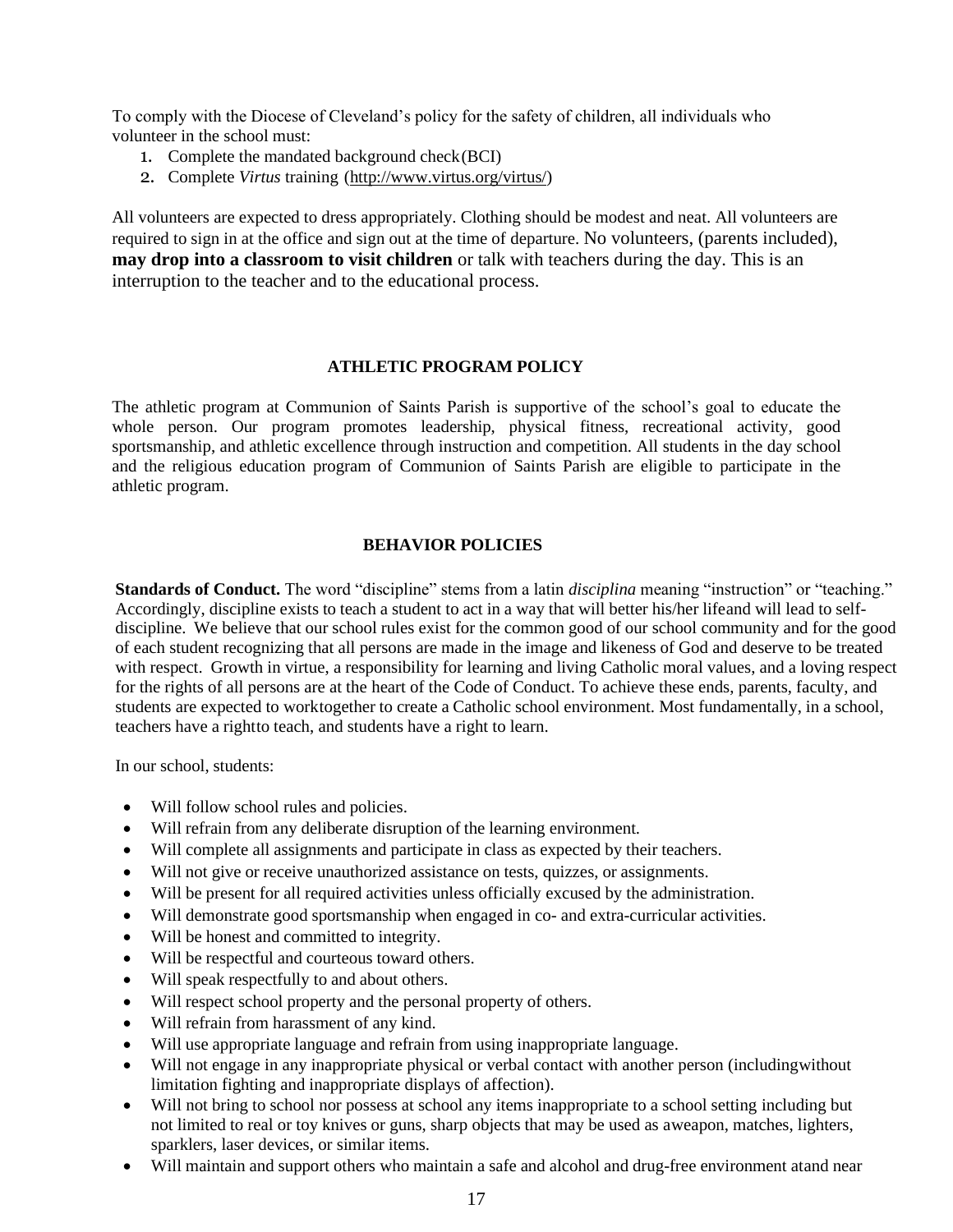To comply with the Diocese of Cleveland's policy for the safety of children, all individuals who volunteer in the school must:

- 1. Complete the mandated background check(BCI)
- 2. Complete *Virtus* training [\(http://www.virtus.org/virtus/\)](http://www.virtus.org/virtus/)

All volunteers are expected to dress appropriately. Clothing should be modest and neat. All volunteers are required to sign in at the office and sign out at the time of departure. No volunteers, (parents included), **may drop into a classroom to visit children** or talk with teachers during the day. This is an interruption to the teacher and to the educational process.

# **ATHLETIC PROGRAM POLICY**

<span id="page-19-0"></span>The athletic program at Communion of Saints Parish is supportive of the school's goal to educate the whole person. Our program promotes leadership, physical fitness, recreational activity, good sportsmanship, and athletic excellence through instruction and competition. All students in the day school and the religious education program of Communion of Saints Parish are eligible to participate in the athletic program.

# **BEHAVIOR POLICIES**

**Standards of Conduct.** The word "discipline" stems from a latin *disciplina* meaning "instruction" or "teaching." Accordingly, discipline exists to teach a student to act in a way that will better his/her lifeand will lead to selfdiscipline. We believe that our school rules exist for the common good of our school community and for the good of each student recognizing that all persons are made in the image and likeness of God and deserve to be treated with respect. Growth in virtue, a responsibility for learning and living Catholic moral values, and a loving respect for the rights of all persons are at the heart of the Code of Conduct. To achieve these ends, parents, faculty, and students are expected to worktogether to create a Catholic school environment. Most fundamentally, in a school, teachers have a rightto teach, and students have a right to learn.

In our school, students:

- Will follow school rules and policies.
- Will refrain from any deliberate disruption of the learning environment.
- Will complete all assignments and participate in class as expected by their teachers.
- Will not give or receive unauthorized assistance on tests, quizzes, or assignments.
- Will be present for all required activities unless officially excused by the administration.
- Will demonstrate good sportsmanship when engaged in co- and extra-curricular activities.
- Will be honest and committed to integrity.
- Will be respectful and courteous toward others.
- Will speak respectfully to and about others.
- Will respect school property and the personal property of others.
- Will refrain from harassment of any kind.
- Will use appropriate language and refrain from using inappropriate language.
- Will not engage in any inappropriate physical or verbal contact with another person (includingwithout limitation fighting and inappropriate displays of affection).
- Will not bring to school nor possess at school any items inappropriate to a school setting including but not limited to real or toy knives or guns, sharp objects that may be used as aweapon, matches, lighters, sparklers, laser devices, or similar items.
- Will maintain and support others who maintain a safe and alcohol and drug-free environment atand near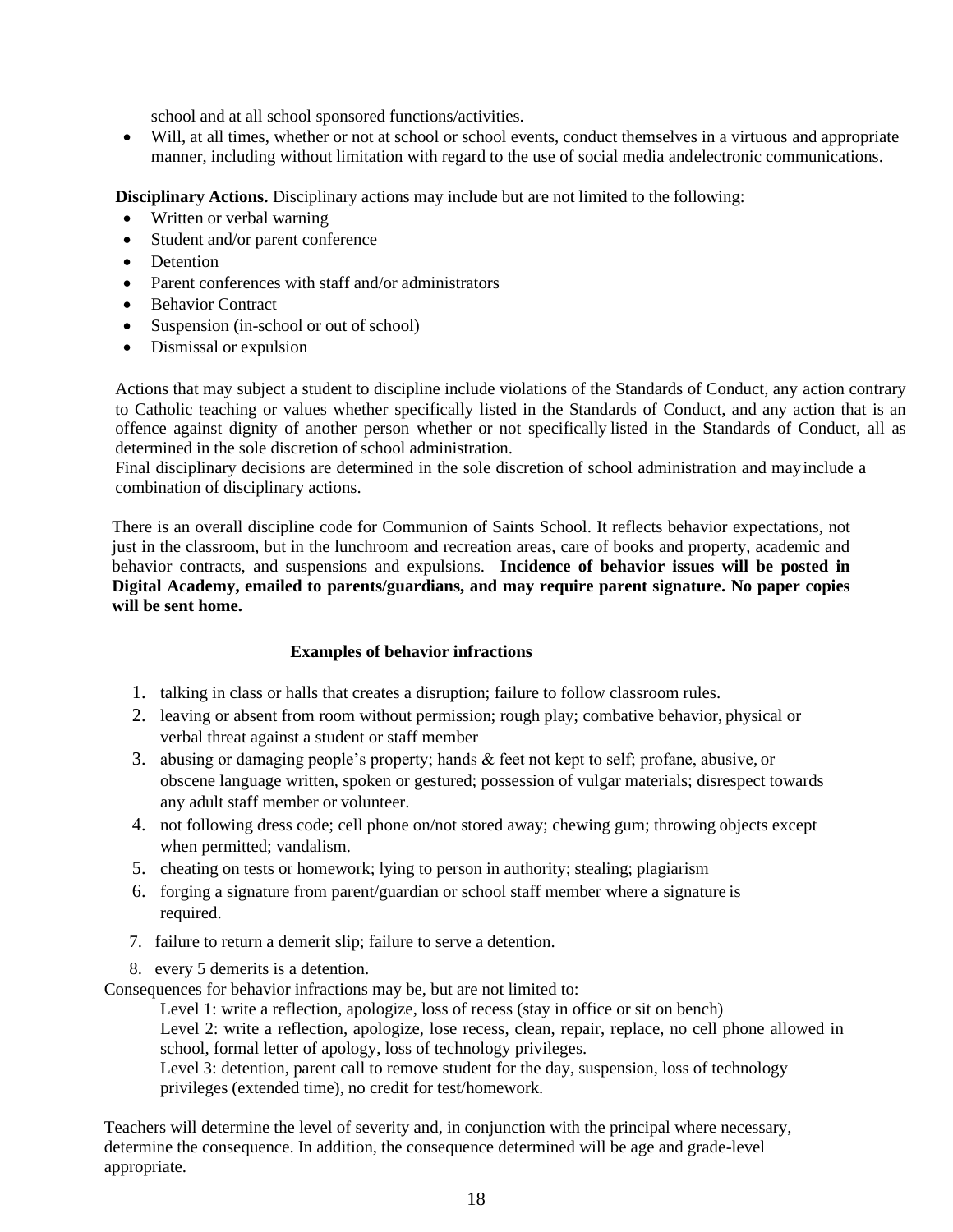school and at all school sponsored functions/activities.

• Will, at all times, whether or not at school or school events, conduct themselves in a virtuous and appropriate manner, including without limitation with regard to the use of social media andelectronic communications.

**Disciplinary Actions.** Disciplinary actions may include but are not limited to the following:

- Written or verbal warning
- Student and/or parent conference
- Detention
- Parent conferences with staff and/or administrators
- Behavior Contract
- Suspension (in-school or out of school)
- Dismissal or expulsion

Actions that may subject a student to discipline include violations of the Standards of Conduct, any action contrary to Catholic teaching or values whether specifically listed in the Standards of Conduct, and any action that is an offence against dignity of another person whether or not specifically listed in the Standards of Conduct, all as determined in the sole discretion of school administration.

Final disciplinary decisions are determined in the sole discretion of school administration and mayinclude a combination of disciplinary actions.

There is an overall discipline code for Communion of Saints School. It reflects behavior expectations, not just in the classroom, but in the lunchroom and recreation areas, care of books and property, academic and behavior contracts, and suspensions and expulsions. **Incidence of behavior issues will be posted in Digital Academy, emailed to parents/guardians, and may require parent signature. No paper copies will be sent home.**

# **Examples of behavior infractions**

- 1. talking in class or halls that creates a disruption; failure to follow classroom rules.
- 2. leaving or absent from room without permission; rough play; combative behavior, physical or verbal threat against a student or staff member
- 3. abusing or damaging people's property; hands & feet not kept to self; profane, abusive, or obscene language written, spoken or gestured; possession of vulgar materials; disrespect towards any adult staff member or volunteer.
- 4. not following dress code; cell phone on/not stored away; chewing gum; throwing objects except when permitted; vandalism.
- 5. cheating on tests or homework; lying to person in authority; stealing; plagiarism
- 6. forging a signature from parent/guardian or school staff member where a signature is required.
- 7. failure to return a demerit slip; failure to serve a detention.
- 8. every 5 demerits is a detention.

Consequences for behavior infractions may be, but are not limited to:

Level 1: write a reflection, apologize, loss of recess (stay in office or sit on bench) Level 2: write a reflection, apologize, lose recess, clean, repair, replace, no cell phone allowed in school, formal letter of apology, loss of technology privileges. Level 3: detention, parent call to remove student for the day, suspension, loss of technology

privileges (extended time), no credit for test/homework.

Teachers will determine the level of severity and, in conjunction with the principal where necessary, determine the consequence. In addition, the consequence determined will be age and grade-level appropriate.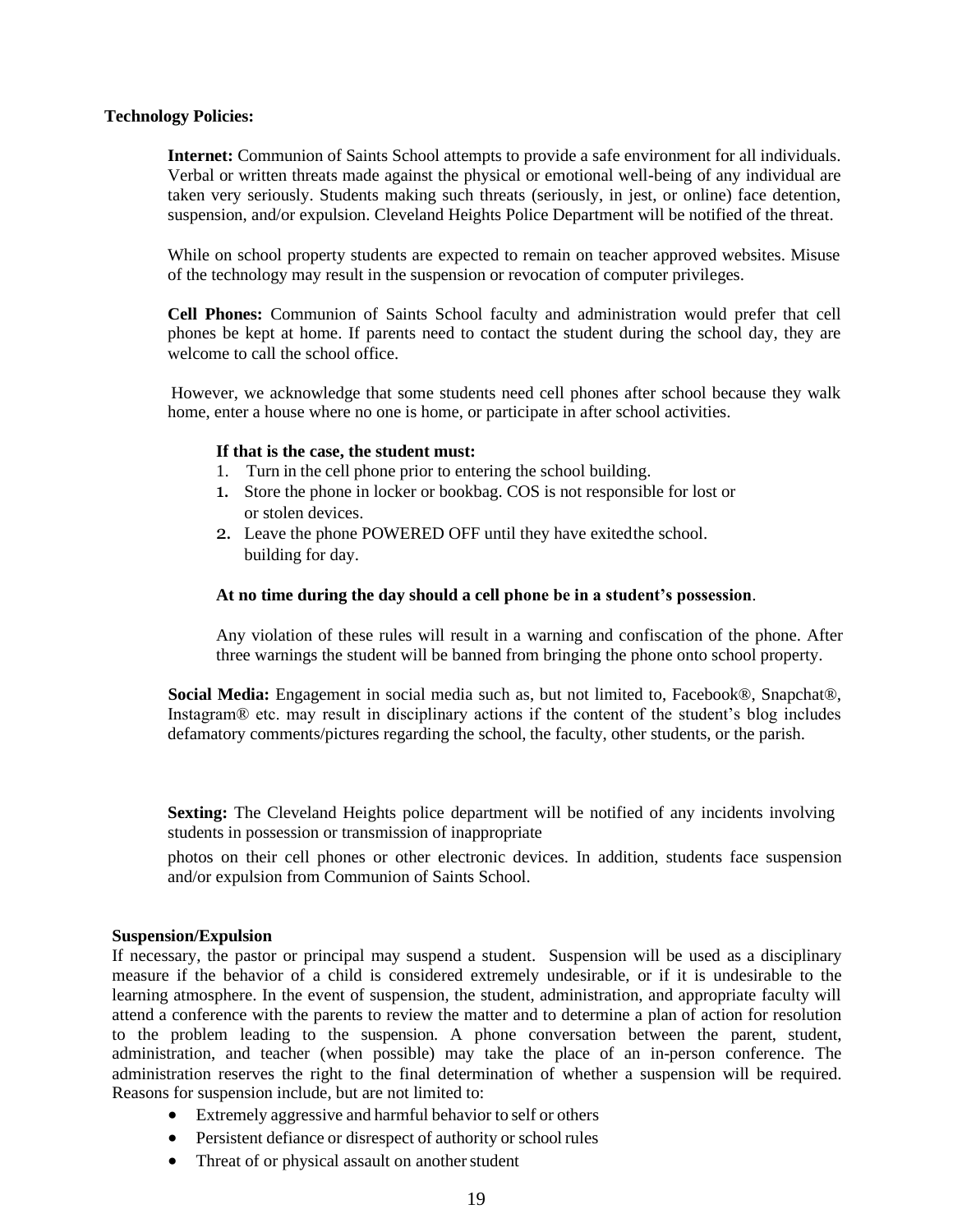# **Technology Policies:**

**Internet:** Communion of Saints School attempts to provide a safe environment for all individuals. Verbal or written threats made against the physical or emotional well-being of any individual are taken very seriously. Students making such threats (seriously, in jest, or online) face detention, suspension, and/or expulsion. Cleveland Heights Police Department will be notified of the threat.

While on school property students are expected to remain on teacher approved websites. Misuse of the technology may result in the suspension or revocation of computer privileges.

**Cell Phones:** Communion of Saints School faculty and administration would prefer that cell phones be kept at home. If parents need to contact the student during the school day, they are welcome to call the school office.

However, we acknowledge that some students need cell phones after school because they walk home, enter a house where no one is home, or participate in after school activities.

#### **If that is the case, the student must:**

- 1. Turn in the cell phone prior to entering the school building.
- 1. Store the phone in locker or bookbag. COS is not responsible for lost or or stolen devices.
- 2. Leave the phone POWERED OFF until they have exitedthe school. building for day.

#### **At no time during the day should a cell phone be in a student's possession**.

Any violation of these rules will result in a warning and confiscation of the phone. After three warnings the student will be banned from bringing the phone onto school property.

**Social Media:** Engagement in social media such as, but not limited to, Facebook®, Snapchat®, Instagram® etc. may result in disciplinary actions if the content of the student's blog includes defamatory comments/pictures regarding the school, the faculty, other students, or the parish.

**Sexting:** The Cleveland Heights police department will be notified of any incidents involving students in possession or transmission of inappropriate

photos on their cell phones or other electronic devices. In addition, students face suspension and/or expulsion from Communion of Saints School.

#### **Suspension/Expulsion**

If necessary, the pastor or principal may suspend a student. Suspension will be used as a disciplinary measure if the behavior of a child is considered extremely undesirable, or if it is undesirable to the learning atmosphere. In the event of suspension, the student, administration, and appropriate faculty will attend a conference with the parents to review the matter and to determine a plan of action for resolution to the problem leading to the suspension. A phone conversation between the parent, student, administration, and teacher (when possible) may take the place of an in-person conference. The administration reserves the right to the final determination of whether a suspension will be required. Reasons for suspension include, but are not limited to:

- Extremely aggressive and harmful behavior to self or others
- Persistent defiance or disrespect of authority or school rules
- Threat of or physical assault on another student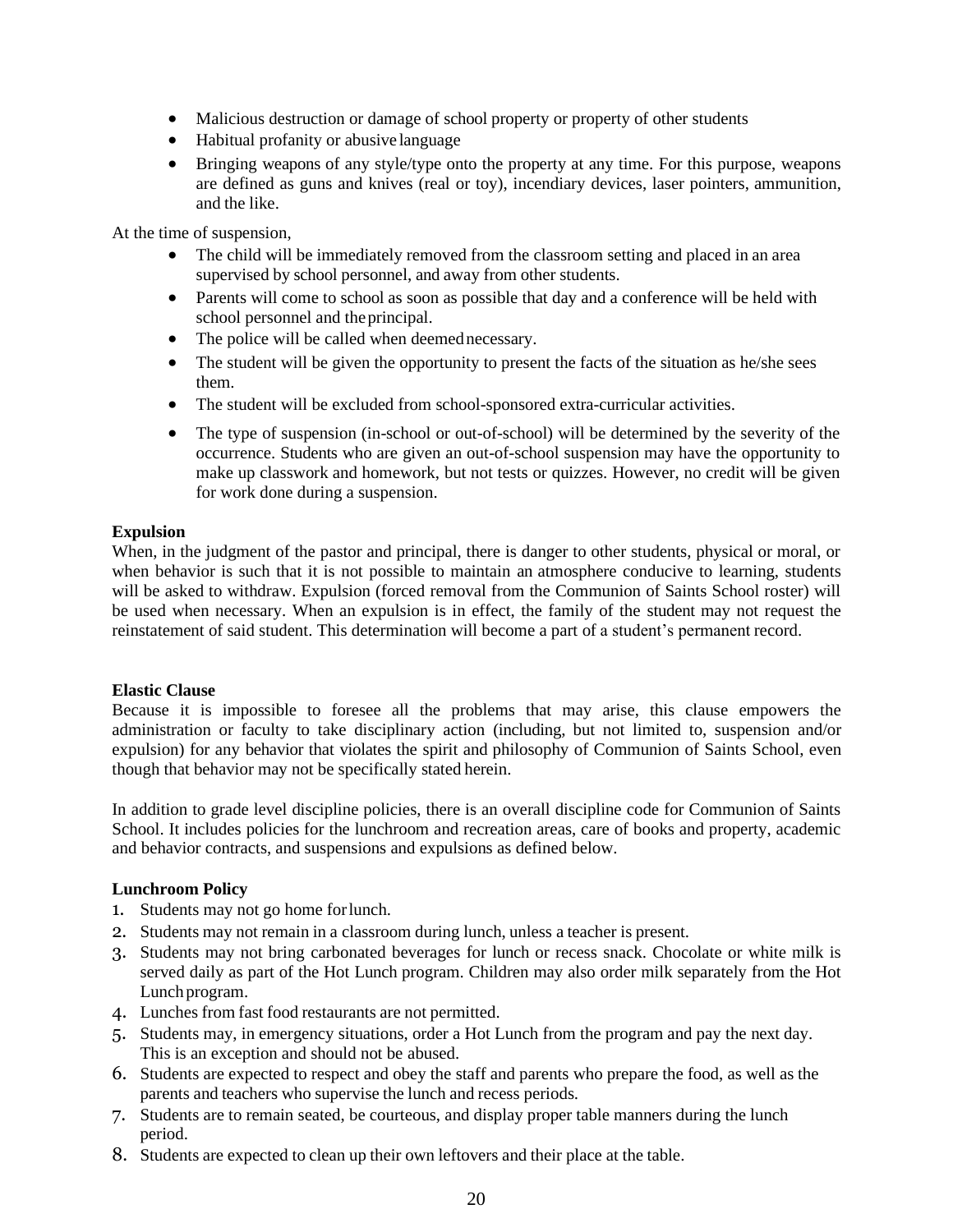- Malicious destruction or damage of school property or property of other students
- Habitual profanity or abusive language
- Bringing weapons of any style/type onto the property at any time. For this purpose, weapons are defined as guns and knives (real or toy), incendiary devices, laser pointers, ammunition, and the like.

At the time of suspension,

- The child will be immediately removed from the classroom setting and placed in an area supervised by school personnel, and away from other students.
- Parents will come to school as soon as possible that day and a conference will be held with school personnel and theprincipal.
- The police will be called when deemednecessary.
- The student will be given the opportunity to present the facts of the situation as he/she sees them.
- The student will be excluded from school-sponsored extra-curricular activities.
- The type of suspension (in-school or out-of-school) will be determined by the severity of the occurrence. Students who are given an out-of-school suspension may have the opportunity to make up classwork and homework, but not tests or quizzes. However, no credit will be given for work done during a suspension.

# **Expulsion**

When, in the judgment of the pastor and principal, there is danger to other students, physical or moral, or when behavior is such that it is not possible to maintain an atmosphere conducive to learning, students will be asked to withdraw. Expulsion (forced removal from the Communion of Saints School roster) will be used when necessary. When an expulsion is in effect, the family of the student may not request the reinstatement of said student. This determination will become a part of a student's permanent record.

# **Elastic Clause**

Because it is impossible to foresee all the problems that may arise, this clause empowers the administration or faculty to take disciplinary action (including, but not limited to, suspension and/or expulsion) for any behavior that violates the spirit and philosophy of Communion of Saints School, even though that behavior may not be specifically stated herein.

In addition to grade level discipline policies, there is an overall discipline code for Communion of Saints School. It includes policies for the lunchroom and recreation areas, care of books and property, academic and behavior contracts, and suspensions and expulsions as defined below.

# **Lunchroom Policy**

- 1. Students may not go home forlunch.
- 2. Students may not remain in a classroom during lunch, unless a teacher is present.
- 3. Students may not bring carbonated beverages for lunch or recess snack. Chocolate or white milk is served daily as part of the Hot Lunch program. Children may also order milk separately from the Hot Lunch program.
- 4. Lunches from fast food restaurants are not permitted.
- 5. Students may, in emergency situations, order a Hot Lunch from the program and pay the next day. This is an exception and should not be abused.
- 6. Students are expected to respect and obey the staff and parents who prepare the food, as well as the parents and teachers who supervise the lunch and recess periods.
- 7. Students are to remain seated, be courteous, and display proper table manners during the lunch period.
- 8. Students are expected to clean up their own leftovers and their place at the table.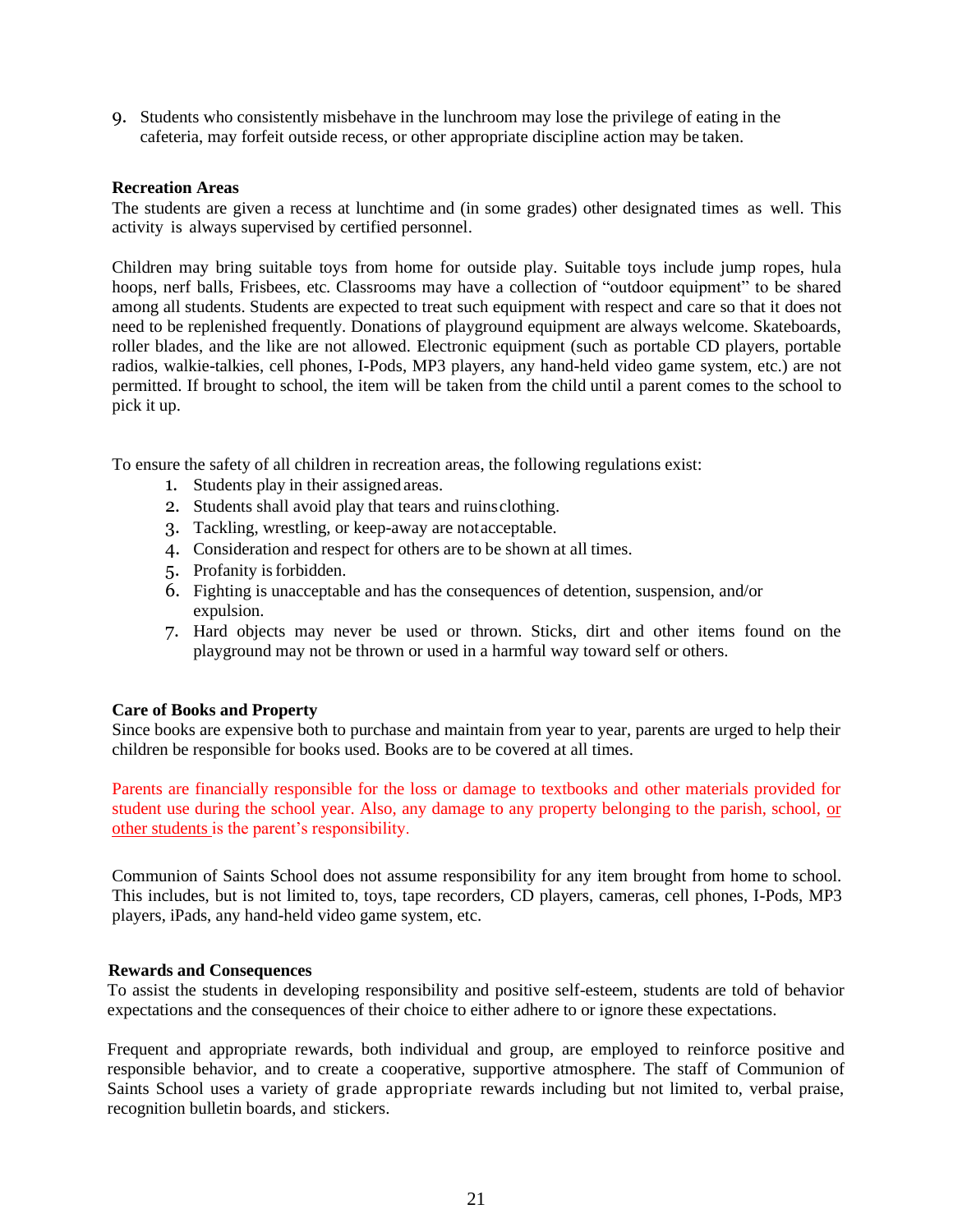9. Students who consistently misbehave in the lunchroom may lose the privilege of eating in the cafeteria, may forfeit outside recess, or other appropriate discipline action may be taken.

# **Recreation Areas**

The students are given a recess at lunchtime and (in some grades) other designated times as well. This activity is always supervised by certified personnel.

Children may bring suitable toys from home for outside play. Suitable toys include jump ropes, hula hoops, nerf balls, Frisbees, etc. Classrooms may have a collection of "outdoor equipment" to be shared among all students. Students are expected to treat such equipment with respect and care so that it does not need to be replenished frequently. Donations of playground equipment are always welcome. Skateboards, roller blades, and the like are not allowed. Electronic equipment (such as portable CD players, portable radios, walkie-talkies, cell phones, I-Pods, MP3 players, any hand-held video game system, etc.) are not permitted. If brought to school, the item will be taken from the child until a parent comes to the school to pick it up.

To ensure the safety of all children in recreation areas, the following regulations exist:

- 1. Students play in their assignedareas.
- 2. Students shall avoid play that tears and ruinsclothing.
- 3. Tackling, wrestling, or keep-away are notacceptable.
- 4. Consideration and respect for others are to be shown at all times.
- 5. Profanity isforbidden.
- 6. Fighting is unacceptable and has the consequences of detention, suspension, and/or expulsion.
- 7. Hard objects may never be used or thrown. Sticks, dirt and other items found on the playground may not be thrown or used in a harmful way toward self or others.

#### **Care of Books and Property**

Since books are expensive both to purchase and maintain from year to year, parents are urged to help their children be responsible for books used. Books are to be covered at all times.

Parents are financially responsible for the loss or damage to textbooks and other materials provided for student use during the school year. Also, any damage to any property belonging to the parish, school, or other students is the parent's responsibility.

Communion of Saints School does not assume responsibility for any item brought from home to school. This includes, but is not limited to, toys, tape recorders, CD players, cameras, cell phones, I-Pods, MP3 players, iPads, any hand-held video game system, etc.

#### **Rewards and Consequences**

To assist the students in developing responsibility and positive self-esteem, students are told of behavior expectations and the consequences of their choice to either adhere to or ignore these expectations.

Frequent and appropriate rewards, both individual and group, are employed to reinforce positive and responsible behavior, and to create a cooperative, supportive atmosphere. The staff of Communion of Saints School uses a variety of grade appropriate rewards including but not limited to, verbal praise, recognition bulletin boards, and stickers.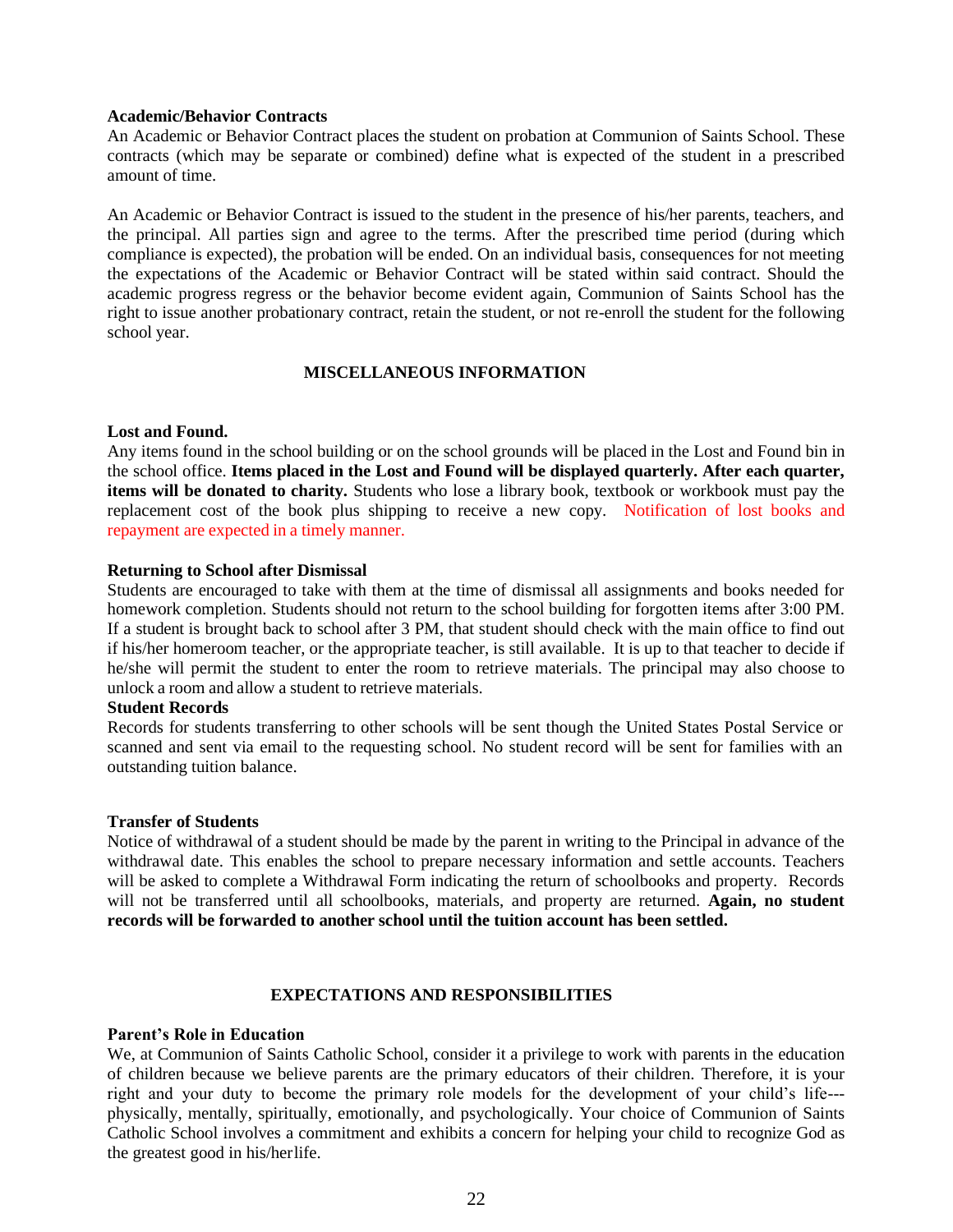#### **Academic/Behavior Contracts**

An Academic or Behavior Contract places the student on probation at Communion of Saints School. These contracts (which may be separate or combined) define what is expected of the student in a prescribed amount of time.

An Academic or Behavior Contract is issued to the student in the presence of his/her parents, teachers, and the principal. All parties sign and agree to the terms. After the prescribed time period (during which compliance is expected), the probation will be ended. On an individual basis, consequences for not meeting the expectations of the Academic or Behavior Contract will be stated within said contract. Should the academic progress regress or the behavior become evident again, Communion of Saints School has the right to issue another probationary contract, retain the student, or not re-enroll the student for the following school year.

# **MISCELLANEOUS INFORMATION**

# <span id="page-24-0"></span>**Lost and Found.**

Any items found in the school building or on the school grounds will be placed in the Lost and Found bin in the school office. **Items placed in the Lost and Found will be displayed quarterly. After each quarter, items will be donated to charity.** Students who lose a library book, textbook or workbook must pay the replacement cost of the book plus shipping to receive a new copy. Notification of lost books and repayment are expected in a timely manner.

#### **Returning to School after Dismissal**

Students are encouraged to take with them at the time of dismissal all assignments and books needed for homework completion. Students should not return to the school building for forgotten items after 3:00 PM. If a student is brought back to school after 3 PM, that student should check with the main office to find out if his/her homeroom teacher, or the appropriate teacher, is still available. It is up to that teacher to decide if he/she will permit the student to enter the room to retrieve materials. The principal may also choose to unlock a room and allow a student to retrieve materials.

#### **Student Records**

Records for students transferring to other schools will be sent though the United States Postal Service or scanned and sent via email to the requesting school. No student record will be sent for families with an outstanding tuition balance.

#### **Transfer of Students**

Notice of withdrawal of a student should be made by the parent in writing to the Principal in advance of the withdrawal date. This enables the school to prepare necessary information and settle accounts. Teachers will be asked to complete a Withdrawal Form indicating the return of schoolbooks and property. Records will not be transferred until all schoolbooks, materials, and property are returned. **Again, no student records will be forwarded to another school until the tuition account has been settled.**

#### **EXPECTATIONS AND RESPONSIBILITIES**

#### <span id="page-24-1"></span>**Parent's Role in Education**

We, at Communion of Saints Catholic School, consider it a privilege to work with parents in the education of children because we believe parents are the primary educators of their children. Therefore, it is your right and your duty to become the primary role models for the development of your child's life-- physically, mentally, spiritually, emotionally, and psychologically. Your choice of Communion of Saints Catholic School involves a commitment and exhibits a concern for helping your child to recognize God as the greatest good in his/herlife.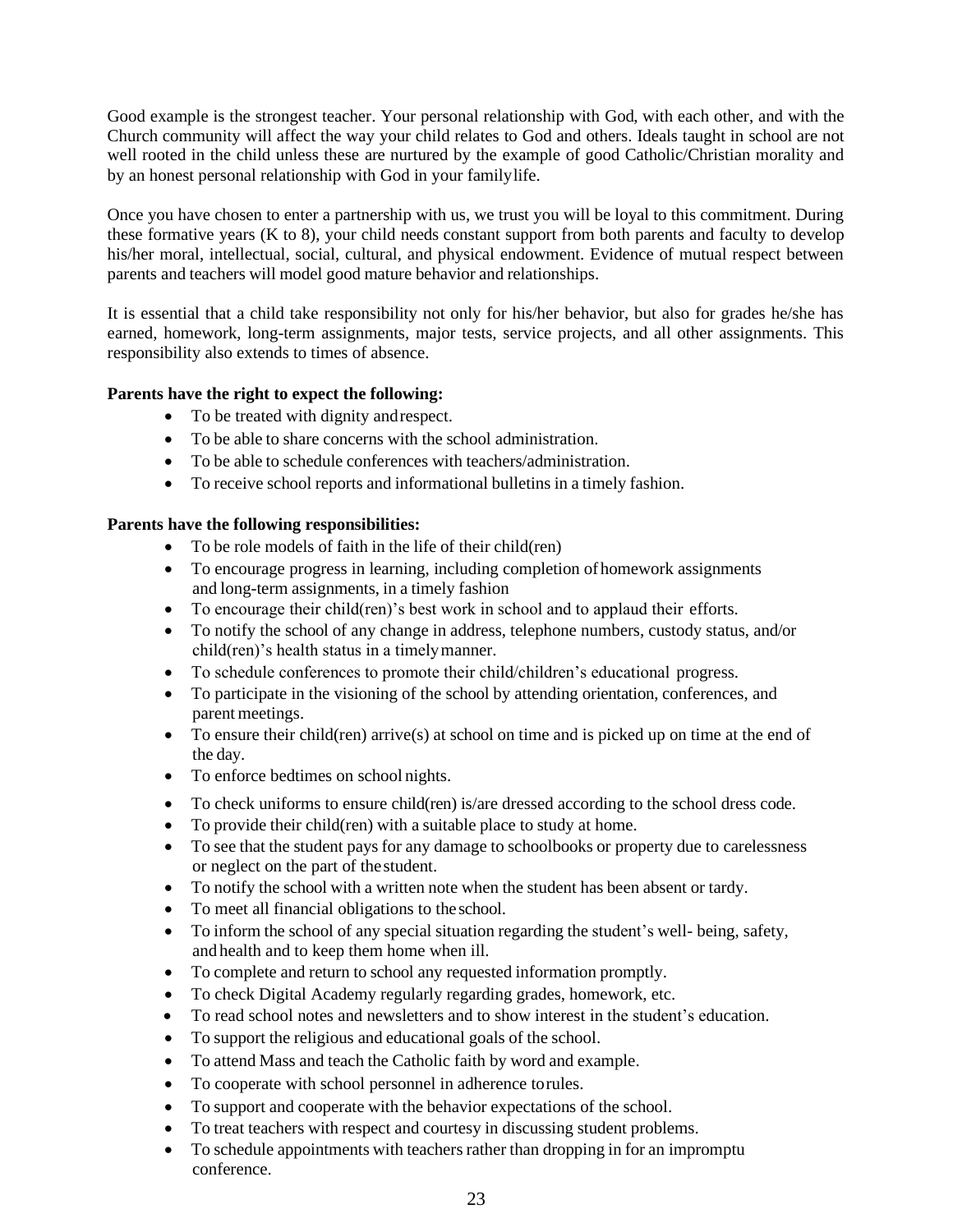Good example is the strongest teacher. Your personal relationship with God, with each other, and with the Church community will affect the way your child relates to God and others. Ideals taught in school are not well rooted in the child unless these are nurtured by the example of good Catholic/Christian morality and by an honest personal relationship with God in your familylife.

Once you have chosen to enter a partnership with us, we trust you will be loyal to this commitment. During these formative years (K to 8), your child needs constant support from both parents and faculty to develop his/her moral, intellectual, social, cultural, and physical endowment. Evidence of mutual respect between parents and teachers will model good mature behavior and relationships.

It is essential that a child take responsibility not only for his/her behavior, but also for grades he/she has earned, homework, long-term assignments, major tests, service projects, and all other assignments. This responsibility also extends to times of absence.

# **Parents have the right to expect the following:**

- To be treated with dignity andrespect.
- To be able to share concerns with the school administration.
- To be able to schedule conferences with teachers/administration.
- To receive school reports and informational bulletins in a timely fashion.

# **Parents have the following responsibilities:**

- To be role models of faith in the life of their child(ren)
- To encourage progress in learning, including completion of homework assignments and long-term assignments, in a timely fashion
- To encourage their child(ren)'s best work in school and to applaud their efforts.
- To notify the school of any change in address, telephone numbers, custody status, and/or child(ren)'s health status in a timelymanner.
- To schedule conferences to promote their child/children's educational progress.
- To participate in the visioning of the school by attending orientation, conferences, and parent meetings.
- To ensure their child(ren) arrive(s) at school on time and is picked up on time at the end of the day.
- To enforce bedtimes on school nights.
- To check uniforms to ensure child(ren) is/are dressed according to the school dress code.
- To provide their child(ren) with a suitable place to study at home.
- To see that the student pays for any damage to schoolbooks or property due to carelessness or neglect on the part of thestudent.
- To notify the school with a written note when the student has been absent or tardy.
- To meet all financial obligations to the school.
- To inform the school of any special situation regarding the student's well- being, safety, and health and to keep them home when ill.
- To complete and return to school any requested information promptly.
- To check Digital Academy regularly regarding grades, homework, etc.
- To read school notes and newsletters and to show interest in the student's education.
- To support the religious and educational goals of the school.
- To attend Mass and teach the Catholic faith by word and example.
- To cooperate with school personnel in adherence torules.
- To support and cooperate with the behavior expectations of the school.
- To treat teachers with respect and courtesy in discussing student problems.
- To schedule appointments with teachers rather than dropping in for an impromptu conference.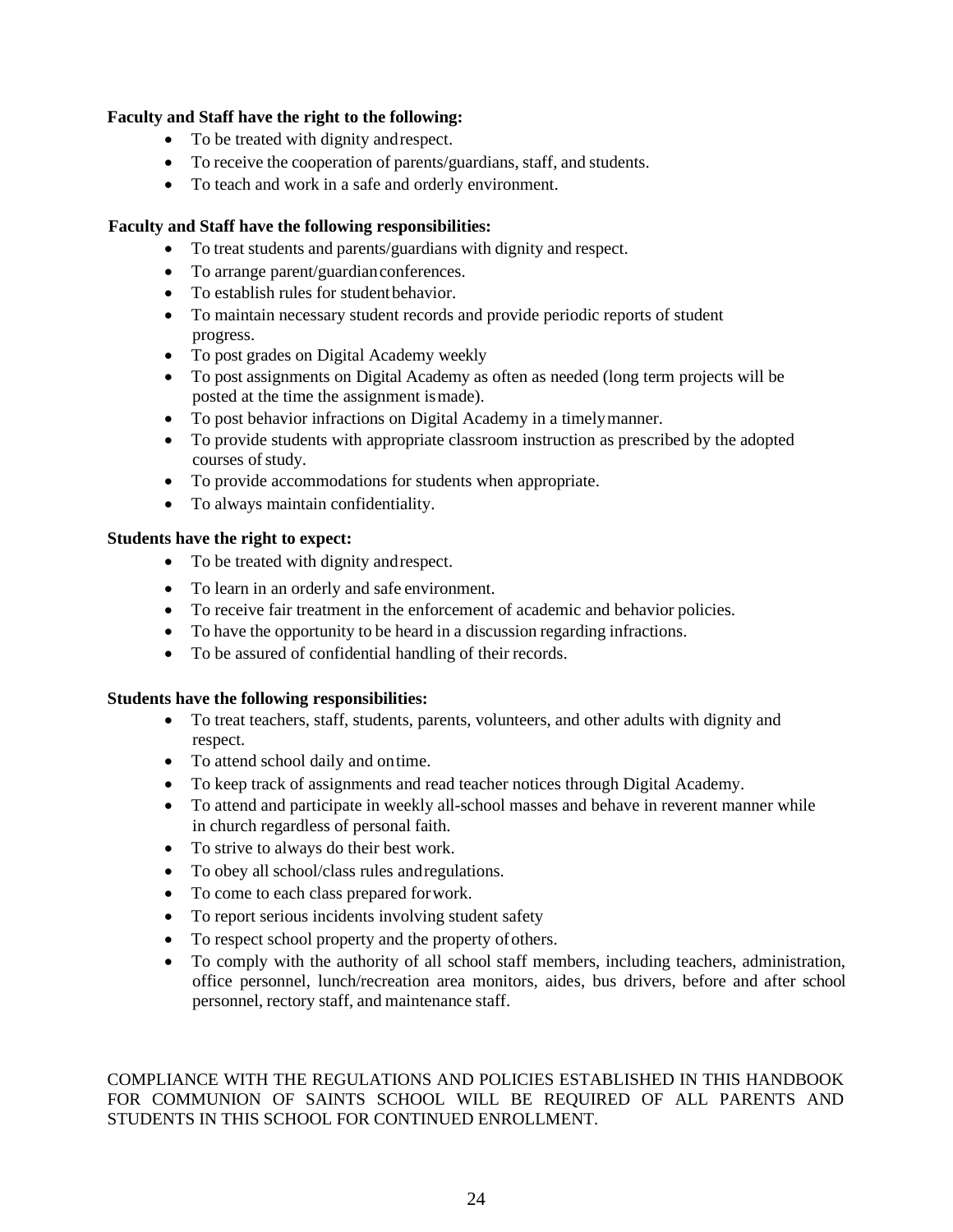# **Faculty and Staff have the right to the following:**

- To be treated with dignity andrespect.
- To receive the cooperation of parents/guardians, staff, and students.
- To teach and work in a safe and orderly environment.

# **Faculty and Staff have the following responsibilities:**

- To treat students and parents/guardians with dignity and respect.
- To arrange parent/guardian conferences.
- To establish rules for student behavior.
- To maintain necessary student records and provide periodic reports of student progress.
- To post grades on Digital Academy weekly
- To post assignments on Digital Academy as often as needed (long term projects will be posted at the time the assignment ismade).
- To post behavior infractions on Digital Academy in a timelymanner.
- To provide students with appropriate classroom instruction as prescribed by the adopted courses of study.
- To provide accommodations for students when appropriate.
- To always maintain confidentiality.

# **Students have the right to expect:**

- To be treated with dignity andrespect.
- To learn in an orderly and safe environment.
- To receive fair treatment in the enforcement of academic and behavior policies.
- To have the opportunity to be heard in a discussion regarding infractions.
- To be assured of confidential handling of their records.

# **Students have the following responsibilities:**

- To treat teachers, staff, students, parents, volunteers, and other adults with dignity and respect.
- To attend school daily and ontime.
- To keep track of assignments and read teacher notices through Digital Academy.
- To attend and participate in weekly all-school masses and behave in reverent manner while in church regardless of personal faith.
- To strive to always do their best work.
- To obey all school/class rules and regulations.
- To come to each class prepared for work.
- To report serious incidents involving student safety
- To respect school property and the property of others.
- To comply with the authority of all school staff members, including teachers, administration, office personnel, lunch/recreation area monitors, aides, bus drivers, before and after school personnel, rectory staff, and maintenance staff.

COMPLIANCE WITH THE REGULATIONS AND POLICIES ESTABLISHED IN THIS HANDBOOK FOR COMMUNION OF SAINTS SCHOOL WILL BE REQUIRED OF ALL PARENTS AND STUDENTS IN THIS SCHOOL FOR CONTINUED ENROLLMENT.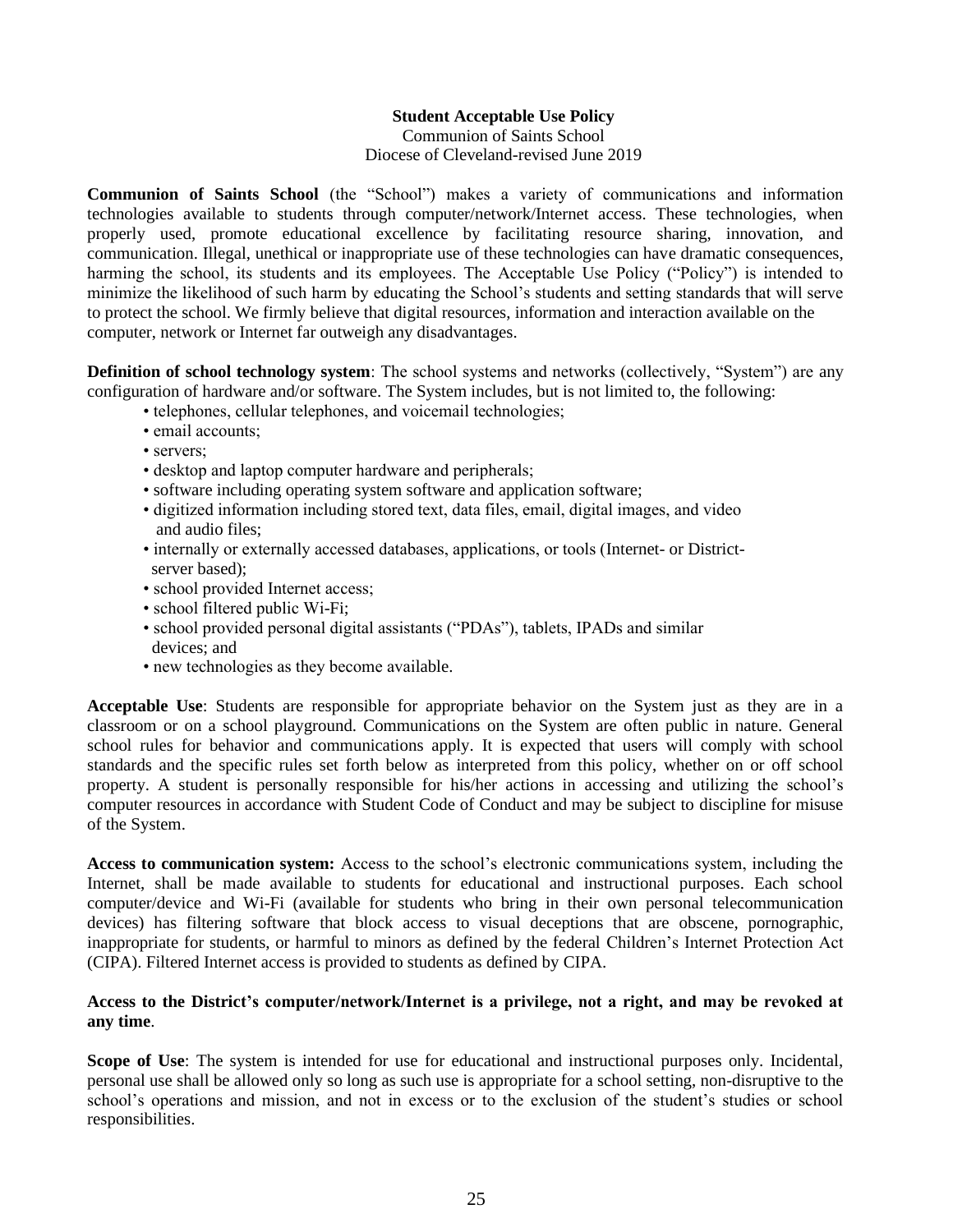# **Student Acceptable Use Policy** Communion of Saints School Diocese of Cleveland-revised June 2019

**Communion of Saints School** (the "School") makes a variety of communications and information technologies available to students through computer/network/Internet access. These technologies, when properly used, promote educational excellence by facilitating resource sharing, innovation, and communication. Illegal, unethical or inappropriate use of these technologies can have dramatic consequences, harming the school, its students and its employees. The Acceptable Use Policy ("Policy") is intended to minimize the likelihood of such harm by educating the School's students and setting standards that will serve to protect the school. We firmly believe that digital resources, information and interaction available on the computer, network or Internet far outweigh any disadvantages.

**Definition of school technology system**: The school systems and networks (collectively, "System") are any configuration of hardware and/or software. The System includes, but is not limited to, the following:

- telephones, cellular telephones, and voicemail technologies;
- email accounts:
- servers:
- desktop and laptop computer hardware and peripherals;
- software including operating system software and application software;
- digitized information including stored text, data files, email, digital images, and video and audio files;
- internally or externally accessed databases, applications, or tools (Internet- or District server based);
- school provided Internet access;
- school filtered public Wi-Fi;
- school provided personal digital assistants ("PDAs"), tablets, IPADs and similar devices; and
- new technologies as they become available.

**Acceptable Use**: Students are responsible for appropriate behavior on the System just as they are in a classroom or on a school playground. Communications on the System are often public in nature. General school rules for behavior and communications apply. It is expected that users will comply with school standards and the specific rules set forth below as interpreted from this policy, whether on or off school property. A student is personally responsible for his/her actions in accessing and utilizing the school's computer resources in accordance with Student Code of Conduct and may be subject to discipline for misuse of the System.

**Access to communication system:** Access to the school's electronic communications system, including the Internet, shall be made available to students for educational and instructional purposes. Each school computer/device and Wi-Fi (available for students who bring in their own personal telecommunication devices) has filtering software that block access to visual deceptions that are obscene, pornographic, inappropriate for students, or harmful to minors as defined by the federal Children's Internet Protection Act (CIPA). Filtered Internet access is provided to students as defined by CIPA.

# **Access to the District's computer/network/Internet is a privilege, not a right, and may be revoked at any time**.

**Scope of Use**: The system is intended for use for educational and instructional purposes only. Incidental, personal use shall be allowed only so long as such use is appropriate for a school setting, non-disruptive to the school's operations and mission, and not in excess or to the exclusion of the student's studies or school responsibilities.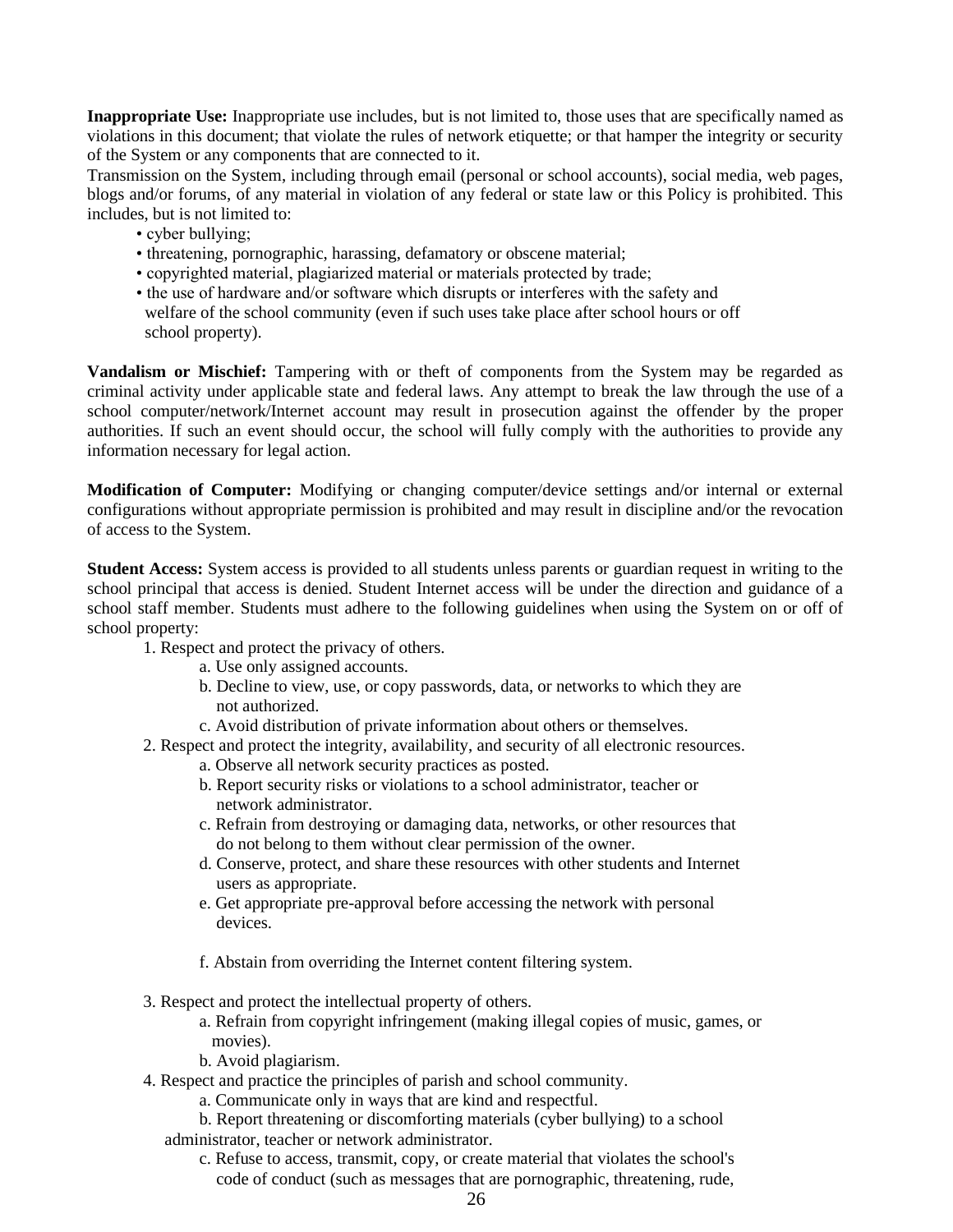**Inappropriate Use:** Inappropriate use includes, but is not limited to, those uses that are specifically named as violations in this document; that violate the rules of network etiquette; or that hamper the integrity or security of the System or any components that are connected to it.

Transmission on the System, including through email (personal or school accounts), social media, web pages, blogs and/or forums, of any material in violation of any federal or state law or this Policy is prohibited. This includes, but is not limited to:

- cyber bullying;
- threatening, pornographic, harassing, defamatory or obscene material;
- copyrighted material, plagiarized material or materials protected by trade;
- the use of hardware and/or software which disrupts or interferes with the safety and welfare of the school community (even if such uses take place after school hours or off school property).

**Vandalism or Mischief:** Tampering with or theft of components from the System may be regarded as criminal activity under applicable state and federal laws. Any attempt to break the law through the use of a school computer/network/Internet account may result in prosecution against the offender by the proper authorities. If such an event should occur, the school will fully comply with the authorities to provide any information necessary for legal action.

**Modification of Computer:** Modifying or changing computer/device settings and/or internal or external configurations without appropriate permission is prohibited and may result in discipline and/or the revocation of access to the System.

**Student Access:** System access is provided to all students unless parents or guardian request in writing to the school principal that access is denied. Student Internet access will be under the direction and guidance of a school staff member. Students must adhere to the following guidelines when using the System on or off of school property:

- 1. Respect and protect the privacy of others.
	- a. Use only assigned accounts.
	- b. Decline to view, use, or copy passwords, data, or networks to which they are not authorized.
	- c. Avoid distribution of private information about others or themselves.
- 2. Respect and protect the integrity, availability, and security of all electronic resources.
	- a. Observe all network security practices as posted.
	- b. Report security risks or violations to a school administrator, teacher or network administrator.
	- c. Refrain from destroying or damaging data, networks, or other resources that do not belong to them without clear permission of the owner.
	- d. Conserve, protect, and share these resources with other students and Internet users as appropriate.
	- e. Get appropriate pre-approval before accessing the network with personal devices.
	- f. Abstain from overriding the Internet content filtering system.
- 3. Respect and protect the intellectual property of others.
	- a. Refrain from copyright infringement (making illegal copies of music, games, or movies).
	- b. Avoid plagiarism.
- 4. Respect and practice the principles of parish and school community.
	- a. Communicate only in ways that are kind and respectful.
	- b. Report threatening or discomforting materials (cyber bullying) to a school administrator, teacher or network administrator.
		- c. Refuse to access, transmit, copy, or create material that violates the school's code of conduct (such as messages that are pornographic, threatening, rude,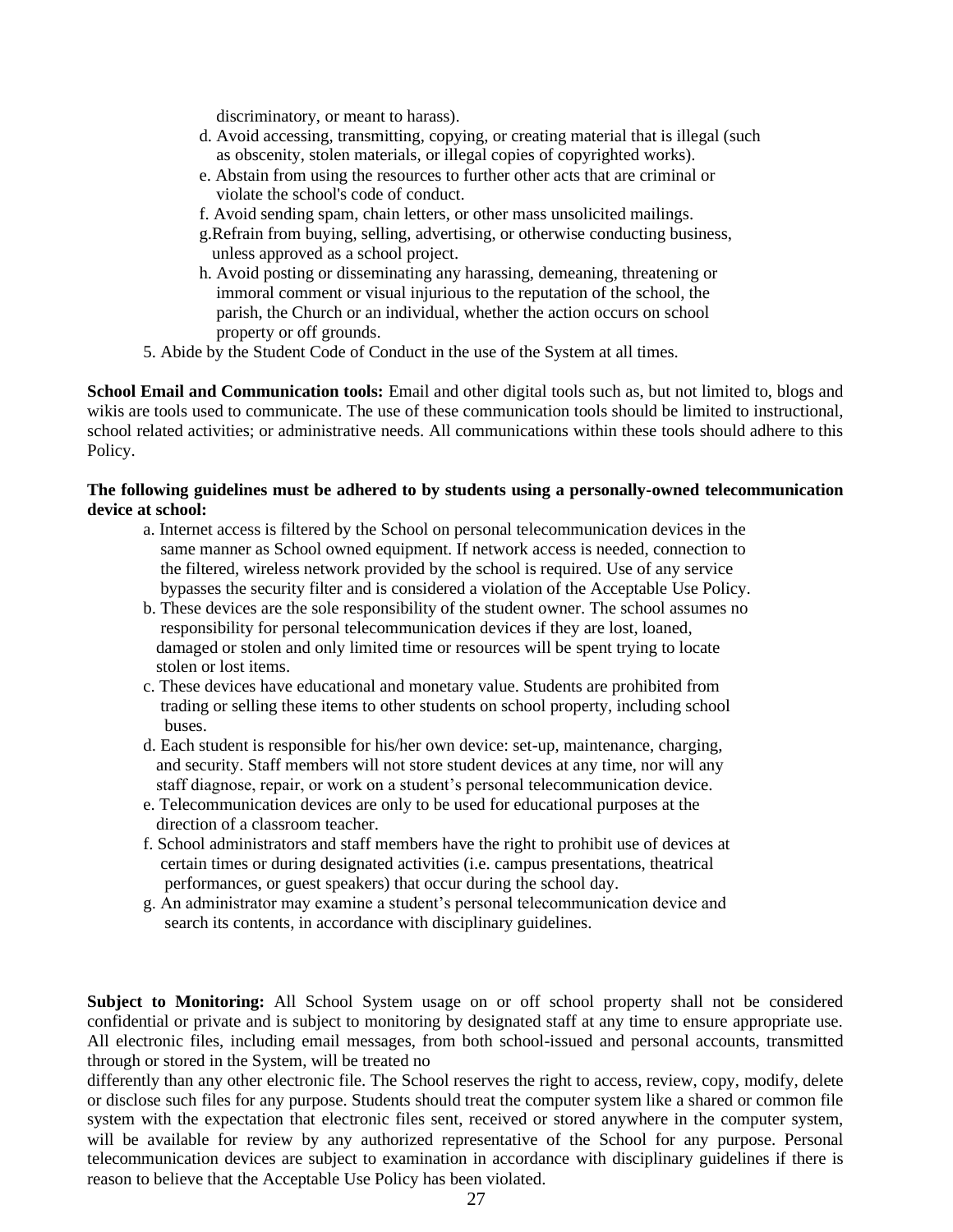discriminatory, or meant to harass).

- d. Avoid accessing, transmitting, copying, or creating material that is illegal (such as obscenity, stolen materials, or illegal copies of copyrighted works).
- e. Abstain from using the resources to further other acts that are criminal or violate the school's code of conduct.
- f. Avoid sending spam, chain letters, or other mass unsolicited mailings.
- g.Refrain from buying, selling, advertising, or otherwise conducting business, unless approved as a school project.
- h. Avoid posting or disseminating any harassing, demeaning, threatening or immoral comment or visual injurious to the reputation of the school, the parish, the Church or an individual, whether the action occurs on school property or off grounds.
- 5. Abide by the Student Code of Conduct in the use of the System at all times.

**School Email and Communication tools:** Email and other digital tools such as, but not limited to, blogs and wikis are tools used to communicate. The use of these communication tools should be limited to instructional, school related activities; or administrative needs. All communications within these tools should adhere to this Policy.

### **The following guidelines must be adhered to by students using a personally-owned telecommunication device at school:**

- a. Internet access is filtered by the School on personal telecommunication devices in the same manner as School owned equipment. If network access is needed, connection to the filtered, wireless network provided by the school is required. Use of any service bypasses the security filter and is considered a violation of the Acceptable Use Policy.
- b. These devices are the sole responsibility of the student owner. The school assumes no responsibility for personal telecommunication devices if they are lost, loaned, damaged or stolen and only limited time or resources will be spent trying to locate stolen or lost items.
- c. These devices have educational and monetary value. Students are prohibited from trading or selling these items to other students on school property, including school buses.
- d. Each student is responsible for his/her own device: set-up, maintenance, charging, and security. Staff members will not store student devices at any time, nor will any staff diagnose, repair, or work on a student's personal telecommunication device.
- e. Telecommunication devices are only to be used for educational purposes at the direction of a classroom teacher.
- f. School administrators and staff members have the right to prohibit use of devices at certain times or during designated activities (i.e. campus presentations, theatrical performances, or guest speakers) that occur during the school day.
- g. An administrator may examine a student's personal telecommunication device and search its contents, in accordance with disciplinary guidelines.

**Subject to Monitoring:** All School System usage on or off school property shall not be considered confidential or private and is subject to monitoring by designated staff at any time to ensure appropriate use. All electronic files, including email messages, from both school-issued and personal accounts, transmitted through or stored in the System, will be treated no

differently than any other electronic file. The School reserves the right to access, review, copy, modify, delete or disclose such files for any purpose. Students should treat the computer system like a shared or common file system with the expectation that electronic files sent, received or stored anywhere in the computer system, will be available for review by any authorized representative of the School for any purpose. Personal telecommunication devices are subject to examination in accordance with disciplinary guidelines if there is reason to believe that the Acceptable Use Policy has been violated.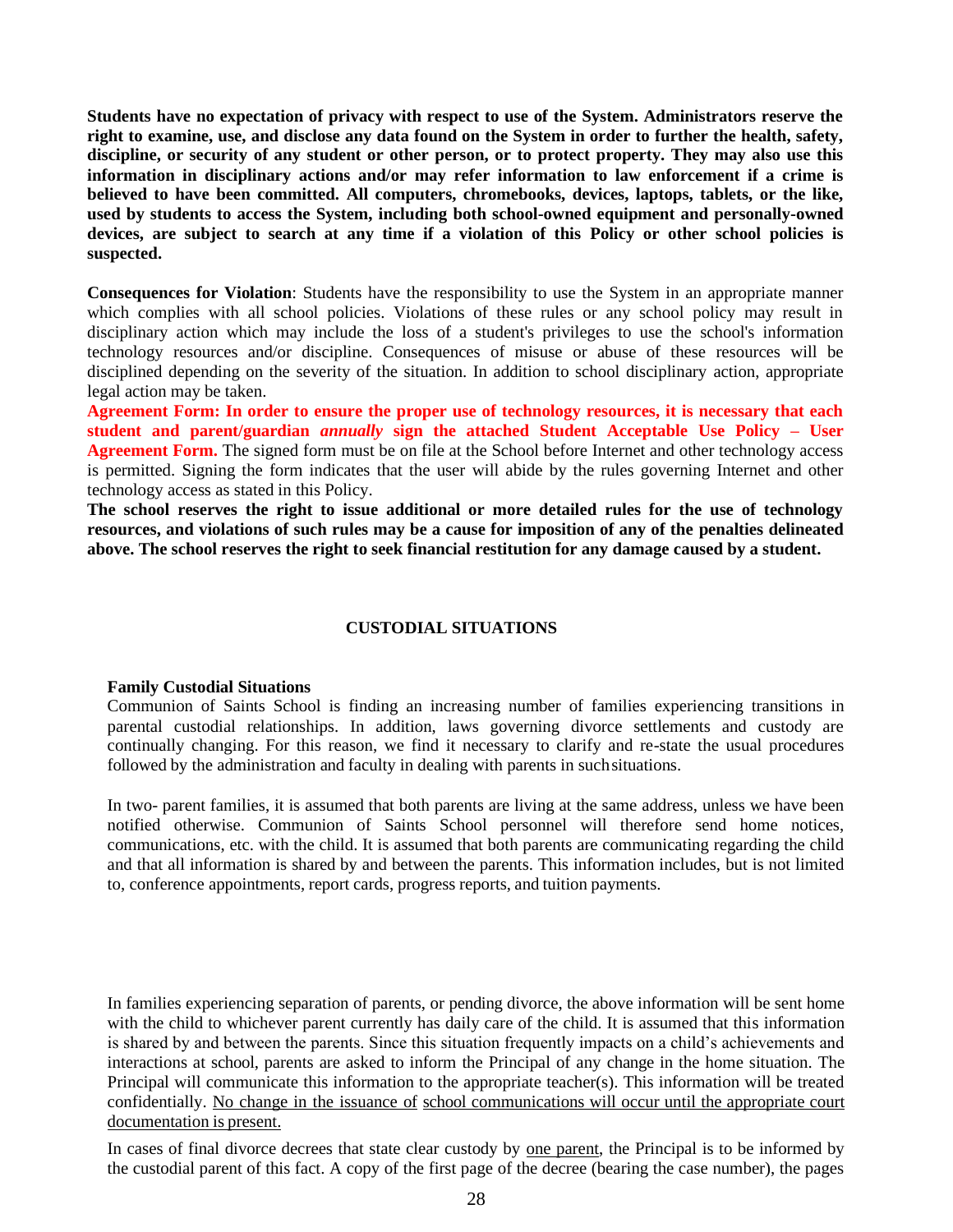**Students have no expectation of privacy with respect to use of the System. Administrators reserve the right to examine, use, and disclose any data found on the System in order to further the health, safety, discipline, or security of any student or other person, or to protect property. They may also use this information in disciplinary actions and/or may refer information to law enforcement if a crime is believed to have been committed. All computers, chromebooks, devices, laptops, tablets, or the like, used by students to access the System, including both school-owned equipment and personally-owned devices, are subject to search at any time if a violation of this Policy or other school policies is suspected.**

**Consequences for Violation**: Students have the responsibility to use the System in an appropriate manner which complies with all school policies. Violations of these rules or any school policy may result in disciplinary action which may include the loss of a student's privileges to use the school's information technology resources and/or discipline. Consequences of misuse or abuse of these resources will be disciplined depending on the severity of the situation. In addition to school disciplinary action, appropriate legal action may be taken.

**Agreement Form: In order to ensure the proper use of technology resources, it is necessary that each student and parent/guardian** *annually* **sign the attached Student Acceptable Use Policy – User Agreement Form.** The signed form must be on file at the School before Internet and other technology access is permitted. Signing the form indicates that the user will abide by the rules governing Internet and other technology access as stated in this Policy.

**The school reserves the right to issue additional or more detailed rules for the use of technology resources, and violations of such rules may be a cause for imposition of any of the penalties delineated above. The school reserves the right to seek financial restitution for any damage caused by a student.**

#### **CUSTODIAL SITUATIONS**

#### <span id="page-30-0"></span>**Family Custodial Situations**

Communion of Saints School is finding an increasing number of families experiencing transitions in parental custodial relationships. In addition, laws governing divorce settlements and custody are continually changing. For this reason, we find it necessary to clarify and re-state the usual procedures followed by the administration and faculty in dealing with parents in suchsituations.

In two- parent families, it is assumed that both parents are living at the same address, unless we have been notified otherwise. Communion of Saints School personnel will therefore send home notices, communications, etc. with the child. It is assumed that both parents are communicating regarding the child and that all information is shared by and between the parents. This information includes, but is not limited to, conference appointments, report cards, progress reports, and tuition payments.

In families experiencing separation of parents, or pending divorce, the above information will be sent home with the child to whichever parent currently has daily care of the child. It is assumed that this information is shared by and between the parents. Since this situation frequently impacts on a child's achievements and interactions at school, parents are asked to inform the Principal of any change in the home situation. The Principal will communicate this information to the appropriate teacher(s). This information will be treated confidentially. No change in the issuance of school communications will occur until the appropriate court documentation is present.

In cases of final divorce decrees that state clear custody by one parent, the Principal is to be informed by the custodial parent of this fact. A copy of the first page of the decree (bearing the case number), the pages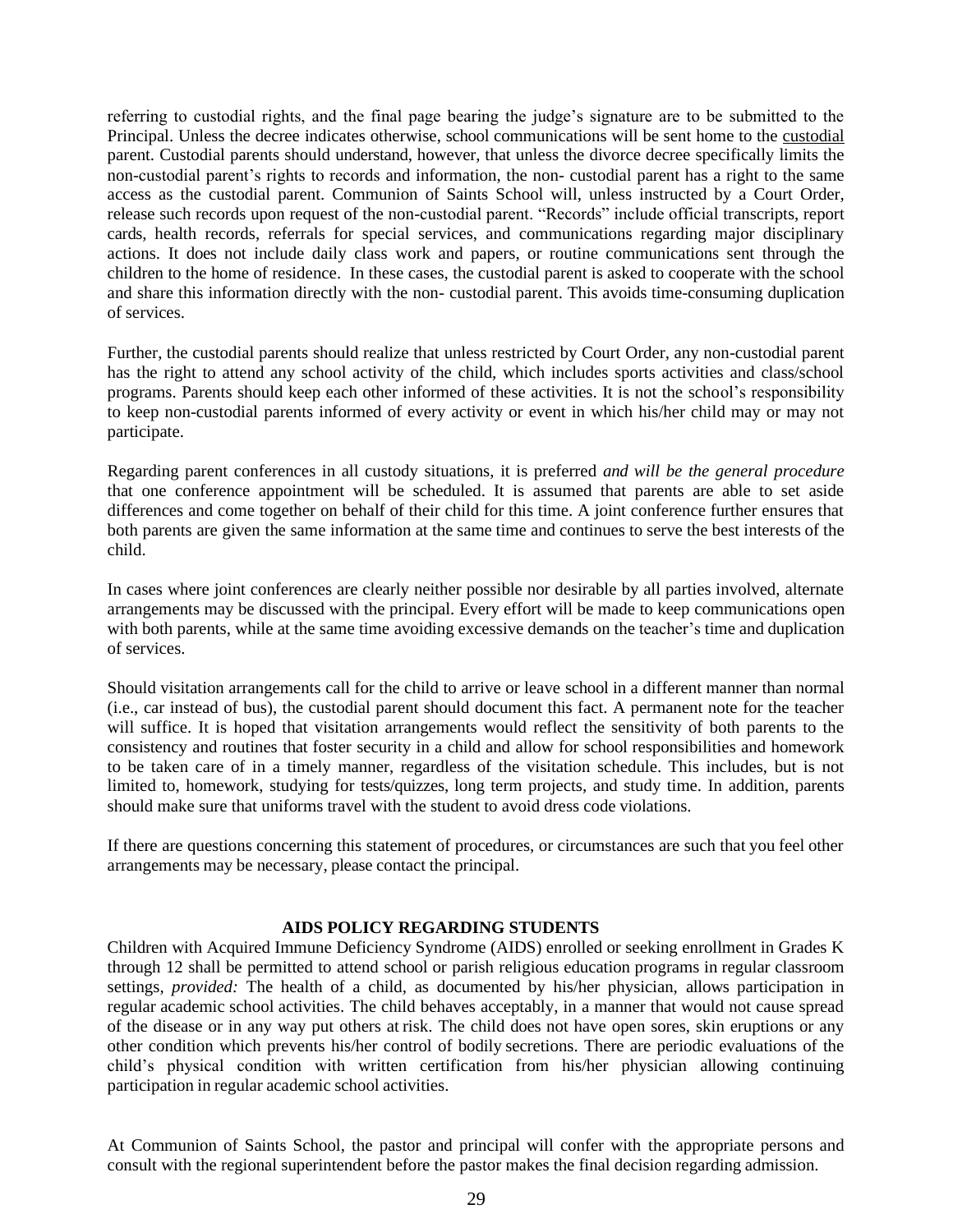referring to custodial rights, and the final page bearing the judge's signature are to be submitted to the Principal. Unless the decree indicates otherwise, school communications will be sent home to the custodial parent. Custodial parents should understand, however, that unless the divorce decree specifically limits the non-custodial parent's rights to records and information, the non- custodial parent has a right to the same access as the custodial parent. Communion of Saints School will, unless instructed by a Court Order, release such records upon request of the non-custodial parent. "Records" include official transcripts, report cards, health records, referrals for special services, and communications regarding major disciplinary actions. It does not include daily class work and papers, or routine communications sent through the children to the home of residence. In these cases, the custodial parent is asked to cooperate with the school and share this information directly with the non- custodial parent. This avoids time-consuming duplication of services.

Further, the custodial parents should realize that unless restricted by Court Order, any non-custodial parent has the right to attend any school activity of the child, which includes sports activities and class/school programs. Parents should keep each other informed of these activities. It is not the school's responsibility to keep non-custodial parents informed of every activity or event in which his/her child may or may not participate.

Regarding parent conferences in all custody situations, it is preferred *and will be the general procedure*  that one conference appointment will be scheduled. It is assumed that parents are able to set aside differences and come together on behalf of their child for this time. A joint conference further ensures that both parents are given the same information at the same time and continues to serve the best interests of the child.

In cases where joint conferences are clearly neither possible nor desirable by all parties involved, alternate arrangements may be discussed with the principal. Every effort will be made to keep communications open with both parents, while at the same time avoiding excessive demands on the teacher's time and duplication of services.

Should visitation arrangements call for the child to arrive or leave school in a different manner than normal (i.e., car instead of bus), the custodial parent should document this fact. A permanent note for the teacher will suffice. It is hoped that visitation arrangements would reflect the sensitivity of both parents to the consistency and routines that foster security in a child and allow for school responsibilities and homework to be taken care of in a timely manner, regardless of the visitation schedule. This includes, but is not limited to, homework, studying for tests/quizzes, long term projects, and study time. In addition, parents should make sure that uniforms travel with the student to avoid dress code violations.

If there are questions concerning this statement of procedures, or circumstances are such that you feel other arrangements may be necessary, please contact the principal.

#### **AIDS POLICY REGARDING STUDENTS**

Children with Acquired Immune Deficiency Syndrome (AIDS) enrolled or seeking enrollment in Grades K through 12 shall be permitted to attend school or parish religious education programs in regular classroom settings, *provided*: The health of a child, as documented by his/her physician, allows participation in regular academic school activities. The child behaves acceptably, in a manner that would not cause spread of the disease or in any way put others at risk. The child does not have open sores, skin eruptions or any other condition which prevents his/her control of bodily secretions. There are periodic evaluations of the child's physical condition with written certification from his/her physician allowing continuing participation in regular academic school activities.

At Communion of Saints School, the pastor and principal will confer with the appropriate persons and consult with the regional superintendent before the pastor makes the final decision regarding admission.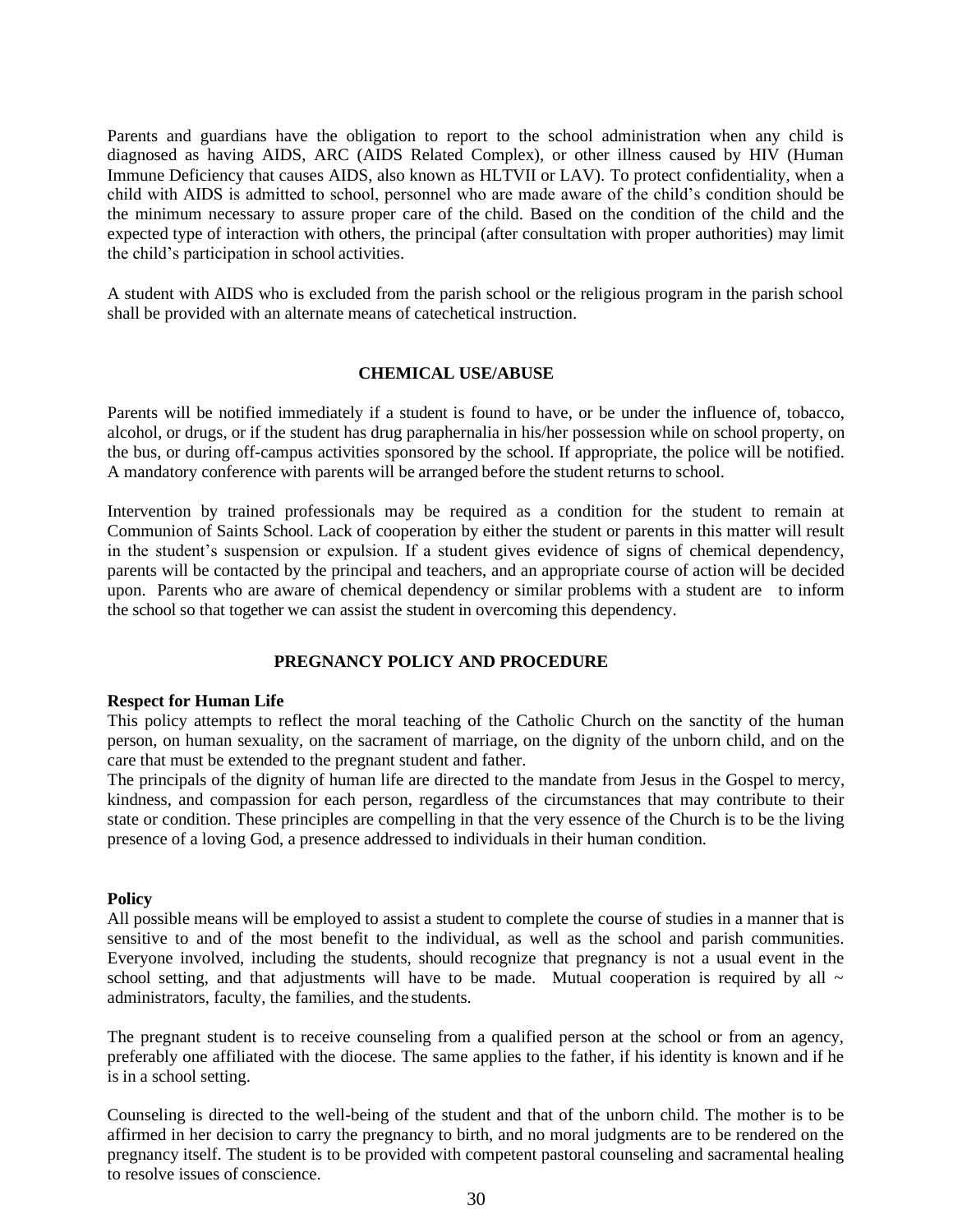Parents and guardians have the obligation to report to the school administration when any child is diagnosed as having AIDS, ARC (AIDS Related Complex), or other illness caused by HIV (Human Immune Deficiency that causes AIDS, also known as HLTVII or LAV). To protect confidentiality, when a child with AIDS is admitted to school, personnel who are made aware of the child's condition should be the minimum necessary to assure proper care of the child. Based on the condition of the child and the expected type of interaction with others, the principal (after consultation with proper authorities) may limit the child's participation in school activities.

A student with AIDS who is excluded from the parish school or the religious program in the parish school shall be provided with an alternate means of catechetical instruction.

#### **CHEMICAL USE/ABUSE**

Parents will be notified immediately if a student is found to have, or be under the influence of, tobacco, alcohol, or drugs, or if the student has drug paraphernalia in his/her possession while on school property, on the bus, or during off-campus activities sponsored by the school. If appropriate, the police will be notified. A mandatory conference with parents will be arranged before the student returns to school.

Intervention by trained professionals may be required as a condition for the student to remain at Communion of Saints School. Lack of cooperation by either the student or parents in this matter will result in the student's suspension or expulsion. If a student gives evidence of signs of chemical dependency, parents will be contacted by the principal and teachers, and an appropriate course of action will be decided upon. Parents who are aware of chemical dependency or similar problems with a student are to inform the school so that together we can assist the student in overcoming this dependency.

# **PREGNANCY POLICY AND PROCEDURE**

#### **Respect for Human Life**

This policy attempts to reflect the moral teaching of the Catholic Church on the sanctity of the human person, on human sexuality, on the sacrament of marriage, on the dignity of the unborn child, and on the care that must be extended to the pregnant student and father.

The principals of the dignity of human life are directed to the mandate from Jesus in the Gospel to mercy, kindness, and compassion for each person, regardless of the circumstances that may contribute to their state or condition. These principles are compelling in that the very essence of the Church is to be the living presence of a loving God, a presence addressed to individuals in their human condition.

#### **Policy**

All possible means will be employed to assist a student to complete the course of studies in a manner that is sensitive to and of the most benefit to the individual, as well as the school and parish communities. Everyone involved, including the students, should recognize that pregnancy is not a usual event in the school setting, and that adjustments will have to be made. Mutual cooperation is required by all  $\sim$ administrators, faculty, the families, and the students.

The pregnant student is to receive counseling from a qualified person at the school or from an agency, preferably one affiliated with the diocese. The same applies to the father, if his identity is known and if he is in a school setting.

Counseling is directed to the well-being of the student and that of the unborn child. The mother is to be affirmed in her decision to carry the pregnancy to birth, and no moral judgments are to be rendered on the pregnancy itself. The student is to be provided with competent pastoral counseling and sacramental healing to resolve issues of conscience.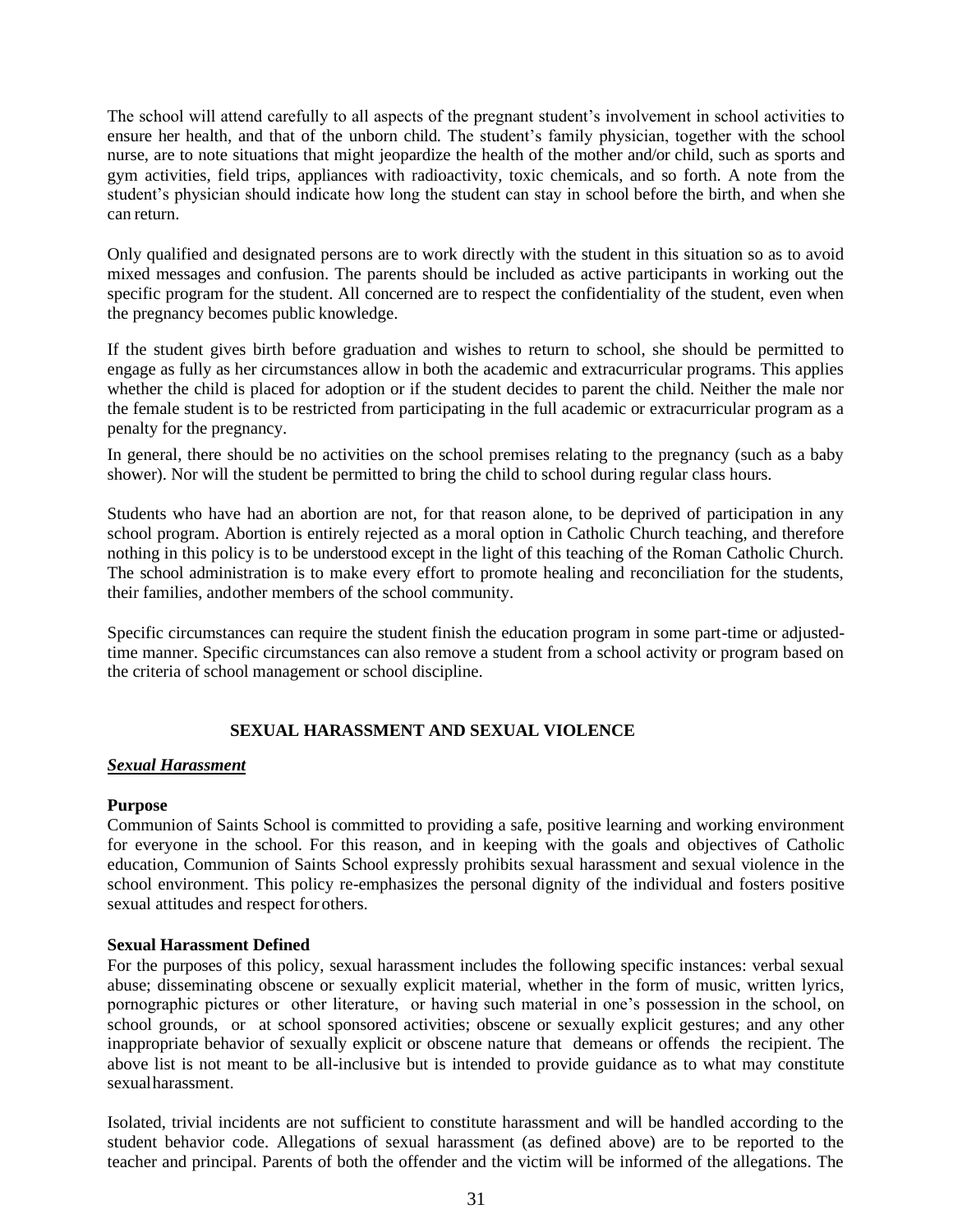The school will attend carefully to all aspects of the pregnant student's involvement in school activities to ensure her health, and that of the unborn child. The student's family physician, together with the school nurse, are to note situations that might jeopardize the health of the mother and/or child, such as sports and gym activities, field trips, appliances with radioactivity, toxic chemicals, and so forth. A note from the student's physician should indicate how long the student can stay in school before the birth, and when she can return.

Only qualified and designated persons are to work directly with the student in this situation so as to avoid mixed messages and confusion. The parents should be included as active participants in working out the specific program for the student. All concerned are to respect the confidentiality of the student, even when the pregnancy becomes public knowledge.

If the student gives birth before graduation and wishes to return to school, she should be permitted to engage as fully as her circumstances allow in both the academic and extracurricular programs. This applies whether the child is placed for adoption or if the student decides to parent the child. Neither the male nor the female student is to be restricted from participating in the full academic or extracurricular program as a penalty for the pregnancy.

In general, there should be no activities on the school premises relating to the pregnancy (such as a baby shower). Nor will the student be permitted to bring the child to school during regular class hours.

Students who have had an abortion are not, for that reason alone, to be deprived of participation in any school program. Abortion is entirely rejected as a moral option in Catholic Church teaching, and therefore nothing in this policy is to be understood except in the light of this teaching of the Roman Catholic Church. The school administration is to make every effort to promote healing and reconciliation for the students, their families, andother members of the school community.

Specific circumstances can require the student finish the education program in some part-time or adjustedtime manner. Specific circumstances can also remove a student from a school activity or program based on the criteria of school management or school discipline.

# **SEXUAL HARASSMENT AND SEXUAL VIOLENCE**

# *Sexual Harassment*

#### **Purpose**

Communion of Saints School is committed to providing a safe, positive learning and working environment for everyone in the school. For this reason, and in keeping with the goals and objectives of Catholic education, Communion of Saints School expressly prohibits sexual harassment and sexual violence in the school environment. This policy re-emphasizes the personal dignity of the individual and fosters positive sexual attitudes and respect for others.

# **Sexual Harassment Defined**

For the purposes of this policy, sexual harassment includes the following specific instances: verbal sexual abuse; disseminating obscene or sexually explicit material, whether in the form of music, written lyrics, pornographic pictures or other literature, or having such material in one's possession in the school, on school grounds, or at school sponsored activities; obscene or sexually explicit gestures; and any other inappropriate behavior of sexually explicit or obscene nature that demeans or offends the recipient. The above list is not meant to be all-inclusive but is intended to provide guidance as to what may constitute sexualharassment.

Isolated, trivial incidents are not sufficient to constitute harassment and will be handled according to the student behavior code. Allegations of sexual harassment (as defined above) are to be reported to the teacher and principal. Parents of both the offender and the victim will be informed of the allegations. The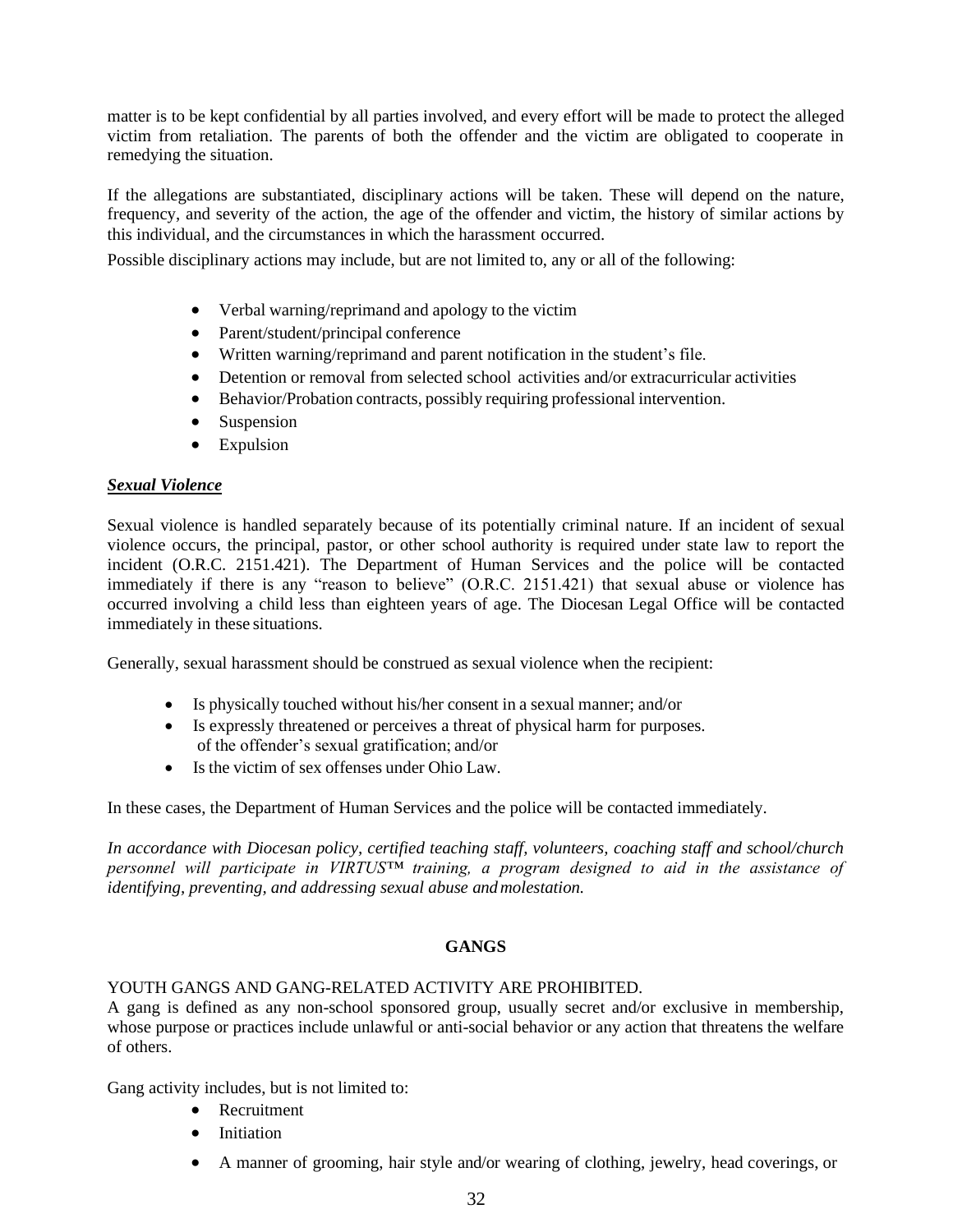matter is to be kept confidential by all parties involved, and every effort will be made to protect the alleged victim from retaliation. The parents of both the offender and the victim are obligated to cooperate in remedying the situation.

If the allegations are substantiated, disciplinary actions will be taken. These will depend on the nature, frequency, and severity of the action, the age of the offender and victim, the history of similar actions by this individual, and the circumstances in which the harassment occurred.

Possible disciplinary actions may include, but are not limited to, any or all of the following:

- Verbal warning/reprimand and apology to the victim
- Parent/student/principal conference
- Written warning/reprimand and parent notification in the student's file.
- Detention or removal from selected school activities and/or extracurricular activities
- Behavior/Probation contracts, possibly requiring professional intervention.
- Suspension
- Expulsion

# *Sexual Violence*

Sexual violence is handled separately because of its potentially criminal nature. If an incident of sexual violence occurs, the principal, pastor, or other school authority is required under state law to report the incident (O.R.C. 2151.421). The Department of Human Services and the police will be contacted immediately if there is any "reason to believe" (O.R.C. 2151.421) that sexual abuse or violence has occurred involving a child less than eighteen years of age. The Diocesan Legal Office will be contacted immediately in these situations.

Generally, sexual harassment should be construed as sexual violence when the recipient:

- Is physically touched without his/her consent in a sexual manner; and/or
- Is expressly threatened or perceives a threat of physical harm for purposes. of the offender's sexual gratification; and/or
- Is the victim of sex offenses under Ohio Law.

In these cases, the Department of Human Services and the police will be contacted immediately.

*In accordance with Diocesan policy, certified teaching staff, volunteers, coaching staff and school/church personnel will participate in VIRTUS™ training, a program designed to aid in the assistance of identifying, preventing, and addressing sexual abuse andmolestation.*

# **GANGS**

# YOUTH GANGS AND GANG-RELATED ACTIVITY ARE PROHIBITED.

A gang is defined as any non-school sponsored group, usually secret and/or exclusive in membership, whose purpose or practices include unlawful or anti-social behavior or any action that threatens the welfare of others.

Gang activity includes, but is not limited to:

- Recruitment
- Initiation
- A manner of grooming, hair style and/or wearing of clothing, jewelry, head coverings, or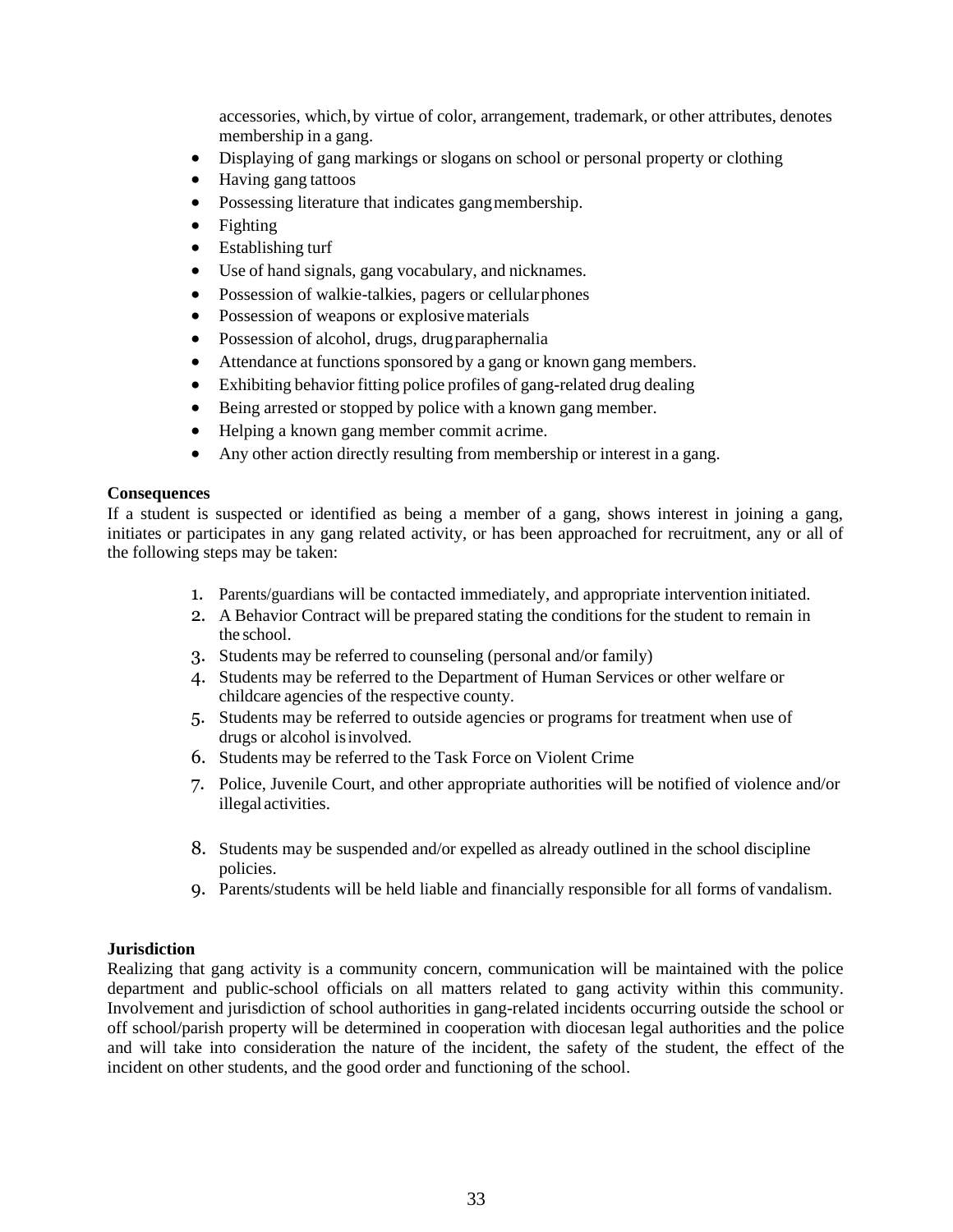accessories, which,by virtue of color, arrangement, trademark, or other attributes, denotes membership in a gang.

- Displaying of gang markings or slogans on school or personal property or clothing
- Having gang tattoos
- Possessing literature that indicates gangmembership.
- Fighting
- Establishing turf
- Use of hand signals, gang vocabulary, and nicknames.
- Possession of walkie-talkies, pagers or cellularphones
- Possession of weapons or explosive materials
- Possession of alcohol, drugs, drugparaphernalia
- Attendance at functions sponsored by a gang or known gang members.
- Exhibiting behavior fitting police profiles of gang-related drug dealing
- Being arrested or stopped by police with a known gang member.
- Helping a known gang member commit acrime.
- Any other action directly resulting from membership or interest in a gang.

#### **Consequences**

If a student is suspected or identified as being a member of a gang, shows interest in joining a gang, initiates or participates in any gang related activity, or has been approached for recruitment, any or all of the following steps may be taken:

- 1. Parents/guardians will be contacted immediately, and appropriate intervention initiated.
- 2. A Behavior Contract will be prepared stating the conditions for the student to remain in the school.
- 3. Students may be referred to counseling (personal and/or family)
- 4. Students may be referred to the Department of Human Services or other welfare or childcare agencies of the respective county.
- 5. Students may be referred to outside agencies or programs for treatment when use of drugs or alcohol isinvolved.
- 6. Students may be referred to the Task Force on Violent Crime
- 7. Police, Juvenile Court, and other appropriate authorities will be notified of violence and/or illegal activities.
- 8. Students may be suspended and/or expelled as already outlined in the school discipline policies.
- 9. Parents/students will be held liable and financially responsible for all forms of vandalism.

## **Jurisdiction**

Realizing that gang activity is a community concern, communication will be maintained with the police department and public-school officials on all matters related to gang activity within this community. Involvement and jurisdiction of school authorities in gang-related incidents occurring outside the school or off school/parish property will be determined in cooperation with diocesan legal authorities and the police and will take into consideration the nature of the incident, the safety of the student, the effect of the incident on other students, and the good order and functioning of the school.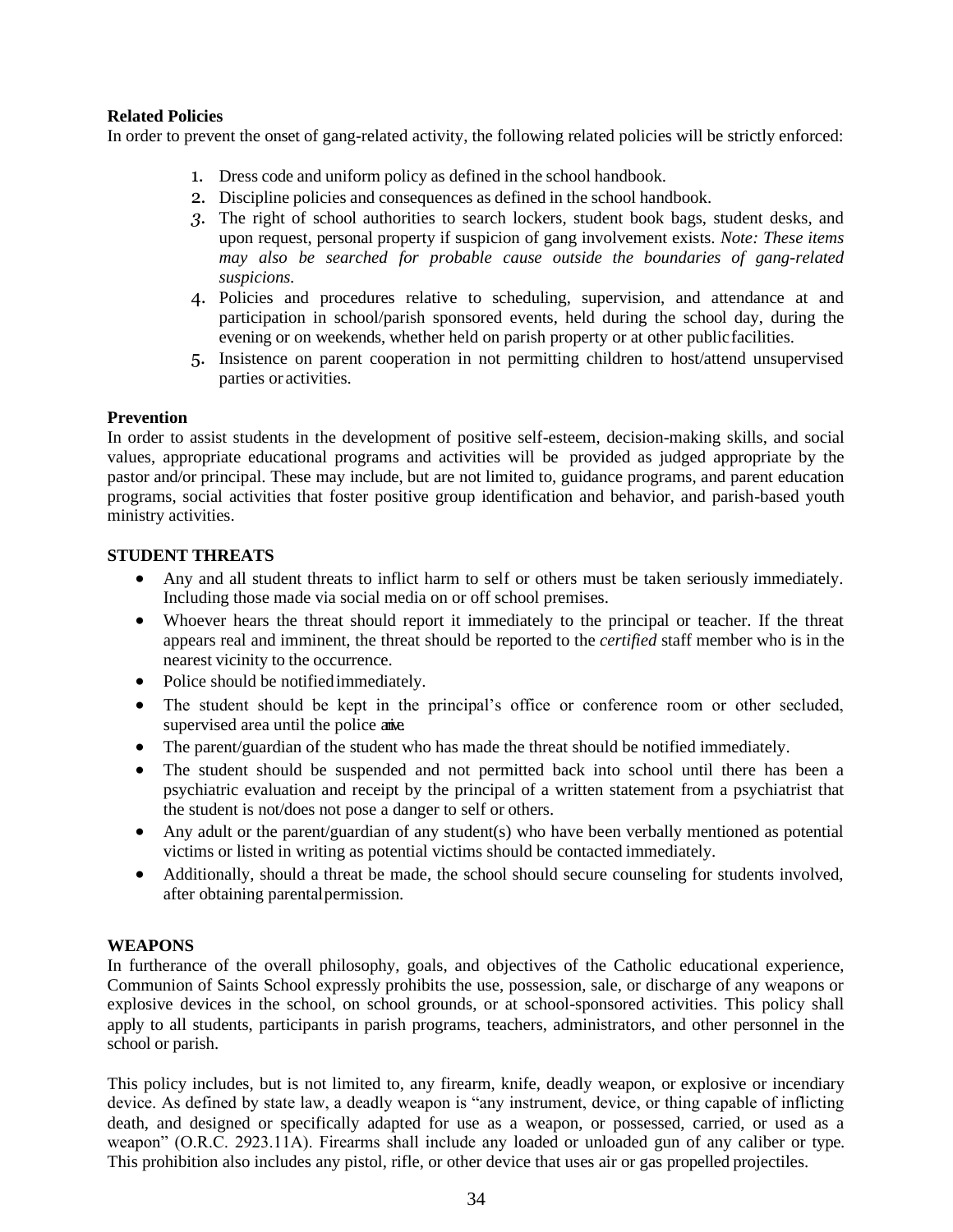# **Related Policies**

In order to prevent the onset of gang-related activity, the following related policies will be strictly enforced:

- 1. Dress code and uniform policy as defined in the school handbook.
- 2. Discipline policies and consequences as defined in the school handbook.
- *3.* The right of school authorities to search lockers, student book bags, student desks, and upon request, personal property if suspicion of gang involvement exists. *Note: These items may also be searched for probable cause outside the boundaries of gang-related suspicions.*
- 4. Policies and procedures relative to scheduling, supervision, and attendance at and participation in school/parish sponsored events, held during the school day, during the evening or on weekends, whether held on parish property or at other publicfacilities.
- 5. Insistence on parent cooperation in not permitting children to host/attend unsupervised parties or activities.

# **Prevention**

In order to assist students in the development of positive self-esteem, decision-making skills, and social values, appropriate educational programs and activities will be provided as judged appropriate by the pastor and/or principal. These may include, but are not limited to, guidance programs, and parent education programs, social activities that foster positive group identification and behavior, and parish-based youth ministry activities.

# **STUDENT THREATS**

- Any and all student threats to inflict harm to self or others must be taken seriously immediately. Including those made via social media on or off school premises.
- Whoever hears the threat should report it immediately to the principal or teacher. If the threat appears real and imminent, the threat should be reported to the *certified* staff member who is in the nearest vicinity to the occurrence.
- Police should be notified immediately.
- The student should be kept in the principal's office or conference room or other secluded, supervised area until the police arrive.
- The parent/guardian of the student who has made the threat should be notified immediately.
- The student should be suspended and not permitted back into school until there has been a psychiatric evaluation and receipt by the principal of a written statement from a psychiatrist that the student is not/does not pose a danger to self or others.
- Any adult or the parent/guardian of any student(s) who have been verbally mentioned as potential victims or listed in writing as potential victims should be contacted immediately.
- Additionally, should a threat be made, the school should secure counseling for students involved, after obtaining parentalpermission.

# **WEAPONS**

In furtherance of the overall philosophy, goals, and objectives of the Catholic educational experience, Communion of Saints School expressly prohibits the use, possession, sale, or discharge of any weapons or explosive devices in the school, on school grounds, or at school-sponsored activities. This policy shall apply to all students, participants in parish programs, teachers, administrators, and other personnel in the school or parish.

This policy includes, but is not limited to, any firearm, knife, deadly weapon, or explosive or incendiary device. As defined by state law, a deadly weapon is "any instrument, device, or thing capable of inflicting death, and designed or specifically adapted for use as a weapon, or possessed, carried, or used as a weapon" (O.R.C. 2923.11A). Firearms shall include any loaded or unloaded gun of any caliber or type. This prohibition also includes any pistol, rifle, or other device that uses air or gas propelled projectiles.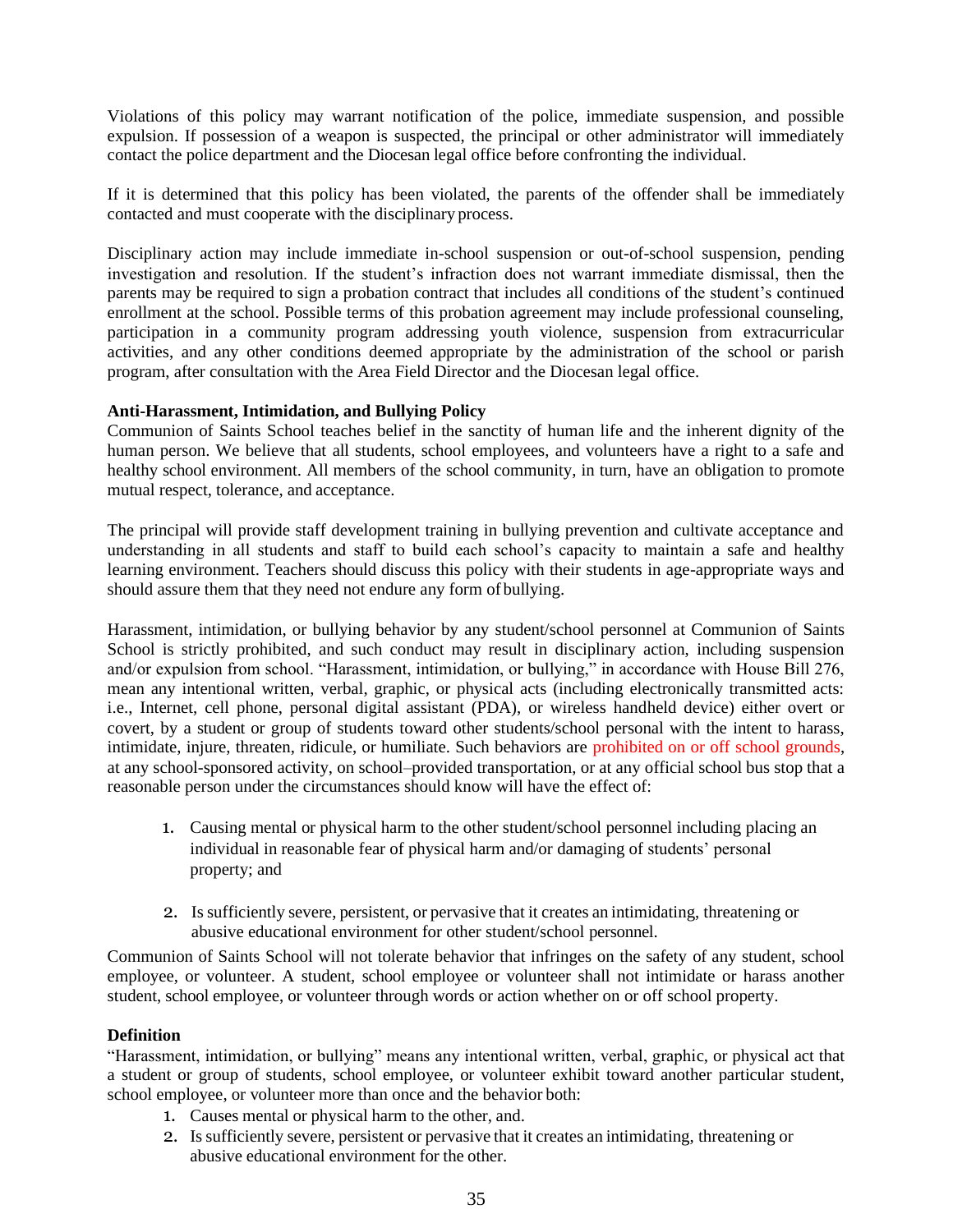Violations of this policy may warrant notification of the police, immediate suspension, and possible expulsion. If possession of a weapon is suspected, the principal or other administrator will immediately contact the police department and the Diocesan legal office before confronting the individual.

If it is determined that this policy has been violated, the parents of the offender shall be immediately contacted and must cooperate with the disciplinary process.

Disciplinary action may include immediate in-school suspension or out-of-school suspension, pending investigation and resolution. If the student's infraction does not warrant immediate dismissal, then the parents may be required to sign a probation contract that includes all conditions of the student's continued enrollment at the school. Possible terms of this probation agreement may include professional counseling, participation in a community program addressing youth violence, suspension from extracurricular activities, and any other conditions deemed appropriate by the administration of the school or parish program, after consultation with the Area Field Director and the Diocesan legal office.

# **Anti-Harassment, Intimidation, and Bullying Policy**

Communion of Saints School teaches belief in the sanctity of human life and the inherent dignity of the human person. We believe that all students, school employees, and volunteers have a right to a safe and healthy school environment. All members of the school community, in turn, have an obligation to promote mutual respect, tolerance, and acceptance.

The principal will provide staff development training in bullying prevention and cultivate acceptance and understanding in all students and staff to build each school's capacity to maintain a safe and healthy learning environment. Teachers should discuss this policy with their students in age-appropriate ways and should assure them that they need not endure any form of bullying.

Harassment, intimidation, or bullying behavior by any student/school personnel at Communion of Saints School is strictly prohibited, and such conduct may result in disciplinary action, including suspension and/or expulsion from school. "Harassment, intimidation, or bullying," in accordance with House Bill 276, mean any intentional written, verbal, graphic, or physical acts (including electronically transmitted acts: i.e., Internet, cell phone, personal digital assistant (PDA), or wireless handheld device) either overt or covert, by a student or group of students toward other students/school personal with the intent to harass, intimidate, injure, threaten, ridicule, or humiliate. Such behaviors are prohibited on or off school grounds, at any school-sponsored activity, on school–provided transportation, or at any official school bus stop that a reasonable person under the circumstances should know will have the effect of:

- 1. Causing mental or physical harm to the other student/school personnel including placing an individual in reasonable fear of physical harm and/or damaging of students' personal property; and
- 2. Is sufficiently severe, persistent, or pervasive that it creates an intimidating, threatening or abusive educational environment for other student/school personnel.

Communion of Saints School will not tolerate behavior that infringes on the safety of any student, school employee, or volunteer. A student, school employee or volunteer shall not intimidate or harass another student, school employee, or volunteer through words or action whether on or off school property.

# **Definition**

"Harassment, intimidation, or bullying" means any intentional written, verbal, graphic, or physical act that a student or group of students, school employee, or volunteer exhibit toward another particular student, school employee, or volunteer more than once and the behavior both:

- 1. Causes mental or physical harm to the other, and.
- 2. Is sufficiently severe, persistent or pervasive that it creates an intimidating, threatening or abusive educational environment for the other.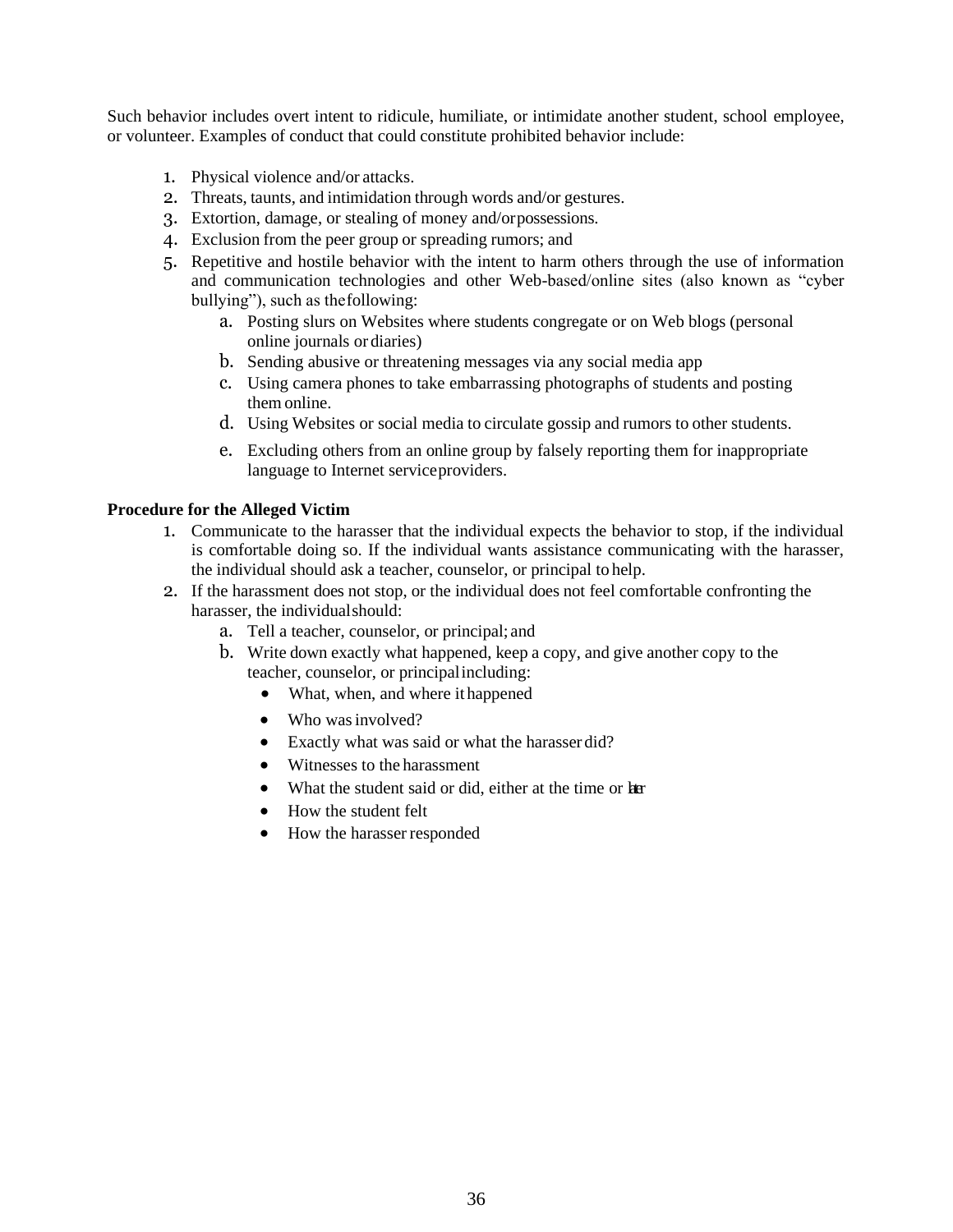Such behavior includes overt intent to ridicule, humiliate, or intimidate another student, school employee, or volunteer. Examples of conduct that could constitute prohibited behavior include:

- 1. Physical violence and/or attacks.
- 2. Threats, taunts, and intimidation through words and/or gestures.
- 3. Extortion, damage, or stealing of money and/orpossessions.
- 4. Exclusion from the peer group or spreading rumors; and
- 5. Repetitive and hostile behavior with the intent to harm others through the use of information and communication technologies and other Web-based/online sites (also known as "cyber bullying"), such as thefollowing:
	- a. Posting slurs on Websites where students congregate or on Web blogs (personal online journals or diaries)
	- b. Sending abusive or threatening messages via any social media app
	- c. Using camera phones to take embarrassing photographs of students and posting them online.
	- d. Using Websites or social media to circulate gossip and rumors to other students.
	- e. Excluding others from an online group by falsely reporting them for inappropriate language to Internet serviceproviders.

# **Procedure for the Alleged Victim**

- 1. Communicate to the harasser that the individual expects the behavior to stop, if the individual is comfortable doing so. If the individual wants assistance communicating with the harasser, the individual should ask a teacher, counselor, or principal to help.
- 2. If the harassment does not stop, or the individual does not feel comfortable confronting the harasser, the individualshould:
	- a. Tell a teacher, counselor, or principal; and
	- b. Write down exactly what happened, keep a copy, and give another copy to the teacher, counselor, or principalincluding:
		- What, when, and where it happened
		- Who was involved?
		- Exactly what was said or what the harasser did?
		- Witnesses to the harassment
		- What the student said or did, either at the time or later
		- How the student felt
		- How the harasser responded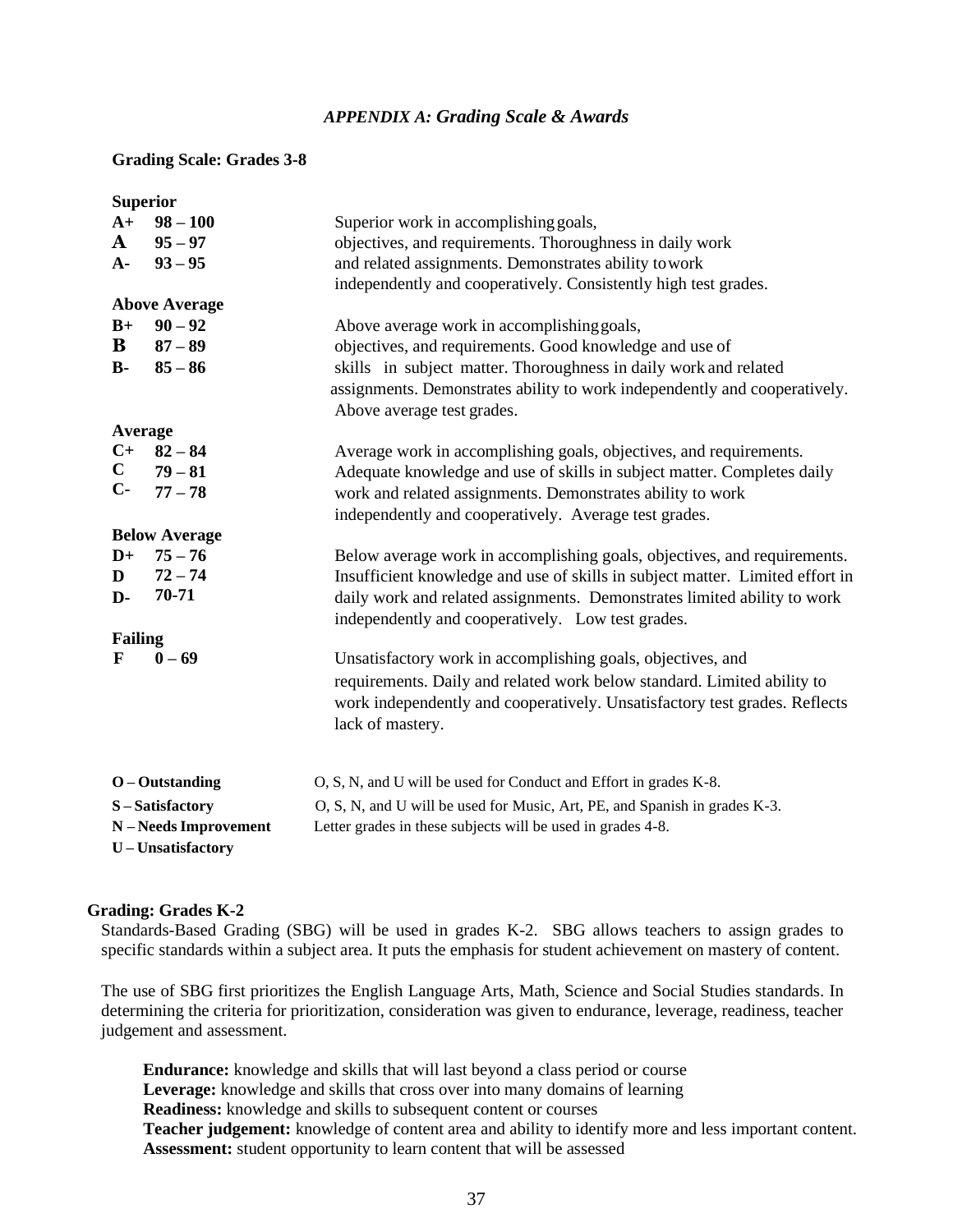# *APPENDIX A: Grading Scale & Awards*

#### **Grading Scale: Grades 3-8**

|                     | <b>Superior</b>      |                                                                               |  |  |  |  |
|---------------------|----------------------|-------------------------------------------------------------------------------|--|--|--|--|
| $A+$                | $98 - 100$           | Superior work in accomplishing goals,                                         |  |  |  |  |
| $\mathbf{A}$        | $95 - 97$            | objectives, and requirements. Thoroughness in daily work                      |  |  |  |  |
| $A -$               | $93 - 95$            | and related assignments. Demonstrates ability to work                         |  |  |  |  |
|                     |                      | independently and cooperatively. Consistently high test grades.               |  |  |  |  |
|                     | <b>Above Average</b> |                                                                               |  |  |  |  |
| $B+$                | $90 - 92$            | Above average work in accomplishing goals,                                    |  |  |  |  |
| B                   | $87 - 89$            | objectives, and requirements. Good knowledge and use of                       |  |  |  |  |
| <b>B-</b>           | $85 - 86$            | skills in subject matter. Thoroughness in daily work and related              |  |  |  |  |
|                     |                      | assignments. Demonstrates ability to work independently and cooperatively.    |  |  |  |  |
|                     |                      | Above average test grades.                                                    |  |  |  |  |
| Average             |                      |                                                                               |  |  |  |  |
| $C+$                | $82 - 84$            | Average work in accomplishing goals, objectives, and requirements.            |  |  |  |  |
| $\mathbf C$         | $79 - 81$            | Adequate knowledge and use of skills in subject matter. Completes daily       |  |  |  |  |
| $C-$                | $77 - 78$            | work and related assignments. Demonstrates ability to work                    |  |  |  |  |
|                     |                      | independently and cooperatively. Average test grades.                         |  |  |  |  |
|                     | <b>Below Average</b> |                                                                               |  |  |  |  |
| $D+$                | $75 - 76$            | Below average work in accomplishing goals, objectives, and requirements.      |  |  |  |  |
| D                   | $72 - 74$            | Insufficient knowledge and use of skills in subject matter. Limited effort in |  |  |  |  |
| $\mathbf{D}$        | 70-71                | daily work and related assignments. Demonstrates limited ability to work      |  |  |  |  |
|                     |                      | independently and cooperatively. Low test grades.                             |  |  |  |  |
| Failing             |                      |                                                                               |  |  |  |  |
| F                   | $0 - 69$             | Unsatisfactory work in accomplishing goals, objectives, and                   |  |  |  |  |
|                     |                      |                                                                               |  |  |  |  |
|                     |                      | requirements. Daily and related work below standard. Limited ability to       |  |  |  |  |
|                     |                      | work independently and cooperatively. Unsatisfactory test grades. Reflects    |  |  |  |  |
|                     |                      | lack of mastery.                                                              |  |  |  |  |
|                     |                      |                                                                               |  |  |  |  |
| $O-Outstanding$     |                      | O, S, N, and U will be used for Conduct and Effort in grades K-8.             |  |  |  |  |
| S-Satisfactory      |                      | O, S, N, and U will be used for Music, Art, PE, and Spanish in grades K-3.    |  |  |  |  |
| N-Needs Improvement |                      | Letter grades in these subjects will be used in grades 4-8.                   |  |  |  |  |
| U-Unsatisfactory    |                      |                                                                               |  |  |  |  |

## **Grading: Grades K-2**

Standards-Based Grading (SBG) will be used in grades K-2. SBG allows teachers to assign grades to specific standards within a subject area. It puts the emphasis for student achievement on mastery of content.

The use of SBG first prioritizes the English Language Arts, Math, Science and Social Studies standards. In determining the criteria for prioritization, consideration was given to endurance, leverage, readiness, teacher judgement and assessment.

 **Endurance:** knowledge and skills that will last beyond a class period or course **Leverage:** knowledge and skills that cross over into many domains of learning **Readiness:** knowledge and skills to subsequent content or courses **Teacher judgement:** knowledge of content area and ability to identify more and less important content. **Assessment:** student opportunity to learn content that will be assessed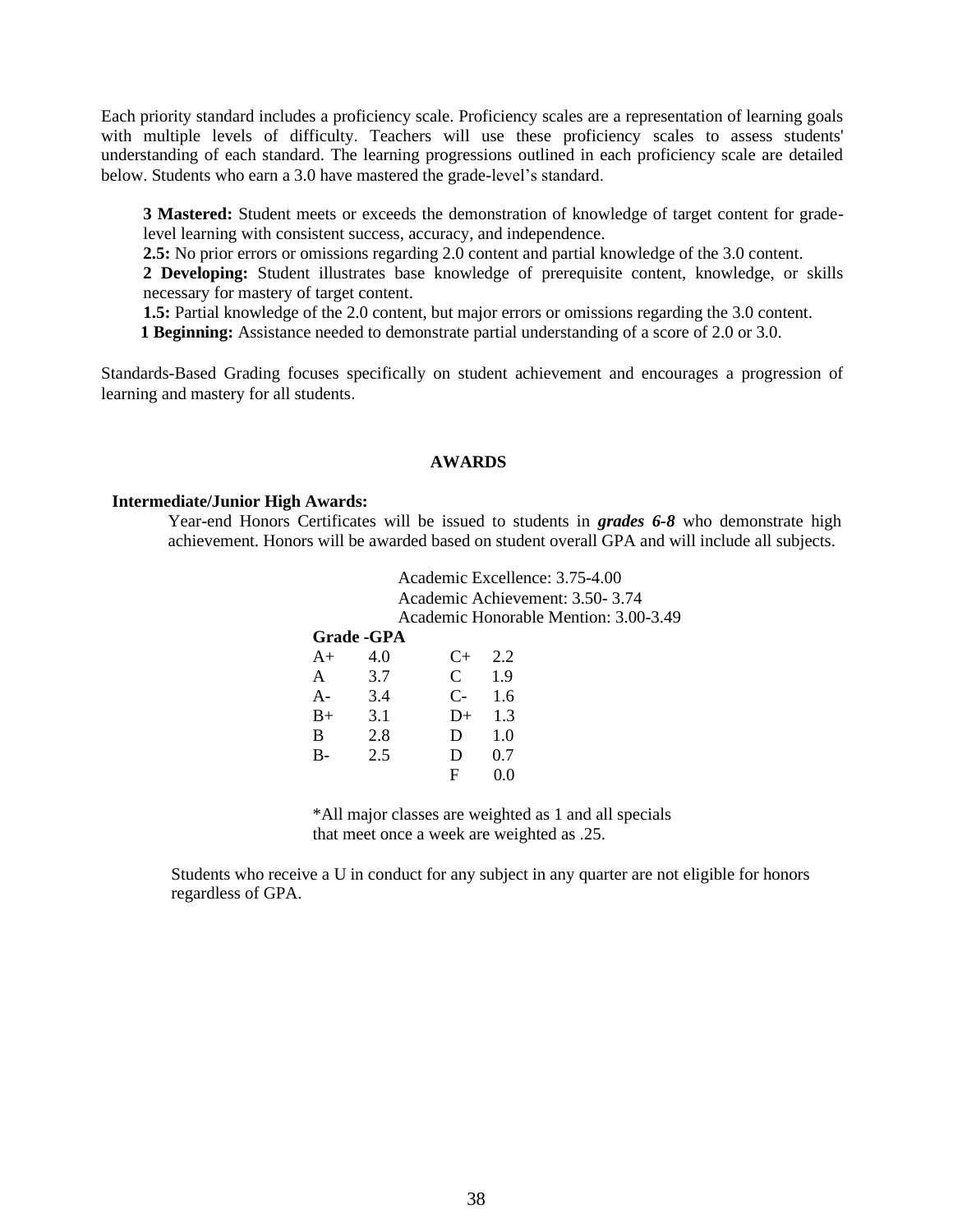Each priority standard includes a proficiency scale. Proficiency scales are a representation of learning goals with multiple levels of difficulty. Teachers will use these proficiency scales to assess students' understanding of each standard. The learning progressions outlined in each proficiency scale are detailed below. Students who earn a 3.0 have mastered the grade-level's standard.

**3 Mastered:** Student meets or exceeds the demonstration of knowledge of target content for gradelevel learning with consistent success, accuracy, and independence.

**2.5:** No prior errors or omissions regarding 2.0 content and partial knowledge of the 3.0 content.

**2 Developing:** Student illustrates base knowledge of prerequisite content, knowledge, or skills necessary for mastery of target content.

**1.5:** Partial knowledge of the 2.0 content, but major errors or omissions regarding the 3.0 content.

**1 Beginning:** Assistance needed to demonstrate partial understanding of a score of 2.0 or 3.0.

Standards-Based Grading focuses specifically on student achievement and encourages a progression of learning and mastery for all students.

# **AWARDS**

#### **Intermediate/Junior High Awards:**

Year-end Honors Certificates will be issued to students in *grades 6-8* who demonstrate high achievement. Honors will be awarded based on student overall GPA and will include all subjects.

> Academic Excellence: 3.75-4.00 Academic Achievement: 3.50- 3.74 Academic Honorable Mention: 3.00-3.49

|                   | . . |
|-------------------|-----|
| <b>Grade -GPA</b> |     |

| A+ | 4.0 | C+          | 2.2 |
|----|-----|-------------|-----|
| A  | 3.7 | C           | 1.9 |
| А- | 3.4 | $C-$        | 1.6 |
| B+ | 3.1 | $D+$        | 1.3 |
| B  | 2.8 | D           | 1.0 |
| B- | 2.5 | D           | 0.7 |
|    |     | $\mathbf F$ | 0.0 |

\*All major classes are weighted as 1 and all specials that meet once a week are weighted as .25.

Students who receive a U in conduct for any subject in any quarter are not eligible for honors regardless of GPA.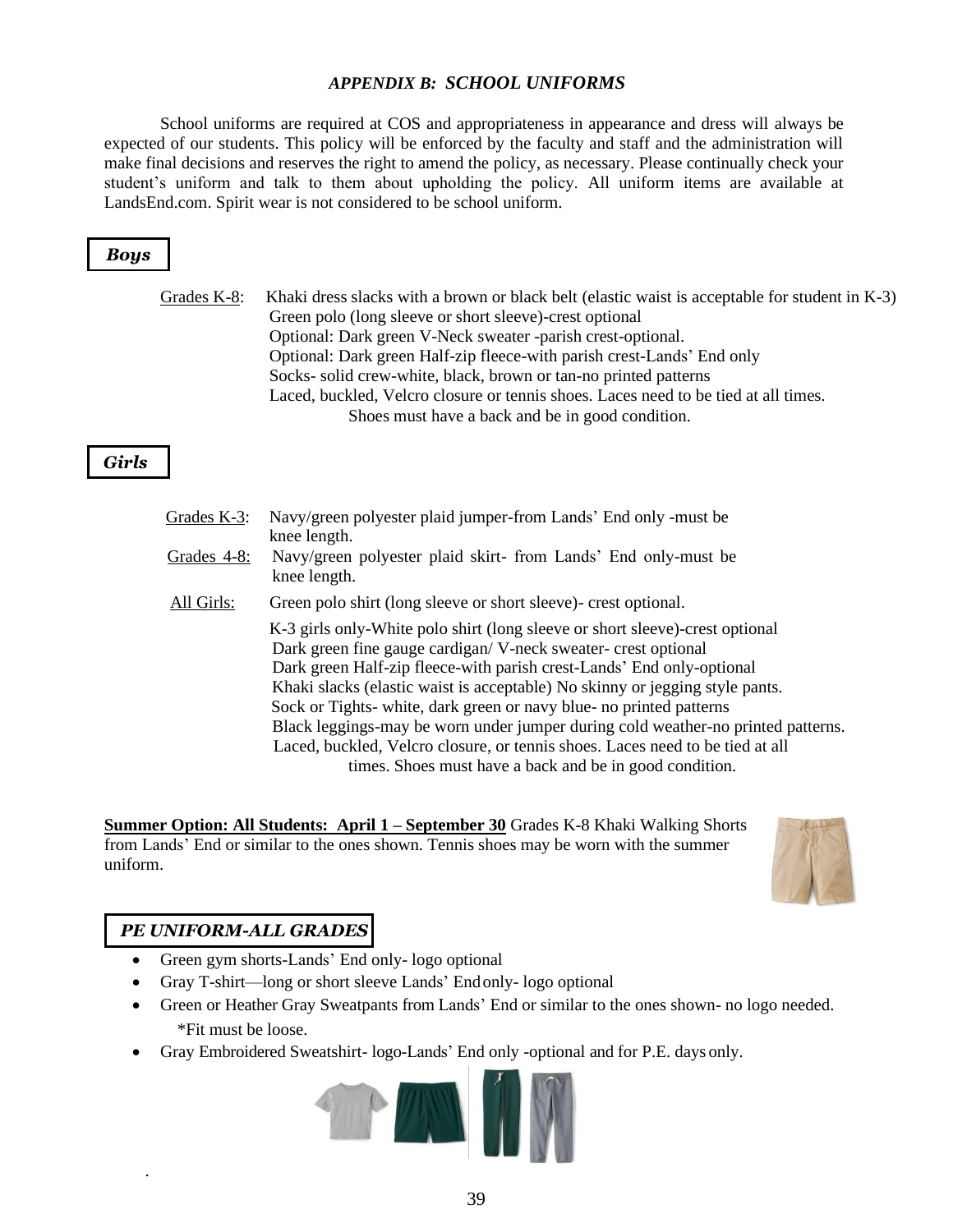# *APPENDIX B: SCHOOL UNIFORMS*

School uniforms are required at COS and appropriateness in appearance and dress will always be expected of our students. This policy will be enforced by the faculty and staff and the administration will make final decisions and reserves the right to amend the policy, as necessary. Please continually check your student's uniform and talk to them about upholding the policy. All uniform items are available at LandsEnd.com. Spirit wear is not considered to be school uniform.

# *Boys*

|              | Grades K-8:                   | Khaki dress slacks with a brown or black belt (elastic waist is acceptable for student in $K-3$ )<br>Green polo (long sleeve or short sleeve)-crest optional<br>Optional: Dark green V-Neck sweater -parish crest-optional.<br>Optional: Dark green Half-zip fleece-with parish crest-Lands' End only<br>Socks- solid crew-white, black, brown or tan-no printed patterns<br>Laced, buckled, Velcro closure or tennis shoes. Laces need to be tied at all times.<br>Shoes must have a back and be in good condition.                                                                                                                                                             |
|--------------|-------------------------------|----------------------------------------------------------------------------------------------------------------------------------------------------------------------------------------------------------------------------------------------------------------------------------------------------------------------------------------------------------------------------------------------------------------------------------------------------------------------------------------------------------------------------------------------------------------------------------------------------------------------------------------------------------------------------------|
| <b>Girls</b> |                               |                                                                                                                                                                                                                                                                                                                                                                                                                                                                                                                                                                                                                                                                                  |
|              | Grades K-3:<br>Grades $4-8$ : | Navy/green polyester plaid jumper-from Lands' End only -must be<br>knee length.<br>Navy/green polyester plaid skirt-from Lands' End only-must be<br>knee length.                                                                                                                                                                                                                                                                                                                                                                                                                                                                                                                 |
|              | All Girls:                    | Green polo shirt (long sleeve or short sleeve) crest optional.<br>K-3 girls only-White polo shirt (long sleeve or short sleeve)-crest optional<br>Dark green fine gauge cardigan/ V-neck sweater- crest optional<br>Dark green Half-zip fleece-with parish crest-Lands' End only-optional<br>Khaki slacks (elastic waist is acceptable) No skinny or jegging style pants.<br>Sock or Tights- white, dark green or navy blue- no printed patterns<br>Black leggings-may be worn under jumper during cold weather-no printed patterns.<br>Laced, buckled, Velcro closure, or tennis shoes. Laces need to be tied at all<br>times. Shoes must have a back and be in good condition. |

**Summer Option: All Students: April 1 – September 30** Grades K-8 Khaki Walking Shorts from Lands' End or similar to the ones shown. Tennis shoes may be worn with the summer uniform.



# *PE UNIFORM-ALL GRADES*

.

- Green gym shorts-Lands' End only- logo optional
- Gray T-shirt—long or short sleeve Lands' Endonly- logo optional
- Green or Heather Gray Sweatpants from Lands' End or similar to the ones shown- no logo needed. \*Fit must be loose.
- Gray Embroidered Sweatshirt- logo-Lands' End only -optional and for P.E. days only.

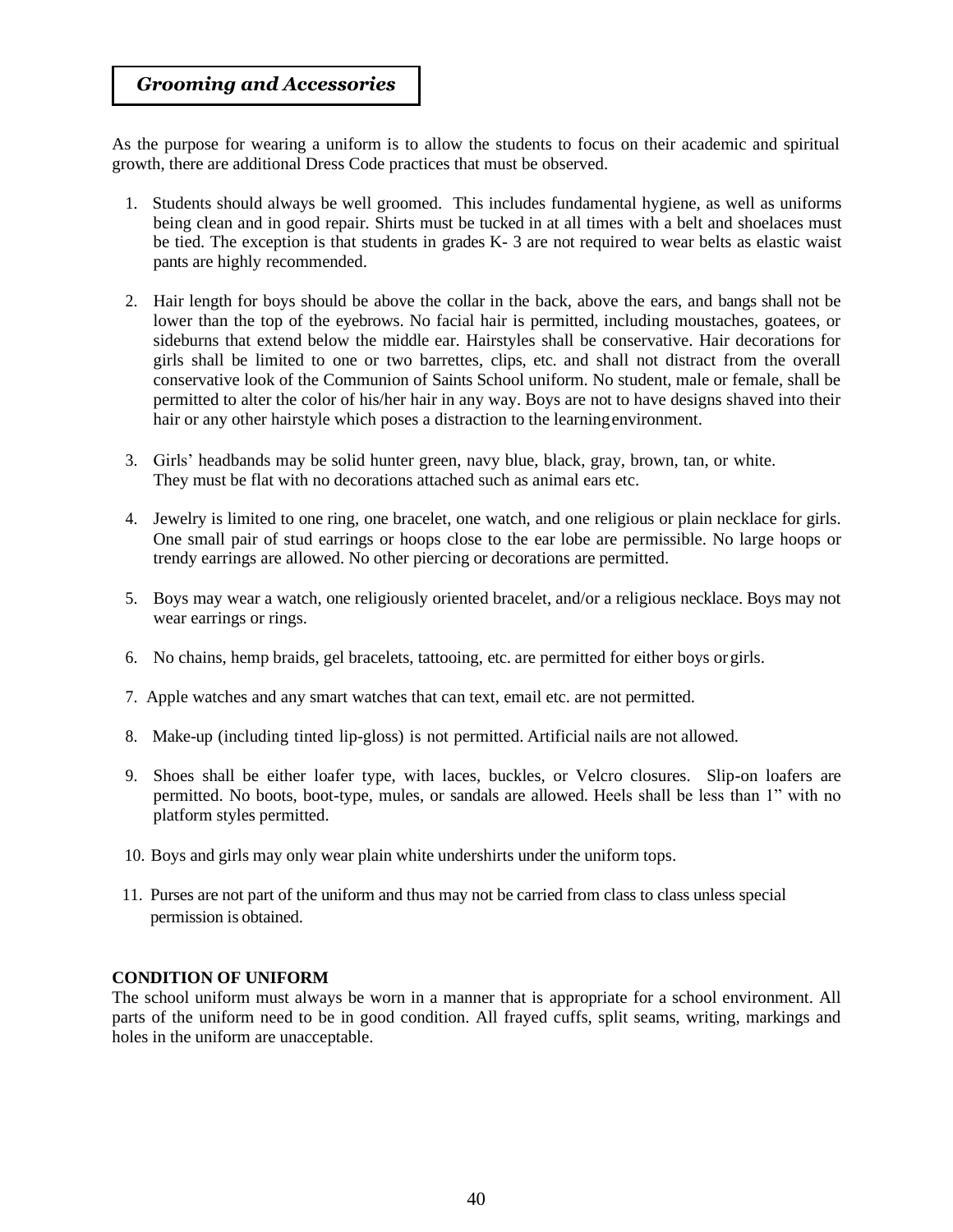# *Grooming and Accessories*

As the purpose for wearing a uniform is to allow the students to focus on their academic and spiritual growth, there are additional Dress Code practices that must be observed.

- 1. Students should always be well groomed. This includes fundamental hygiene, as well as uniforms being clean and in good repair. Shirts must be tucked in at all times with a belt and shoelaces must be tied. The exception is that students in grades K- 3 are not required to wear belts as elastic waist pants are highly recommended.
- 2. Hair length for boys should be above the collar in the back, above the ears, and bangs shall not be lower than the top of the eyebrows. No facial hair is permitted, including moustaches, goatees, or sideburns that extend below the middle ear. Hairstyles shall be conservative. Hair decorations for girls shall be limited to one or two barrettes, clips, etc. and shall not distract from the overall conservative look of the Communion of Saints School uniform. No student, male or female, shall be permitted to alter the color of his/her hair in any way. Boys are not to have designs shaved into their hair or any other hairstyle which poses a distraction to the learningenvironment.
- 3. Girls' headbands may be solid hunter green, navy blue, black, gray, brown, tan, or white. They must be flat with no decorations attached such as animal ears etc.
- 4. Jewelry is limited to one ring, one bracelet, one watch, and one religious or plain necklace for girls. One small pair of stud earrings or hoops close to the ear lobe are permissible. No large hoops or trendy earrings are allowed. No other piercing or decorations are permitted.
- 5. Boys may wear a watch, one religiously oriented bracelet, and/or a religious necklace. Boys may not wear earrings or rings.
- 6. No chains, hemp braids, gel bracelets, tattooing, etc. are permitted for either boys orgirls.
- 7. Apple watches and any smart watches that can text, email etc. are not permitted.
- 8. Make-up (including tinted lip-gloss) is not permitted. Artificial nails are not allowed.
- 9. Shoes shall be either loafer type, with laces, buckles, or Velcro closures. Slip-on loafers are permitted. No boots, boot-type, mules, or sandals are allowed. Heels shall be less than 1" with no platform styles permitted.
- 10. Boys and girls may only wear plain white undershirts under the uniform tops.
- 11. Purses are not part of the uniform and thus may not be carried from class to class unless special permission is obtained.

#### **CONDITION OF UNIFORM**

The school uniform must always be worn in a manner that is appropriate for a school environment. All parts of the uniform need to be in good condition. All frayed cuffs, split seams, writing, markings and holes in the uniform are unacceptable.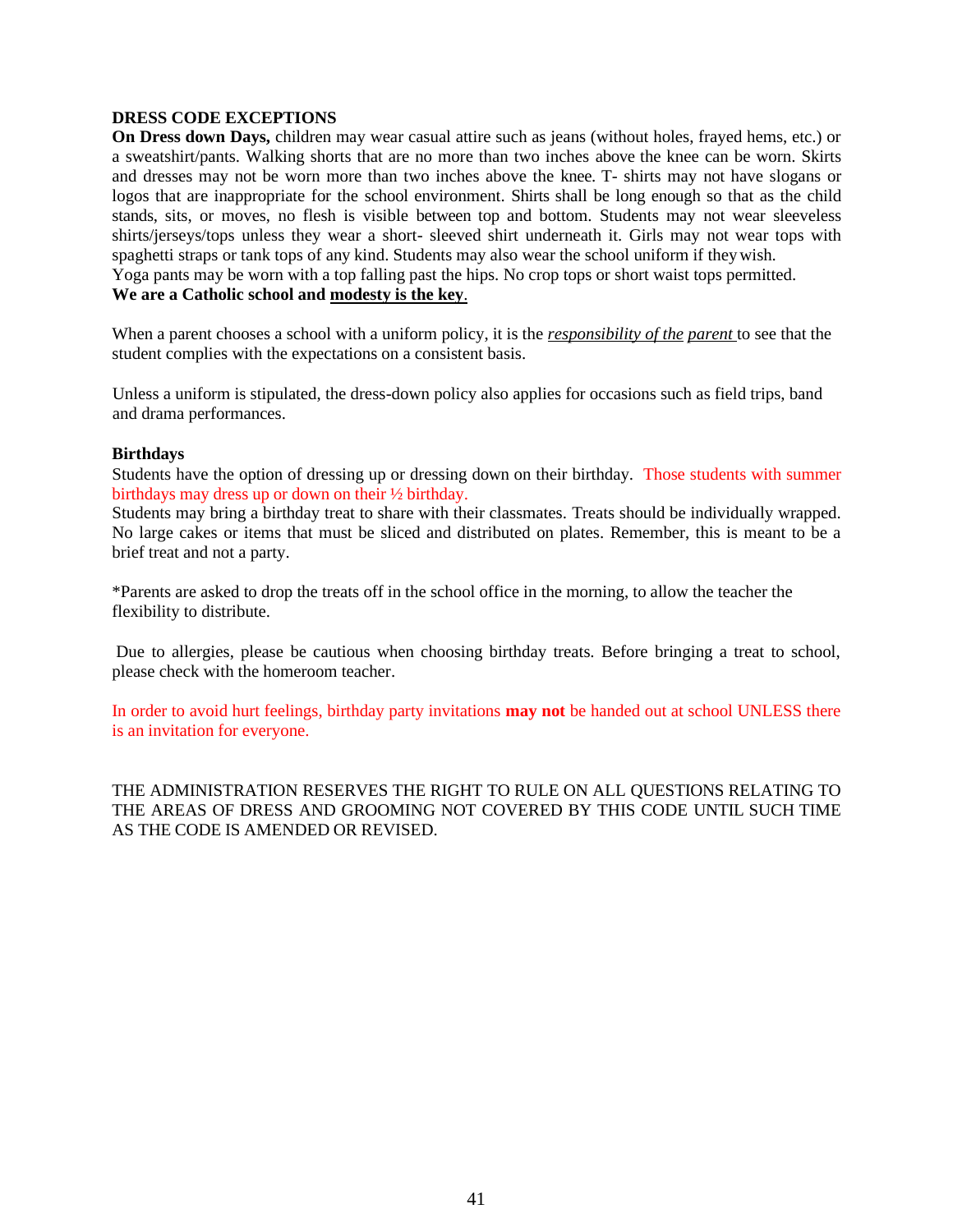# **DRESS CODE EXCEPTIONS**

**On Dress down Days,** children may wear casual attire such as jeans (without holes, frayed hems, etc.) or a sweatshirt/pants. Walking shorts that are no more than two inches above the knee can be worn. Skirts and dresses may not be worn more than two inches above the knee. T- shirts may not have slogans or logos that are inappropriate for the school environment. Shirts shall be long enough so that as the child stands, sits, or moves, no flesh is visible between top and bottom. Students may not wear sleeveless shirts/jerseys/tops unless they wear a short- sleeved shirt underneath it. Girls may not wear tops with spaghetti straps or tank tops of any kind. Students may also wear the school uniform if theywish. Yoga pants may be worn with a top falling past the hips. No crop tops or short waist tops permitted. **We are a Catholic school and modesty is the key**.

When a parent chooses a school with a uniform policy, it is the *responsibility of the parent* to see that the student complies with the expectations on a consistent basis.

Unless a uniform is stipulated, the dress-down policy also applies for occasions such as field trips, band and drama performances.

#### **Birthdays**

Students have the option of dressing up or dressing down on their birthday. Those students with summer birthdays may dress up or down on their ½ birthday.

Students may bring a birthday treat to share with their classmates. Treats should be individually wrapped. No large cakes or items that must be sliced and distributed on plates. Remember, this is meant to be a brief treat and not a party.

\*Parents are asked to drop the treats off in the school office in the morning, to allow the teacher the flexibility to distribute.

Due to allergies, please be cautious when choosing birthday treats. Before bringing a treat to school, please check with the homeroom teacher.

In order to avoid hurt feelings, birthday party invitations **may not** be handed out at school UNLESS there is an invitation for everyone.

THE ADMINISTRATION RESERVES THE RIGHT TO RULE ON ALL QUESTIONS RELATING TO THE AREAS OF DRESS AND GROOMING NOT COVERED BY THIS CODE UNTIL SUCH TIME AS THE CODE IS AMENDED OR REVISED.